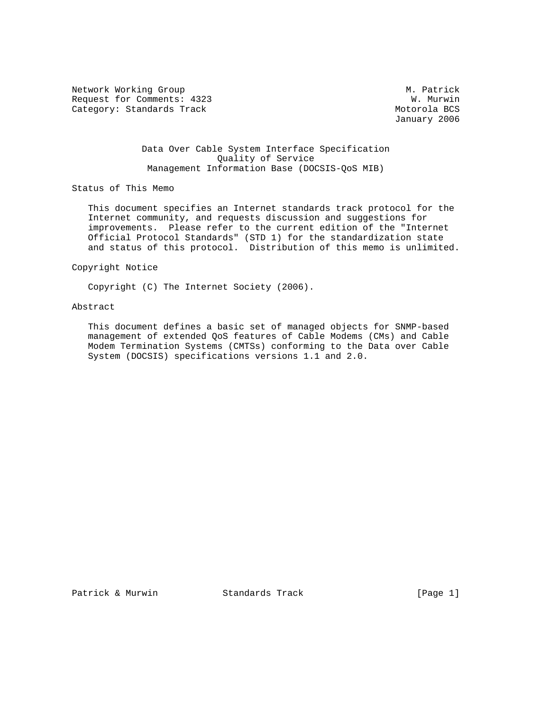Network Working Group Methods and Methods and Methods Methods and Methods and Methods and Methods and Methods A Request for Comments: 4323 W. Murwin<br>Category: Standards Track extension of the Motorola BCS Category: Standards Track

January 2006

# Data Over Cable System Interface Specification Quality of Service Management Information Base (DOCSIS-QoS MIB)

Status of This Memo

 This document specifies an Internet standards track protocol for the Internet community, and requests discussion and suggestions for improvements. Please refer to the current edition of the "Internet Official Protocol Standards" (STD 1) for the standardization state and status of this protocol. Distribution of this memo is unlimited.

Copyright Notice

Copyright (C) The Internet Society (2006).

# Abstract

 This document defines a basic set of managed objects for SNMP-based management of extended QoS features of Cable Modems (CMs) and Cable Modem Termination Systems (CMTSs) conforming to the Data over Cable System (DOCSIS) specifications versions 1.1 and 2.0.

Patrick & Murwin Standards Track [Page 1]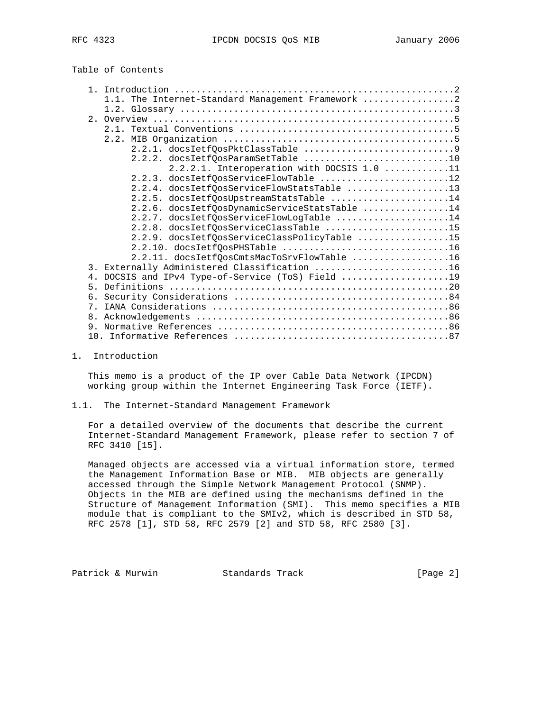Table of Contents

| 1.1. The Internet-Standard Management Framework 2 |  |
|---------------------------------------------------|--|
|                                                   |  |
|                                                   |  |
| $2 \quad 1$                                       |  |
|                                                   |  |
|                                                   |  |
| 2.2.2. docsIetfOosParamSetTable 10                |  |
| 2.2.2.1. Interoperation with DOCSIS 1.0 11        |  |
| 2.2.3. docsIetfQosServiceFlowTable 12             |  |
| 2.2.4. docsIetfQosServiceFlowStatsTable 13        |  |
| 2.2.5. docsIetfQosUpstreamStatsTable 14           |  |
| 2.2.6. docsIetfQosDynamicServiceStatsTable 14     |  |
| 2.2.7. docsIetfQosServiceFlowLogTable 14          |  |
|                                                   |  |
| 2.2.8. docsIetfOosServiceClassTable 15            |  |
| 2.2.9. docsIetfQosServiceClassPolicyTable 15      |  |
| 2.2.10. docsIetfQosPHSTable 16                    |  |
| 2.2.11. docsIetfQosCmtsMacToSrvFlowTable 16       |  |
| 3. Externally Administered Classification 16      |  |
| 4. DOCSIS and IPv4 Type-of-Service (ToS) Field 19 |  |
| 5.                                                |  |
| 6.                                                |  |
| 7.                                                |  |
| 8 <sub>1</sub>                                    |  |
|                                                   |  |
|                                                   |  |

1. Introduction

 This memo is a product of the IP over Cable Data Network (IPCDN) working group within the Internet Engineering Task Force (IETF).

1.1. The Internet-Standard Management Framework

 For a detailed overview of the documents that describe the current Internet-Standard Management Framework, please refer to section 7 of RFC 3410 [15].

 Managed objects are accessed via a virtual information store, termed the Management Information Base or MIB. MIB objects are generally accessed through the Simple Network Management Protocol (SNMP). Objects in the MIB are defined using the mechanisms defined in the Structure of Management Information (SMI). This memo specifies a MIB module that is compliant to the SMIv2, which is described in STD 58, RFC 2578 [1], STD 58, RFC 2579 [2] and STD 58, RFC 2580 [3].

Patrick & Murwin Standards Track [Page 2]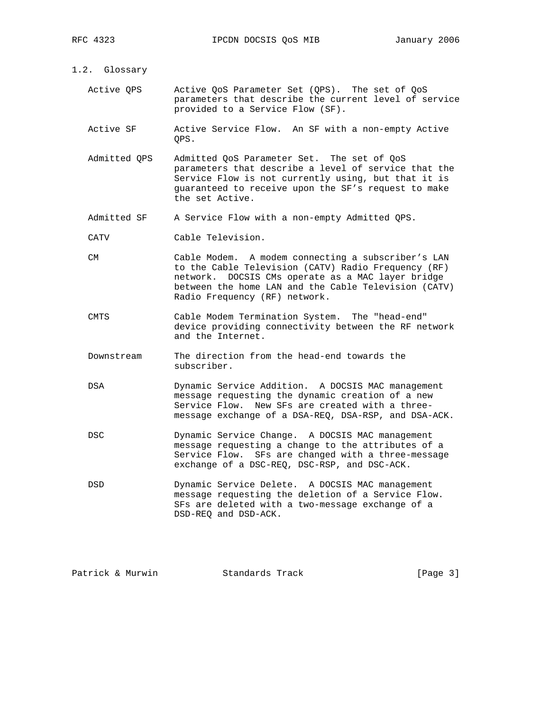- 1.2. Glossary
	- Active QPS Active QoS Parameter Set (QPS). The set of QoS parameters that describe the current level of service provided to a Service Flow (SF).
	- Active SF Active Service Flow. An SF with a non-empty Active QPS.
	- Admitted QPS Admitted QoS Parameter Set. The set of QoS parameters that describe a level of service that the Service Flow is not currently using, but that it is guaranteed to receive upon the SF's request to make the set Active.
	- Admitted SF A Service Flow with a non-empty Admitted QPS.
	- CATV Cable Television.
	- CM Cable Modem. A modem connecting a subscriber's LAN to the Cable Television (CATV) Radio Frequency (RF) network. DOCSIS CMs operate as a MAC layer bridge between the home LAN and the Cable Television (CATV) Radio Frequency (RF) network.
	- CMTS Cable Modem Termination System. The "head-end" device providing connectivity between the RF network and the Internet.
	- Downstream The direction from the head-end towards the subscriber.
	- DSA Dynamic Service Addition. A DOCSIS MAC management message requesting the dynamic creation of a new Service Flow. New SFs are created with a three message exchange of a DSA-REQ, DSA-RSP, and DSA-ACK.
	- DSC Dynamic Service Change. A DOCSIS MAC management message requesting a change to the attributes of a Service Flow. SFs are changed with a three-message exchange of a DSC-REQ, DSC-RSP, and DSC-ACK.
	- DSD Dynamic Service Delete. A DOCSIS MAC management message requesting the deletion of a Service Flow. SFs are deleted with a two-message exchange of a DSD-REQ and DSD-ACK.

| Patrick & Murwin | Standards Track | [Page $3$ ] |
|------------------|-----------------|-------------|
|                  |                 |             |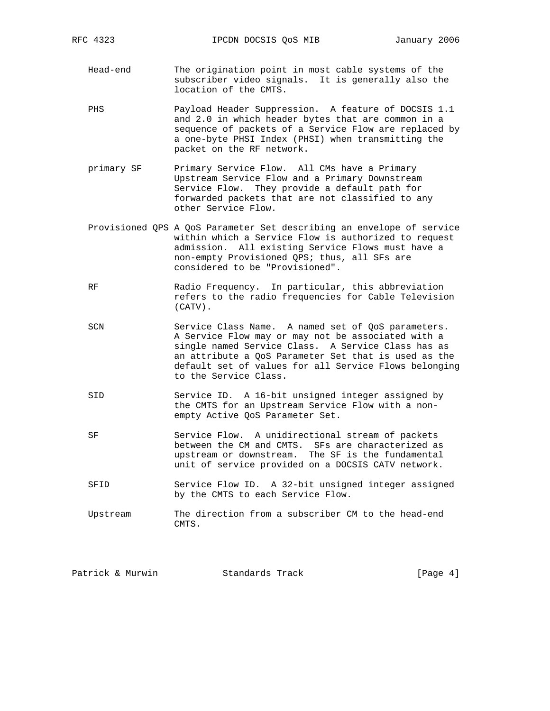- Head-end The origination point in most cable systems of the subscriber video signals. It is generally also the location of the CMTS.
- PHS Payload Header Suppression. A feature of DOCSIS 1.1 and 2.0 in which header bytes that are common in a sequence of packets of a Service Flow are replaced by a one-byte PHSI Index (PHSI) when transmitting the packet on the RF network.
- primary SF Primary Service Flow. All CMs have a Primary Upstream Service Flow and a Primary Downstream Service Flow. They provide a default path for forwarded packets that are not classified to any other Service Flow.
- Provisioned QPS A QoS Parameter Set describing an envelope of service within which a Service Flow is authorized to request admission. All existing Service Flows must have a non-empty Provisioned QPS; thus, all SFs are considered to be "Provisioned".
- RF Radio Frequency. In particular, this abbreviation refers to the radio frequencies for Cable Television (CATV).
- SCN Service Class Name. A named set of QoS parameters. A Service Flow may or may not be associated with a single named Service Class. A Service Class has as an attribute a QoS Parameter Set that is used as the default set of values for all Service Flows belonging to the Service Class.
- SID Service ID. A 16-bit unsigned integer assigned by the CMTS for an Upstream Service Flow with a non empty Active QoS Parameter Set.
- SF Service Flow. A unidirectional stream of packets between the CM and CMTS. SFs are characterized as upstream or downstream. The SF is the fundamental unit of service provided on a DOCSIS CATV network.
	- SFID Service Flow ID. A 32-bit unsigned integer assigned by the CMTS to each Service Flow.
	- Upstream The direction from a subscriber CM to the head-end CMTS.

| Patrick & Murwin<br>[Page $4$ ]<br>Standards Track |
|----------------------------------------------------|
|----------------------------------------------------|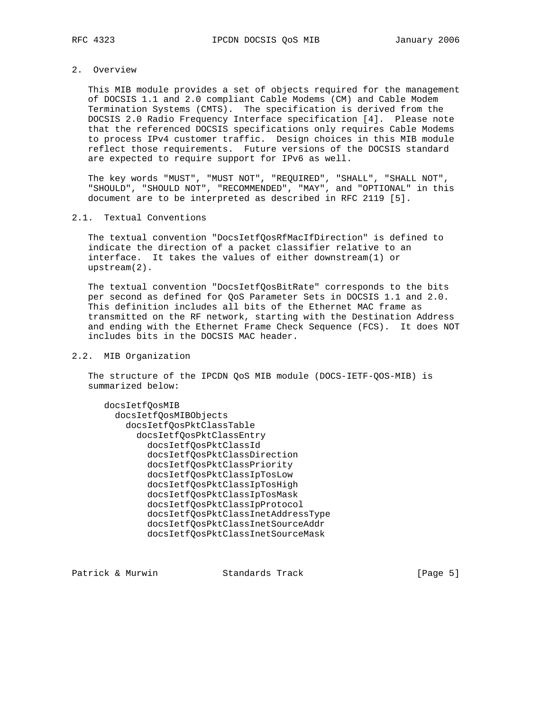2. Overview

 This MIB module provides a set of objects required for the management of DOCSIS 1.1 and 2.0 compliant Cable Modems (CM) and Cable Modem Termination Systems (CMTS). The specification is derived from the DOCSIS 2.0 Radio Frequency Interface specification [4]. Please note that the referenced DOCSIS specifications only requires Cable Modems to process IPv4 customer traffic. Design choices in this MIB module reflect those requirements. Future versions of the DOCSIS standard are expected to require support for IPv6 as well.

 The key words "MUST", "MUST NOT", "REQUIRED", "SHALL", "SHALL NOT", "SHOULD", "SHOULD NOT", "RECOMMENDED", "MAY", and "OPTIONAL" in this document are to be interpreted as described in RFC 2119 [5].

### 2.1. Textual Conventions

 The textual convention "DocsIetfQosRfMacIfDirection" is defined to indicate the direction of a packet classifier relative to an interface. It takes the values of either downstream(1) or upstream(2).

 The textual convention "DocsIetfQosBitRate" corresponds to the bits per second as defined for QoS Parameter Sets in DOCSIS 1.1 and 2.0. This definition includes all bits of the Ethernet MAC frame as transmitted on the RF network, starting with the Destination Address and ending with the Ethernet Frame Check Sequence (FCS). It does NOT includes bits in the DOCSIS MAC header.

# 2.2. MIB Organization

 The structure of the IPCDN QoS MIB module (DOCS-IETF-QOS-MIB) is summarized below:

```
 docsIetfQosMIB
   docsIetfQosMIBObjects
     docsIetfQosPktClassTable
       docsIetfQosPktClassEntry
         docsIetfQosPktClassId
         docsIetfQosPktClassDirection
         docsIetfQosPktClassPriority
         docsIetfQosPktClassIpTosLow
         docsIetfQosPktClassIpTosHigh
         docsIetfQosPktClassIpTosMask
         docsIetfQosPktClassIpProtocol
         docsIetfQosPktClassInetAddressType
         docsIetfQosPktClassInetSourceAddr
         docsIetfQosPktClassInetSourceMask
```
Patrick & Murwin Standards Track [Page 5]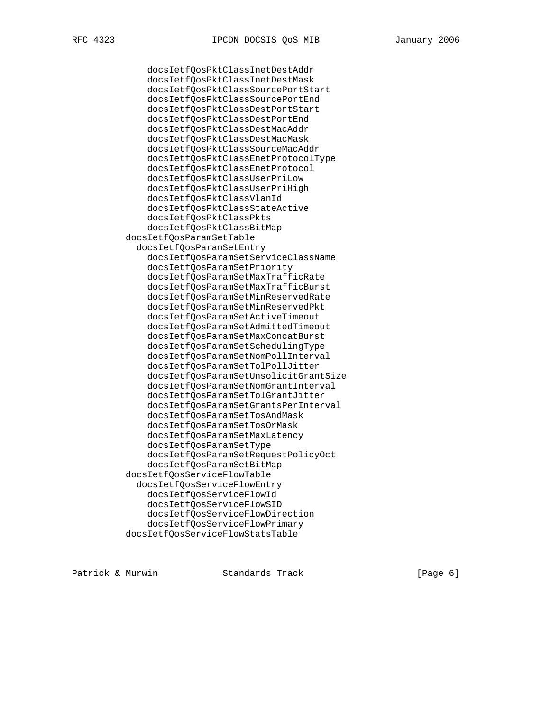docsIetfQosPktClassInetDestAddr docsIetfQosPktClassInetDestMask docsIetfQosPktClassSourcePortStart docsIetfQosPktClassSourcePortEnd docsIetfQosPktClassDestPortStart docsIetfQosPktClassDestPortEnd docsIetfQosPktClassDestMacAddr docsIetfQosPktClassDestMacMask docsIetfQosPktClassSourceMacAddr docsIetfQosPktClassEnetProtocolType docsIetfQosPktClassEnetProtocol docsIetfQosPktClassUserPriLow docsIetfQosPktClassUserPriHigh docsIetfQosPktClassVlanId docsIetfQosPktClassStateActive docsIetfQosPktClassPkts docsIetfQosPktClassBitMap docsIetfQosParamSetTable docsIetfQosParamSetEntry docsIetfQosParamSetServiceClassName docsIetfQosParamSetPriority docsIetfQosParamSetMaxTrafficRate docsIetfQosParamSetMaxTrafficBurst docsIetfQosParamSetMinReservedRate docsIetfQosParamSetMinReservedPkt docsIetfQosParamSetActiveTimeout docsIetfQosParamSetAdmittedTimeout docsIetfQosParamSetMaxConcatBurst docsIetfQosParamSetSchedulingType docsIetfQosParamSetNomPollInterval docsIetfQosParamSetTolPollJitter docsIetfQosParamSetUnsolicitGrantSize docsIetfQosParamSetNomGrantInterval docsIetfQosParamSetTolGrantJitter docsIetfQosParamSetGrantsPerInterval docsIetfQosParamSetTosAndMask docsIetfQosParamSetTosOrMask docsIetfQosParamSetMaxLatency docsIetfQosParamSetType docsIetfQosParamSetRequestPolicyOct docsIetfQosParamSetBitMap docsIetfQosServiceFlowTable docsIetfQosServiceFlowEntry docsIetfQosServiceFlowId docsIetfQosServiceFlowSID docsIetfQosServiceFlowDirection docsIetfQosServiceFlowPrimary docsIetfQosServiceFlowStatsTable

Patrick & Murwin Standards Track [Page 6]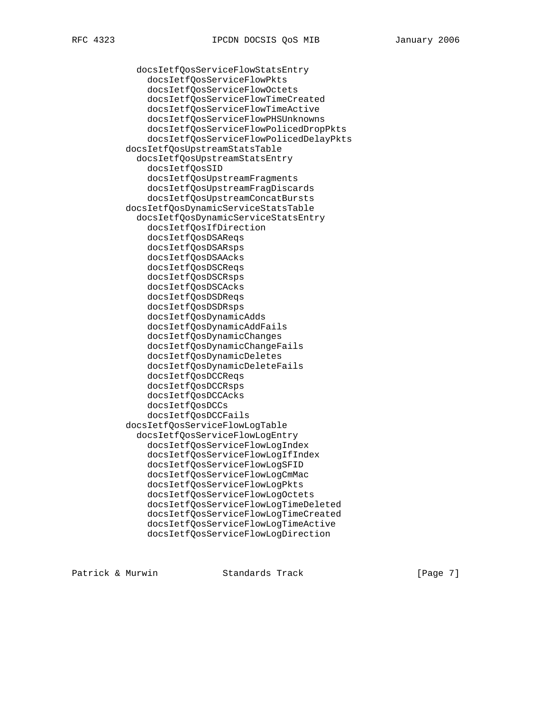docsIetfQosServiceFlowStatsEntry

 docsIetfQosServiceFlowPkts docsIetfQosServiceFlowOctets docsIetfQosServiceFlowTimeCreated docsIetfQosServiceFlowTimeActive docsIetfQosServiceFlowPHSUnknowns docsIetfQosServiceFlowPolicedDropPkts docsIetfQosServiceFlowPolicedDelayPkts docsIetfQosUpstreamStatsTable docsIetfQosUpstreamStatsEntry docsIetfQosSID docsIetfQosUpstreamFragments docsIetfQosUpstreamFragDiscards docsIetfQosUpstreamConcatBursts docsIetfQosDynamicServiceStatsTable docsIetfQosDynamicServiceStatsEntry docsIetfQosIfDirection docsIetfQosDSAReqs docsIetfQosDSARsps docsIetfQosDSAAcks docsIetfQosDSCReqs docsIetfQosDSCRsps docsIetfQosDSCAcks docsIetfQosDSDReqs docsIetfQosDSDRsps docsIetfQosDynamicAdds docsIetfQosDynamicAddFails docsIetfQosDynamicChanges docsIetfQosDynamicChangeFails docsIetfQosDynamicDeletes docsIetfQosDynamicDeleteFails docsIetfQosDCCReqs docsIetfQosDCCRsps docsIetfQosDCCAcks docsIetfQosDCCs docsIetfQosDCCFails docsIetfQosServiceFlowLogTable docsIetfQosServiceFlowLogEntry docsIetfQosServiceFlowLogIndex docsIetfQosServiceFlowLogIfIndex docsIetfQosServiceFlowLogSFID docsIetfQosServiceFlowLogCmMac docsIetfQosServiceFlowLogPkts docsIetfQosServiceFlowLogOctets docsIetfQosServiceFlowLogTimeDeleted docsIetfQosServiceFlowLogTimeCreated docsIetfQosServiceFlowLogTimeActive docsIetfQosServiceFlowLogDirection

Patrick & Murwin Standards Track [Page 7]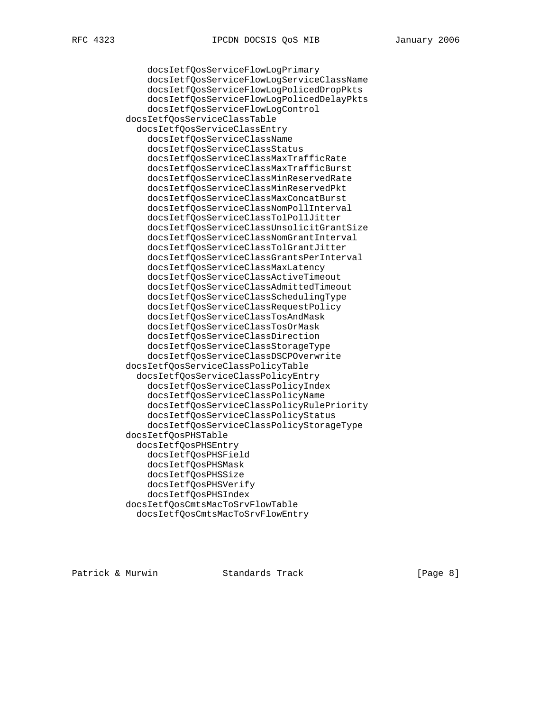docsIetfQosServiceFlowLogPrimary

 docsIetfQosServiceFlowLogServiceClassName docsIetfQosServiceFlowLogPolicedDropPkts docsIetfQosServiceFlowLogPolicedDelayPkts docsIetfQosServiceFlowLogControl docsIetfQosServiceClassTable docsIetfQosServiceClassEntry docsIetfQosServiceClassName docsIetfQosServiceClassStatus docsIetfQosServiceClassMaxTrafficRate docsIetfQosServiceClassMaxTrafficBurst docsIetfQosServiceClassMinReservedRate docsIetfQosServiceClassMinReservedPkt docsIetfQosServiceClassMaxConcatBurst docsIetfQosServiceClassNomPollInterval docsIetfQosServiceClassTolPollJitter docsIetfQosServiceClassUnsolicitGrantSize docsIetfQosServiceClassNomGrantInterval docsIetfQosServiceClassTolGrantJitter docsIetfQosServiceClassGrantsPerInterval docsIetfQosServiceClassMaxLatency docsIetfQosServiceClassActiveTimeout docsIetfQosServiceClassAdmittedTimeout docsIetfQosServiceClassSchedulingType docsIetfQosServiceClassRequestPolicy docsIetfQosServiceClassTosAndMask docsIetfQosServiceClassTosOrMask docsIetfQosServiceClassDirection docsIetfQosServiceClassStorageType docsIetfQosServiceClassDSCPOverwrite docsIetfQosServiceClassPolicyTable docsIetfQosServiceClassPolicyEntry docsIetfQosServiceClassPolicyIndex docsIetfQosServiceClassPolicyName docsIetfQosServiceClassPolicyRulePriority docsIetfQosServiceClassPolicyStatus docsIetfQosServiceClassPolicyStorageType docsIetfQosPHSTable docsIetfQosPHSEntry docsIetfQosPHSField docsIetfQosPHSMask docsIetfQosPHSSize docsIetfQosPHSVerify docsIetfQosPHSIndex docsIetfQosCmtsMacToSrvFlowTable docsIetfQosCmtsMacToSrvFlowEntry

Patrick & Murwin Standards Track [Page 8]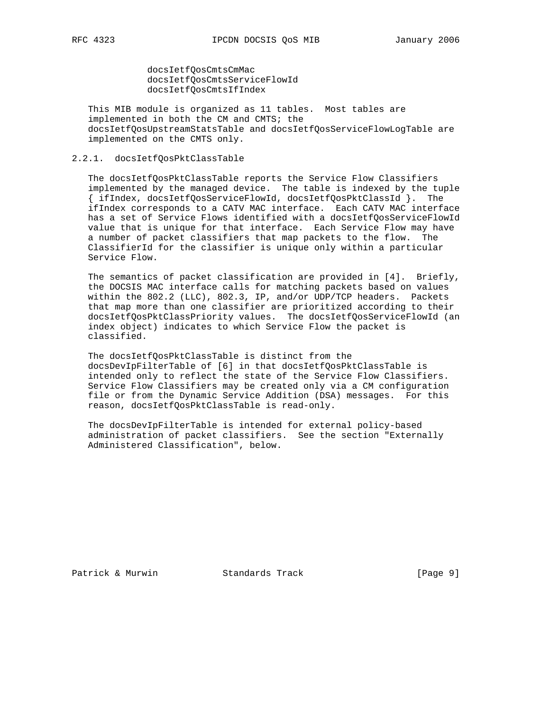docsIetfQosCmtsCmMac docsIetfQosCmtsServiceFlowId docsIetfQosCmtsIfIndex

 This MIB module is organized as 11 tables. Most tables are implemented in both the CM and CMTS; the docsIetfQosUpstreamStatsTable and docsIetfQosServiceFlowLogTable are implemented on the CMTS only.

# 2.2.1. docsIetfQosPktClassTable

 The docsIetfQosPktClassTable reports the Service Flow Classifiers implemented by the managed device. The table is indexed by the tuple { ifIndex, docsIetfQosServiceFlowId, docsIetfQosPktClassId }. The ifIndex corresponds to a CATV MAC interface. Each CATV MAC interface has a set of Service Flows identified with a docsIetfQosServiceFlowId value that is unique for that interface. Each Service Flow may have a number of packet classifiers that map packets to the flow. The ClassifierId for the classifier is unique only within a particular Service Flow.

 The semantics of packet classification are provided in [4]. Briefly, the DOCSIS MAC interface calls for matching packets based on values within the 802.2 (LLC), 802.3, IP, and/or UDP/TCP headers. Packets that map more than one classifier are prioritized according to their docsIetfQosPktClassPriority values. The docsIetfQosServiceFlowId (an index object) indicates to which Service Flow the packet is classified.

 The docsIetfQosPktClassTable is distinct from the docsDevIpFilterTable of [6] in that docsIetfQosPktClassTable is intended only to reflect the state of the Service Flow Classifiers. Service Flow Classifiers may be created only via a CM configuration file or from the Dynamic Service Addition (DSA) messages. For this reason, docsIetfQosPktClassTable is read-only.

 The docsDevIpFilterTable is intended for external policy-based administration of packet classifiers. See the section "Externally Administered Classification", below.

Patrick & Murwin Standards Track [Page 9]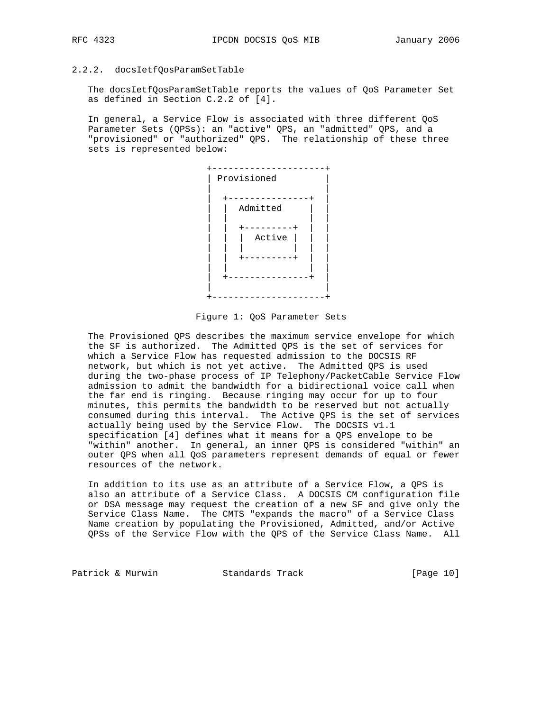# 2.2.2. docsIetfQosParamSetTable

 The docsIetfQosParamSetTable reports the values of QoS Parameter Set as defined in Section C.2.2 of [4].

 In general, a Service Flow is associated with three different QoS Parameter Sets (QPSs): an "active" QPS, an "admitted" QPS, and a "provisioned" or "authorized" QPS. The relationship of these three sets is represented below:



Figure 1: QoS Parameter Sets

 The Provisioned QPS describes the maximum service envelope for which the SF is authorized. The Admitted QPS is the set of services for which a Service Flow has requested admission to the DOCSIS RF network, but which is not yet active. The Admitted QPS is used during the two-phase process of IP Telephony/PacketCable Service Flow admission to admit the bandwidth for a bidirectional voice call when the far end is ringing. Because ringing may occur for up to four minutes, this permits the bandwidth to be reserved but not actually consumed during this interval. The Active QPS is the set of services actually being used by the Service Flow. The DOCSIS v1.1 specification [4] defines what it means for a QPS envelope to be "within" another. In general, an inner QPS is considered "within" an outer QPS when all QoS parameters represent demands of equal or fewer resources of the network.

 In addition to its use as an attribute of a Service Flow, a QPS is also an attribute of a Service Class. A DOCSIS CM configuration file or DSA message may request the creation of a new SF and give only the Service Class Name. The CMTS "expands the macro" of a Service Class Name creation by populating the Provisioned, Admitted, and/or Active QPSs of the Service Flow with the QPS of the Service Class Name. All

Patrick & Murwin Standards Track [Page 10]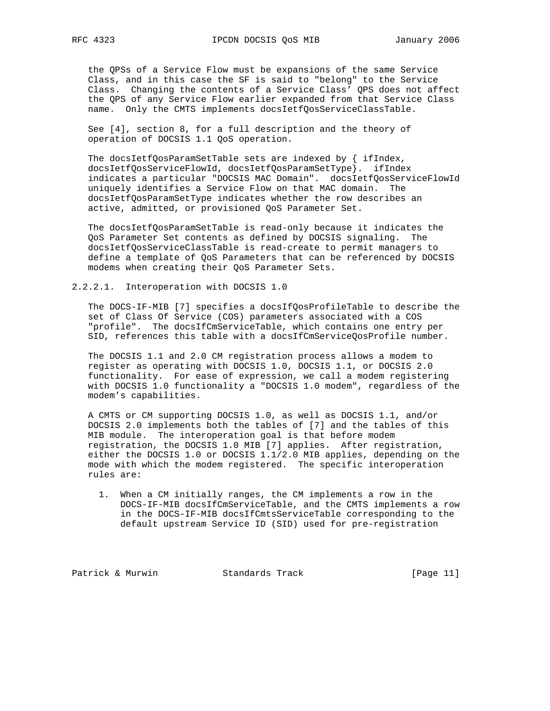the QPSs of a Service Flow must be expansions of the same Service Class, and in this case the SF is said to "belong" to the Service Class. Changing the contents of a Service Class' QPS does not affect the QPS of any Service Flow earlier expanded from that Service Class name. Only the CMTS implements docsIetfQosServiceClassTable.

 See [4], section 8, for a full description and the theory of operation of DOCSIS 1.1 QoS operation.

The docsIetfQosParamSetTable sets are indexed by  $\int$  ifIndex, docsIetfQosServiceFlowId, docsIetfQosParamSetType}. ifIndex indicates a particular "DOCSIS MAC Domain". docsIetfQosServiceFlowId uniquely identifies a Service Flow on that MAC domain. The docsIetfQosParamSetType indicates whether the row describes an active, admitted, or provisioned QoS Parameter Set.

 The docsIetfQosParamSetTable is read-only because it indicates the QoS Parameter Set contents as defined by DOCSIS signaling. The docsIetfQosServiceClassTable is read-create to permit managers to define a template of QoS Parameters that can be referenced by DOCSIS modems when creating their QoS Parameter Sets.

### 2.2.2.1. Interoperation with DOCSIS 1.0

 The DOCS-IF-MIB [7] specifies a docsIfQosProfileTable to describe the set of Class Of Service (COS) parameters associated with a COS "profile". The docsIfCmServiceTable, which contains one entry per SID, references this table with a docsIfCmServiceQosProfile number.

 The DOCSIS 1.1 and 2.0 CM registration process allows a modem to register as operating with DOCSIS 1.0, DOCSIS 1.1, or DOCSIS 2.0 functionality. For ease of expression, we call a modem registering with DOCSIS 1.0 functionality a "DOCSIS 1.0 modem", regardless of the modem's capabilities.

 A CMTS or CM supporting DOCSIS 1.0, as well as DOCSIS 1.1, and/or DOCSIS 2.0 implements both the tables of [7] and the tables of this MIB module. The interoperation goal is that before modem registration, the DOCSIS 1.0 MIB [7] applies. After registration, either the DOCSIS 1.0 or DOCSIS 1.1/2.0 MIB applies, depending on the mode with which the modem registered. The specific interoperation rules are:

 1. When a CM initially ranges, the CM implements a row in the DOCS-IF-MIB docsIfCmServiceTable, and the CMTS implements a row in the DOCS-IF-MIB docsIfCmtsServiceTable corresponding to the default upstream Service ID (SID) used for pre-registration

Patrick & Murwin Standards Track [Page 11]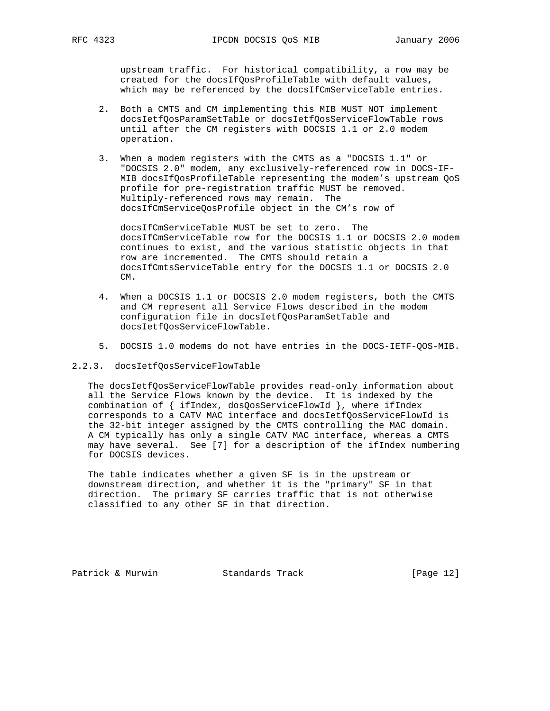upstream traffic. For historical compatibility, a row may be created for the docsIfQosProfileTable with default values, which may be referenced by the docsIfCmServiceTable entries.

- 2. Both a CMTS and CM implementing this MIB MUST NOT implement docsIetfQosParamSetTable or docsIetfQosServiceFlowTable rows until after the CM registers with DOCSIS 1.1 or 2.0 modem operation.
- 3. When a modem registers with the CMTS as a "DOCSIS 1.1" or "DOCSIS 2.0" modem, any exclusively-referenced row in DOCS-IF- MIB docsIfQosProfileTable representing the modem's upstream QoS profile for pre-registration traffic MUST be removed. Multiply-referenced rows may remain. The docsIfCmServiceQosProfile object in the CM's row of

 docsIfCmServiceTable MUST be set to zero. The docsIfCmServiceTable row for the DOCSIS 1.1 or DOCSIS 2.0 modem continues to exist, and the various statistic objects in that row are incremented. The CMTS should retain a docsIfCmtsServiceTable entry for the DOCSIS 1.1 or DOCSIS 2.0  $CM$ .

- 4. When a DOCSIS 1.1 or DOCSIS 2.0 modem registers, both the CMTS and CM represent all Service Flows described in the modem configuration file in docsIetfQosParamSetTable and docsIetfQosServiceFlowTable.
- 5. DOCSIS 1.0 modems do not have entries in the DOCS-IETF-QOS-MIB.
- 2.2.3. docsIetfQosServiceFlowTable

 The docsIetfQosServiceFlowTable provides read-only information about all the Service Flows known by the device. It is indexed by the combination of { ifIndex, dosQosServiceFlowId }, where ifIndex corresponds to a CATV MAC interface and docsIetfQosServiceFlowId is the 32-bit integer assigned by the CMTS controlling the MAC domain. A CM typically has only a single CATV MAC interface, whereas a CMTS may have several. See [7] for a description of the ifIndex numbering for DOCSIS devices.

 The table indicates whether a given SF is in the upstream or downstream direction, and whether it is the "primary" SF in that direction. The primary SF carries traffic that is not otherwise classified to any other SF in that direction.

Patrick & Murwin Standards Track [Page 12]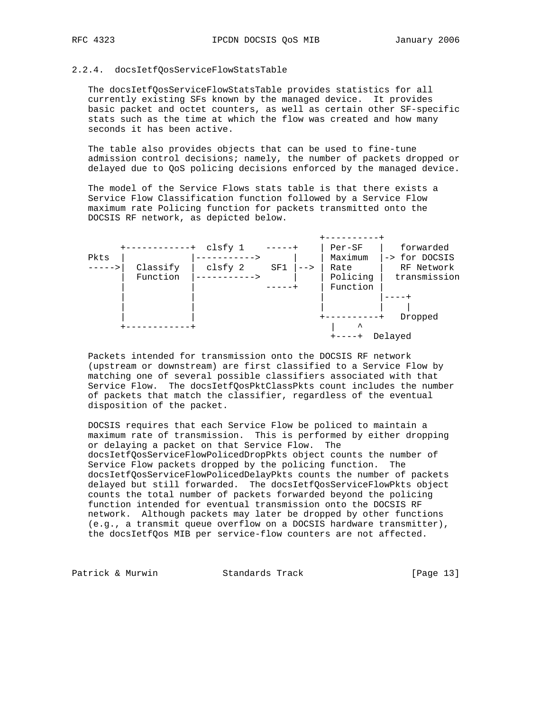#### 2.2.4. docsIetfQosServiceFlowStatsTable

 The docsIetfQosServiceFlowStatsTable provides statistics for all currently existing SFs known by the managed device. It provides basic packet and octet counters, as well as certain other SF-specific stats such as the time at which the flow was created and how many seconds it has been active.

 The table also provides objects that can be used to fine-tune admission control decisions; namely, the number of packets dropped or delayed due to QoS policing decisions enforced by the managed device.

 The model of the Service Flows stats table is that there exists a Service Flow Classification function followed by a Service Flow maximum rate Policing function for packets transmitted onto the DOCSIS RF network, as depicted below.



 Packets intended for transmission onto the DOCSIS RF network (upstream or downstream) are first classified to a Service Flow by matching one of several possible classifiers associated with that Service Flow. The docsIetfQosPktClassPkts count includes the number of packets that match the classifier, regardless of the eventual disposition of the packet.

 DOCSIS requires that each Service Flow be policed to maintain a maximum rate of transmission. This is performed by either dropping or delaying a packet on that Service Flow. The docsIetfQosServiceFlowPolicedDropPkts object counts the number of Service Flow packets dropped by the policing function. The docsIetfQosServiceFlowPolicedDelayPkts counts the number of packets delayed but still forwarded. The docsIetfQosServiceFlowPkts object counts the total number of packets forwarded beyond the policing function intended for eventual transmission onto the DOCSIS RF network. Although packets may later be dropped by other functions (e.g., a transmit queue overflow on a DOCSIS hardware transmitter), the docsIetfQos MIB per service-flow counters are not affected.

Patrick & Murwin Standards Track [Page 13]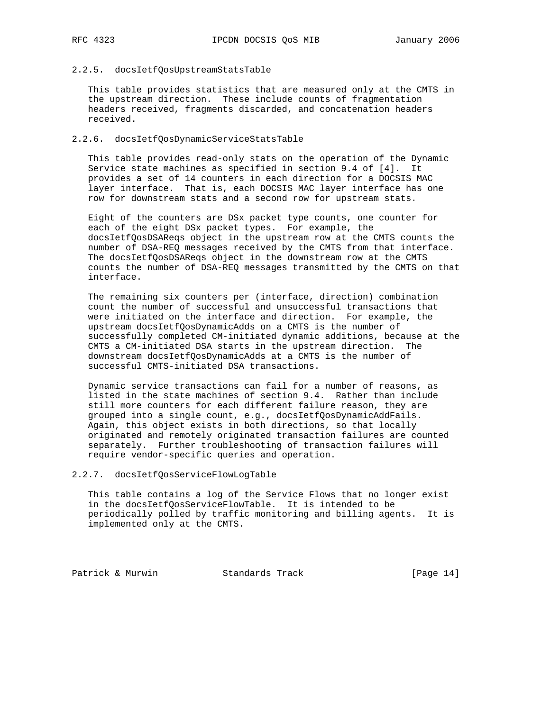# 2.2.5. docsIetfQosUpstreamStatsTable

 This table provides statistics that are measured only at the CMTS in the upstream direction. These include counts of fragmentation headers received, fragments discarded, and concatenation headers received.

#### 2.2.6. docsIetfQosDynamicServiceStatsTable

 This table provides read-only stats on the operation of the Dynamic Service state machines as specified in section 9.4 of [4]. It provides a set of 14 counters in each direction for a DOCSIS MAC layer interface. That is, each DOCSIS MAC layer interface has one row for downstream stats and a second row for upstream stats.

 Eight of the counters are DSx packet type counts, one counter for each of the eight DSx packet types. For example, the docsIetfQosDSAReqs object in the upstream row at the CMTS counts the number of DSA-REQ messages received by the CMTS from that interface. The docsIetfQosDSAReqs object in the downstream row at the CMTS counts the number of DSA-REQ messages transmitted by the CMTS on that interface.

 The remaining six counters per (interface, direction) combination count the number of successful and unsuccessful transactions that were initiated on the interface and direction. For example, the upstream docsIetfQosDynamicAdds on a CMTS is the number of successfully completed CM-initiated dynamic additions, because at the CMTS a CM-initiated DSA starts in the upstream direction. The downstream docsIetfQosDynamicAdds at a CMTS is the number of successful CMTS-initiated DSA transactions.

 Dynamic service transactions can fail for a number of reasons, as listed in the state machines of section 9.4. Rather than include still more counters for each different failure reason, they are grouped into a single count, e.g., docsIetfQosDynamicAddFails. Again, this object exists in both directions, so that locally originated and remotely originated transaction failures are counted separately. Further troubleshooting of transaction failures will require vendor-specific queries and operation.

# 2.2.7. docsIetfQosServiceFlowLogTable

 This table contains a log of the Service Flows that no longer exist in the docsIetfQosServiceFlowTable. It is intended to be periodically polled by traffic monitoring and billing agents. It is implemented only at the CMTS.

Patrick & Murwin Standards Track [Page 14]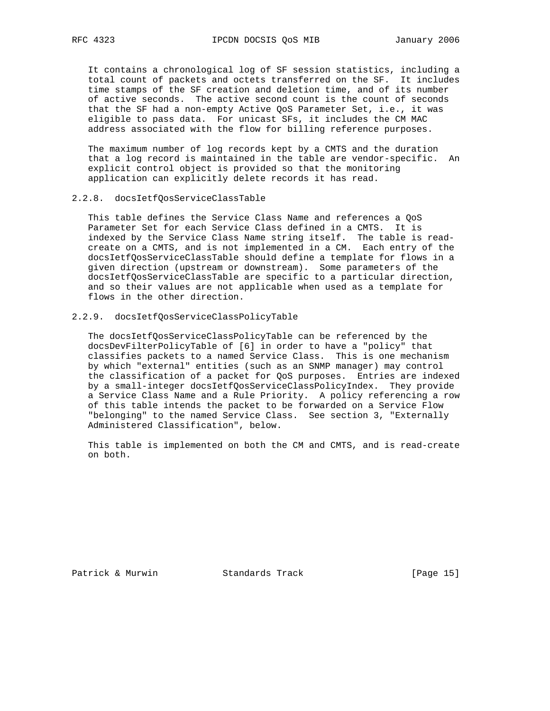It contains a chronological log of SF session statistics, including a total count of packets and octets transferred on the SF. It includes time stamps of the SF creation and deletion time, and of its number of active seconds. The active second count is the count of seconds that the SF had a non-empty Active QoS Parameter Set, i.e., it was eligible to pass data. For unicast SFs, it includes the CM MAC address associated with the flow for billing reference purposes.

 The maximum number of log records kept by a CMTS and the duration that a log record is maintained in the table are vendor-specific. An explicit control object is provided so that the monitoring application can explicitly delete records it has read.

### 2.2.8. docsIetfQosServiceClassTable

 This table defines the Service Class Name and references a QoS Parameter Set for each Service Class defined in a CMTS. It is indexed by the Service Class Name string itself. The table is read create on a CMTS, and is not implemented in a CM. Each entry of the docsIetfQosServiceClassTable should define a template for flows in a given direction (upstream or downstream). Some parameters of the docsIetfQosServiceClassTable are specific to a particular direction, and so their values are not applicable when used as a template for flows in the other direction.

# 2.2.9. docsIetfQosServiceClassPolicyTable

 The docsIetfQosServiceClassPolicyTable can be referenced by the docsDevFilterPolicyTable of [6] in order to have a "policy" that classifies packets to a named Service Class. This is one mechanism by which "external" entities (such as an SNMP manager) may control the classification of a packet for QoS purposes. Entries are indexed by a small-integer docsIetfQosServiceClassPolicyIndex. They provide a Service Class Name and a Rule Priority. A policy referencing a row of this table intends the packet to be forwarded on a Service Flow "belonging" to the named Service Class. See section 3, "Externally Administered Classification", below.

 This table is implemented on both the CM and CMTS, and is read-create on both.

Patrick & Murwin Standards Track [Page 15]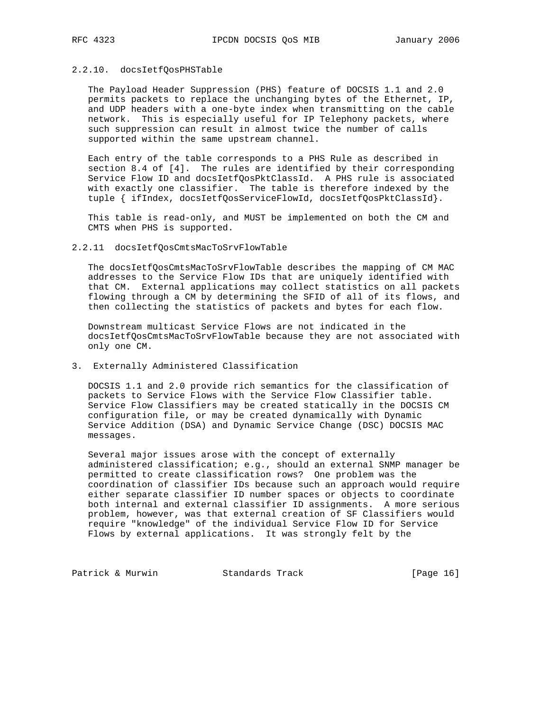# 2.2.10. docsIetfQosPHSTable

 The Payload Header Suppression (PHS) feature of DOCSIS 1.1 and 2.0 permits packets to replace the unchanging bytes of the Ethernet, IP, and UDP headers with a one-byte index when transmitting on the cable network. This is especially useful for IP Telephony packets, where such suppression can result in almost twice the number of calls supported within the same upstream channel.

 Each entry of the table corresponds to a PHS Rule as described in section 8.4 of [4]. The rules are identified by their corresponding Service Flow ID and docsIetfQosPktClassId. A PHS rule is associated with exactly one classifier. The table is therefore indexed by the tuple { ifIndex, docsIetfQosServiceFlowId, docsIetfQosPktClassId}.

 This table is read-only, and MUST be implemented on both the CM and CMTS when PHS is supported.

#### 2.2.11 docsIetfQosCmtsMacToSrvFlowTable

 The docsIetfQosCmtsMacToSrvFlowTable describes the mapping of CM MAC addresses to the Service Flow IDs that are uniquely identified with that CM. External applications may collect statistics on all packets flowing through a CM by determining the SFID of all of its flows, and then collecting the statistics of packets and bytes for each flow.

 Downstream multicast Service Flows are not indicated in the docsIetfQosCmtsMacToSrvFlowTable because they are not associated with only one CM.

# 3. Externally Administered Classification

 DOCSIS 1.1 and 2.0 provide rich semantics for the classification of packets to Service Flows with the Service Flow Classifier table. Service Flow Classifiers may be created statically in the DOCSIS CM configuration file, or may be created dynamically with Dynamic Service Addition (DSA) and Dynamic Service Change (DSC) DOCSIS MAC messages.

 Several major issues arose with the concept of externally administered classification; e.g., should an external SNMP manager be permitted to create classification rows? One problem was the coordination of classifier IDs because such an approach would require either separate classifier ID number spaces or objects to coordinate both internal and external classifier ID assignments. A more serious problem, however, was that external creation of SF Classifiers would require "knowledge" of the individual Service Flow ID for Service Flows by external applications. It was strongly felt by the

Patrick & Murwin Standards Track [Page 16]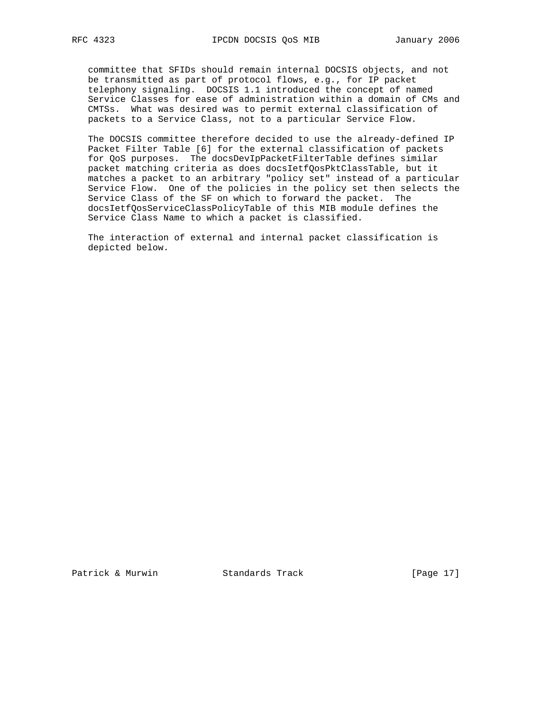committee that SFIDs should remain internal DOCSIS objects, and not be transmitted as part of protocol flows, e.g., for IP packet telephony signaling. DOCSIS 1.1 introduced the concept of named Service Classes for ease of administration within a domain of CMs and CMTSs. What was desired was to permit external classification of packets to a Service Class, not to a particular Service Flow.

 The DOCSIS committee therefore decided to use the already-defined IP Packet Filter Table [6] for the external classification of packets for QoS purposes. The docsDevIpPacketFilterTable defines similar packet matching criteria as does docsIetfQosPktClassTable, but it matches a packet to an arbitrary "policy set" instead of a particular Service Flow. One of the policies in the policy set then selects the Service Class of the SF on which to forward the packet. The docsIetfQosServiceClassPolicyTable of this MIB module defines the Service Class Name to which a packet is classified.

 The interaction of external and internal packet classification is depicted below.

Patrick & Murwin Standards Track [Page 17]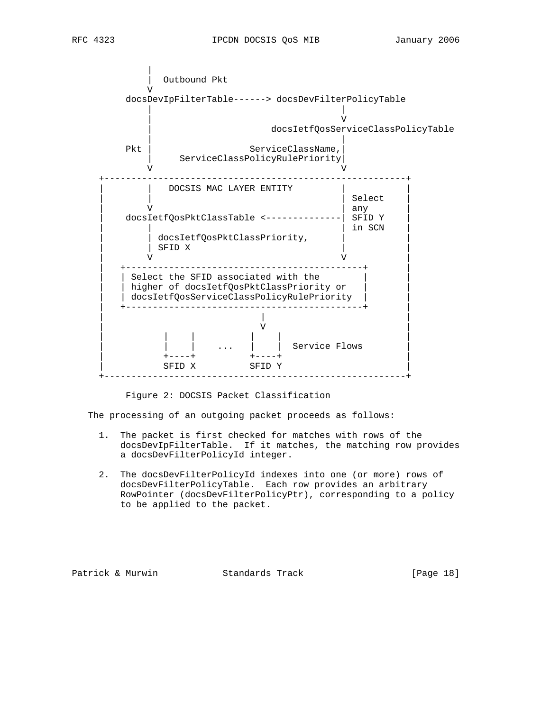

# Figure 2: DOCSIS Packet Classification

The processing of an outgoing packet proceeds as follows:

- 1. The packet is first checked for matches with rows of the docsDevIpFilterTable. If it matches, the matching row provides a docsDevFilterPolicyId integer.
- 2. The docsDevFilterPolicyId indexes into one (or more) rows of docsDevFilterPolicyTable. Each row provides an arbitrary RowPointer (docsDevFilterPolicyPtr), corresponding to a policy to be applied to the packet.

Patrick & Murwin Standards Track [Page 18]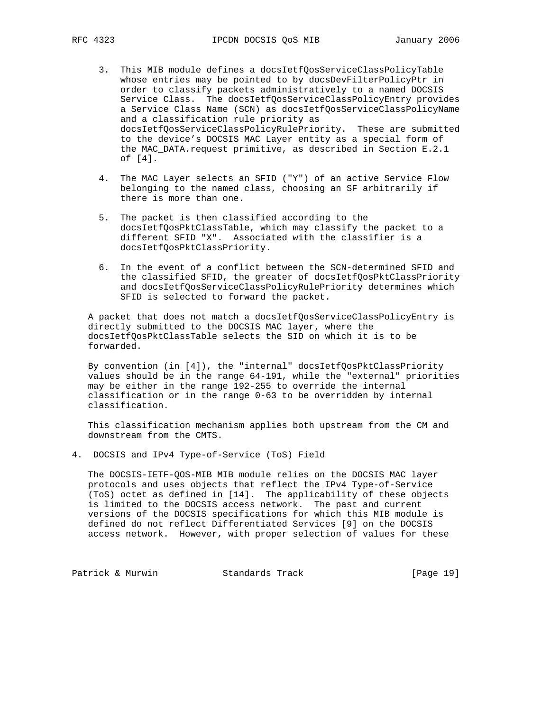- 3. This MIB module defines a docsIetfQosServiceClassPolicyTable whose entries may be pointed to by docsDevFilterPolicyPtr in order to classify packets administratively to a named DOCSIS Service Class. The docsIetfQosServiceClassPolicyEntry provides a Service Class Name (SCN) as docsIetfQosServiceClassPolicyName and a classification rule priority as docsIetfQosServiceClassPolicyRulePriority. These are submitted to the device's DOCSIS MAC Layer entity as a special form of the MAC\_DATA.request primitive, as described in Section E.2.1 of [4].
- 4. The MAC Layer selects an SFID ("Y") of an active Service Flow belonging to the named class, choosing an SF arbitrarily if there is more than one.
- 5. The packet is then classified according to the docsIetfQosPktClassTable, which may classify the packet to a different SFID "X". Associated with the classifier is a docsIetfQosPktClassPriority.
- 6. In the event of a conflict between the SCN-determined SFID and the classified SFID, the greater of docsIetfQosPktClassPriority and docsIetfQosServiceClassPolicyRulePriority determines which SFID is selected to forward the packet.

 A packet that does not match a docsIetfQosServiceClassPolicyEntry is directly submitted to the DOCSIS MAC layer, where the docsIetfQosPktClassTable selects the SID on which it is to be forwarded.

 By convention (in [4]), the "internal" docsIetfQosPktClassPriority values should be in the range 64-191, while the "external" priorities may be either in the range 192-255 to override the internal classification or in the range 0-63 to be overridden by internal classification.

 This classification mechanism applies both upstream from the CM and downstream from the CMTS.

4. DOCSIS and IPv4 Type-of-Service (ToS) Field

 The DOCSIS-IETF-QOS-MIB MIB module relies on the DOCSIS MAC layer protocols and uses objects that reflect the IPv4 Type-of-Service (ToS) octet as defined in [14]. The applicability of these objects is limited to the DOCSIS access network. The past and current versions of the DOCSIS specifications for which this MIB module is defined do not reflect Differentiated Services [9] on the DOCSIS access network. However, with proper selection of values for these

Patrick & Murwin Standards Track [Page 19]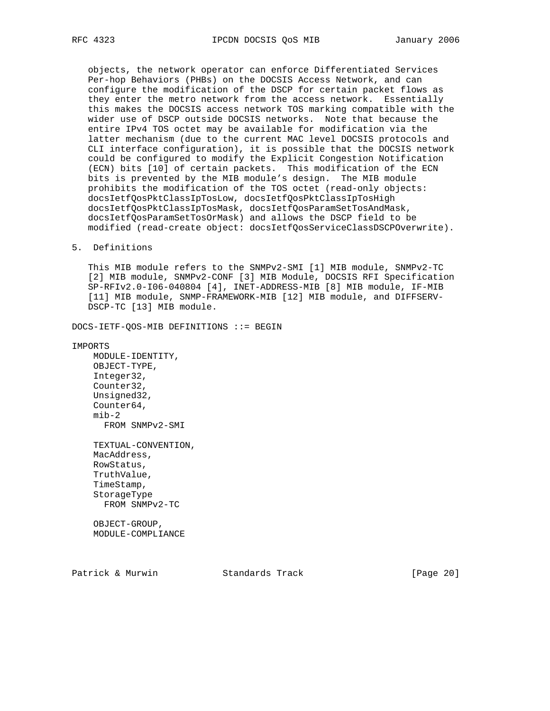objects, the network operator can enforce Differentiated Services Per-hop Behaviors (PHBs) on the DOCSIS Access Network, and can configure the modification of the DSCP for certain packet flows as they enter the metro network from the access network. Essentially this makes the DOCSIS access network TOS marking compatible with the wider use of DSCP outside DOCSIS networks. Note that because the entire IPv4 TOS octet may be available for modification via the latter mechanism (due to the current MAC level DOCSIS protocols and CLI interface configuration), it is possible that the DOCSIS network could be configured to modify the Explicit Congestion Notification (ECN) bits [10] of certain packets. This modification of the ECN bits is prevented by the MIB module's design. The MIB module prohibits the modification of the TOS octet (read-only objects: docsIetfQosPktClassIpTosLow, docsIetfQosPktClassIpTosHigh docsIetfQosPktClassIpTosMask, docsIetfQosParamSetTosAndMask, docsIetfQosParamSetTosOrMask) and allows the DSCP field to be modified (read-create object: docsIetfQosServiceClassDSCPOverwrite).

### 5. Definitions

 This MIB module refers to the SNMPv2-SMI [1] MIB module, SNMPv2-TC [2] MIB module, SNMPv2-CONF [3] MIB Module, DOCSIS RFI Specification SP-RFIv2.0-I06-040804 [4], INET-ADDRESS-MIB [8] MIB module, IF-MIB [11] MIB module, SNMP-FRAMEWORK-MIB [12] MIB module, and DIFFSERV- DSCP-TC [13] MIB module.

DOCS-IETF-QOS-MIB DEFINITIONS ::= BEGIN

IMPORTS

 MODULE-IDENTITY, OBJECT-TYPE, Integer32, Counter32, Unsigned32, Counter64, mib-2 FROM SNMPv2-SMI

 TEXTUAL-CONVENTION, MacAddress, RowStatus, TruthValue, TimeStamp, StorageType FROM SNMPv2-TC

 OBJECT-GROUP, MODULE-COMPLIANCE

Patrick & Murwin Standards Track [Page 20]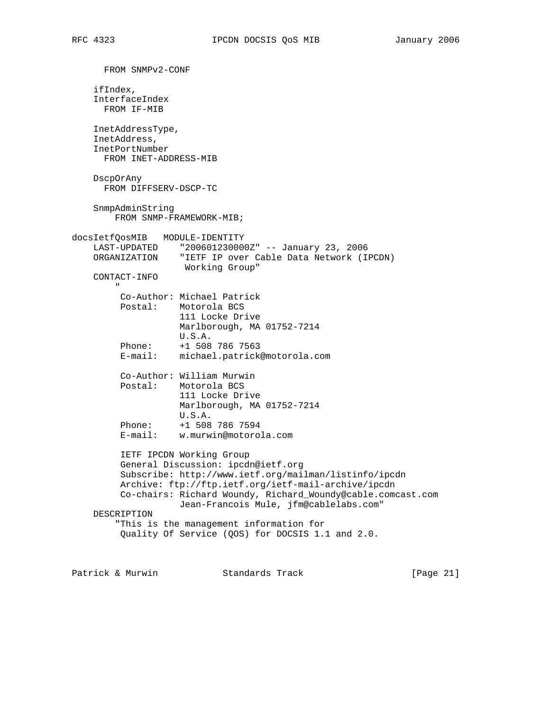```
 FROM SNMPv2-CONF
     ifIndex,
     InterfaceIndex
      FROM IF-MIB
    InetAddressType,
     InetAddress,
     InetPortNumber
      FROM INET-ADDRESS-MIB
    DscpOrAny
      FROM DIFFSERV-DSCP-TC
     SnmpAdminString
        FROM SNMP-FRAMEWORK-MIB;
docsIetfQosMIB MODULE-IDENTITY
    LAST-UPDATED "200601230000Z" -- January 23, 2006
    ORGANIZATION "IETF IP over Cable Data Network (IPCDN)
                     Working Group"
     CONTACT-INFO
 "
         Co-Author: Michael Patrick
         Postal: Motorola BCS
                     111 Locke Drive
                    Marlborough, MA 01752-7214
                    U.S.A.
 Phone: +1 508 786 7563
 E-mail: michael.patrick@motorola.com
          Co-Author: William Murwin
          Postal: Motorola BCS
                    111 Locke Drive
                    Marlborough, MA 01752-7214
                    U.S.A.
         Phone: +1 508 786 7594<br>E-mail: w.murwin@motoro
                    E-mail: w.murwin@motorola.com
          IETF IPCDN Working Group
          General Discussion: ipcdn@ietf.org
          Subscribe: http://www.ietf.org/mailman/listinfo/ipcdn
          Archive: ftp://ftp.ietf.org/ietf-mail-archive/ipcdn
          Co-chairs: Richard Woundy, Richard_Woundy@cable.comcast.com
                     Jean-Francois Mule, jfm@cablelabs.com"
     DESCRIPTION
         "This is the management information for
          Quality Of Service (QOS) for DOCSIS 1.1 and 2.0.
```
Patrick & Murwin Standards Track [Page 21]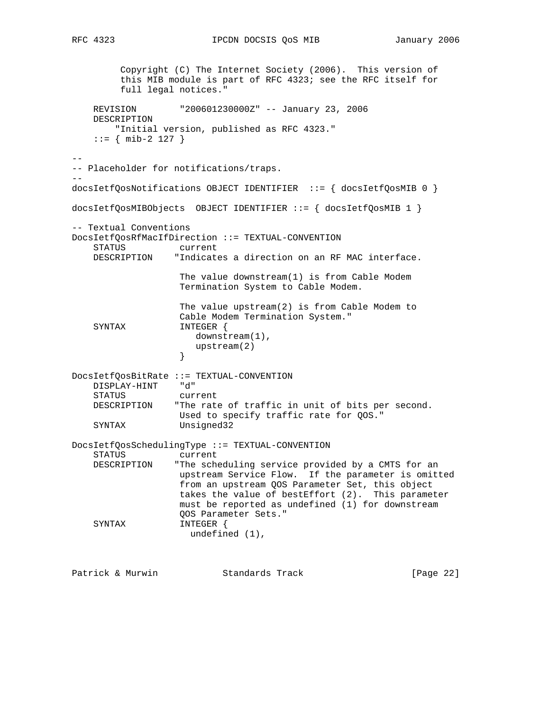```
 Copyright (C) The Internet Society (2006). This version of
         this MIB module is part of RFC 4323; see the RFC itself for
         full legal notices."
    REVISION "200601230000Z" -- January 23, 2006
    DESCRIPTION
        "Initial version, published as RFC 4323."
   ::= { mib-2 127 }
--
-- Placeholder for notifications/traps.
--
docsIetfQosNotifications OBJECT IDENTIFIER ::= { docsIetfQosMIB 0 }
docsIetfQosMIBObjects OBJECT IDENTIFIER ::= { docsIetfQosMIB 1 }
-- Textual Conventions
DocsIetfQosRfMacIfDirection ::= TEXTUAL-CONVENTION
                  current
    DESCRIPTION "Indicates a direction on an RF MAC interface.
                    The value downstream(1) is from Cable Modem
                    Termination System to Cable Modem.
                    The value upstream(2) is from Cable Modem to
                    Cable Modem Termination System."
    SYNTAX INTEGER {
                       downstream(1),
                   upstream(2)<br>}
 }
DocsIetfQosBitRate ::= TEXTUAL-CONVENTION
    DISPLAY-HINT "d"
    STATUS current
    DESCRIPTION "The rate of traffic in unit of bits per second.
                   Used to specify traffic rate for QOS."
    SYNTAX Unsigned32
DocsIetfQosSchedulingType ::= TEXTUAL-CONVENTION
    STATUS current
    DESCRIPTION "The scheduling service provided by a CMTS for an
                   upstream Service Flow. If the parameter is omitted
                    from an upstream QOS Parameter Set, this object
                    takes the value of bestEffort (2). This parameter
                    must be reported as undefined (1) for downstream
                    QOS Parameter Sets."
   SYNTAX INTEGER {
                     undefined (1),
Patrick & Murwin \qquad \qquad Standards Track \qquad \qquad [Page 22]
```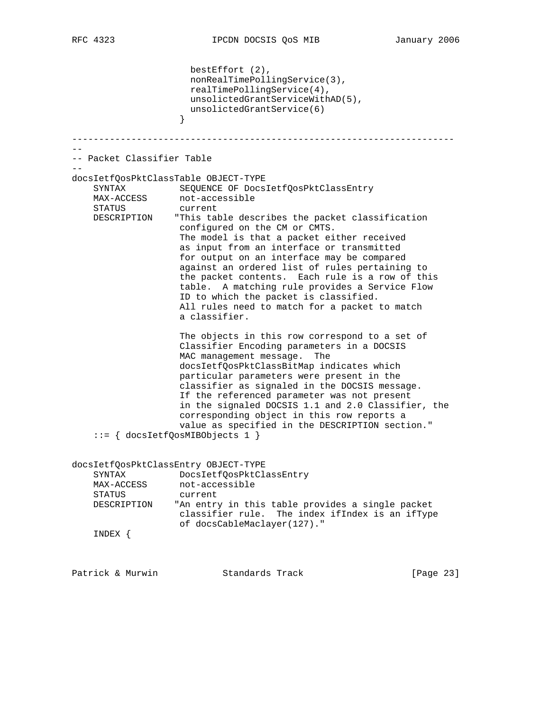```
 bestEffort (2),
                      nonRealTimePollingService(3),
                       realTimePollingService(4),
                     unsolictedGrantServiceWithAD(5),
                      unsolictedGrantService(6)
 }
-----------------------------------------------------------------------
--
-- Packet Classifier Table
--
docsIetfQosPktClassTable OBJECT-TYPE
     SYNTAX SEQUENCE OF DocsIetfQosPktClassEntry
MAX-ACCESS not-accessible
 STATUS current
    DESCRIPTION "This table describes the packet classification
                    configured on the CM or CMTS.
                    The model is that a packet either received
                    as input from an interface or transmitted
                    for output on an interface may be compared
                    against an ordered list of rules pertaining to
                    the packet contents. Each rule is a row of this
                    table. A matching rule provides a Service Flow
                    ID to which the packet is classified.
                    All rules need to match for a packet to match
                    a classifier.
                    The objects in this row correspond to a set of
                    Classifier Encoding parameters in a DOCSIS
                    MAC management message. The
                    docsIetfQosPktClassBitMap indicates which
                    particular parameters were present in the
                    classifier as signaled in the DOCSIS message.
                    If the referenced parameter was not present
                     in the signaled DOCSIS 1.1 and 2.0 Classifier, the
                    corresponding object in this row reports a
                     value as specified in the DESCRIPTION section."
     ::= { docsIetfQosMIBObjects 1 }
docsIetfQosPktClassEntry OBJECT-TYPE
    SYNTAX DocsIetfQosPktClassEntry
MAX-ACCESS not-accessible
 STATUS current
    DESCRIPTION "An entry in this table provides a single packet
                   classifier rule. The index ifIndex is an ifType
                    of docsCableMaclayer(127)."
     INDEX {
Patrick & Murwin \begin{array}{ccc} \text{Standards} & \text{Track} & \text{Simpler} & \text{[Page 23]} \end{array}
```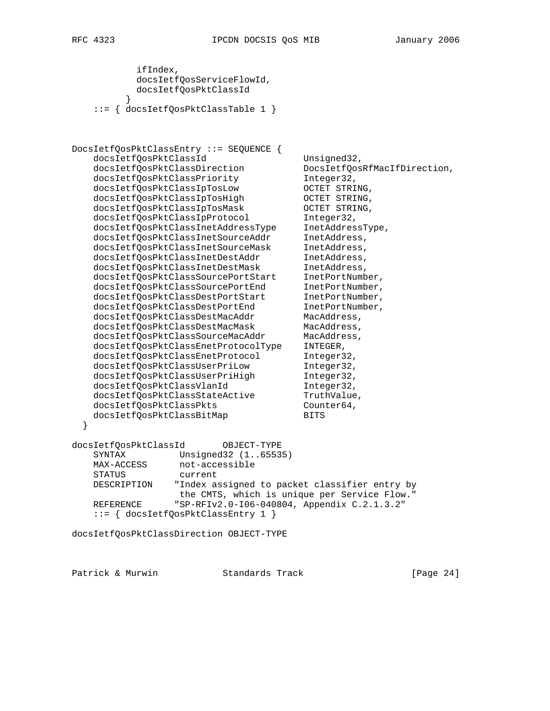```
 ifIndex,
            docsIetfQosServiceFlowId,
            docsIetfQosPktClassId
 }
    ::= { docsIetfQosPktClassTable 1 }
DocsIetfQosPktClassEntry ::= SEQUENCE {
   docsIetfQosPktClassId Unsigned32,
    docsIetfQosPktClassDirection DocsIetfQosRfMacIfDirection,
   docsIetfQosPktClassPriority Integer32,
   docsIetfQosPktClassIpTosLow OCTET STRING,<br>docsIetfQosPktClassIpTosHigh OCTET STRING,<br>docsIetfQosPktClassIpTosMask OCTET STRING,<br>docsIetfQosPktClassIpProtocol Integer32,
 docsIetfQosPktClassIpTosHigh OCTET STRING,
 docsIetfQosPktClassIpTosMask OCTET STRING,
   docsIetfQosPktClassIpProtocol
 docsIetfQosPktClassInetAddressType InetAddressType,
 docsIetfQosPktClassInetSourceAddr InetAddress,
 docsIetfQosPktClassInetSourceMask InetAddress,
 docsIetfQosPktClassInetDestAddr InetAddress,
 docsIetfQosPktClassInetDestMask InetAddress,
 docsIetfQosPktClassSourcePortStart InetPortNumber,
 docsIetfQosPktClassSourcePortEnd InetPortNumber,
 docsIetfQosPktClassDestPortStart InetPortNumber,
   docsIetfQosPktClassDestPortEnd InetPortNumber,
docsIetfQosPktClassDestMacAddr MacAddress,
 docsIetfQosPktClassDestMacMask MacAddress,
 docsIetfQosPktClassSourceMacAddr MacAddress,
    docsIetfQosPktClassEnetProtocolType INTEGER,
   docsIetfQosPktClassEnetProtocol Integer32,
   docsIetfQosPktClassUserPriLow Integer32,<br>docsIetfQosPktClassUserPriHigh Integer32,
   docsIetfQosPktClassUserPriHigh
   docsIetfQosPktClassVlanId Integer32,
   docsIetfQosPktClassStateActive TruthValue,
   docsIetfQosPktClassPkts Counter64,
   docsIetfQosPktClassBitMap BITS
  }
docsIetfQosPktClassId OBJECT-TYPE
    SYNTAX Unsigned32 (1..65535)
   MAX-ACCESS not-accessible
    STATUS current
    DESCRIPTION "Index assigned to packet classifier entry by
                   the CMTS, which is unique per Service Flow."
    REFERENCE "SP-RFIv2.0-I06-040804, Appendix C.2.1.3.2"
    ::= { docsIetfQosPktClassEntry 1 }
docsIetfQosPktClassDirection OBJECT-TYPE
```
Patrick & Murwin Standards Track [Page 24]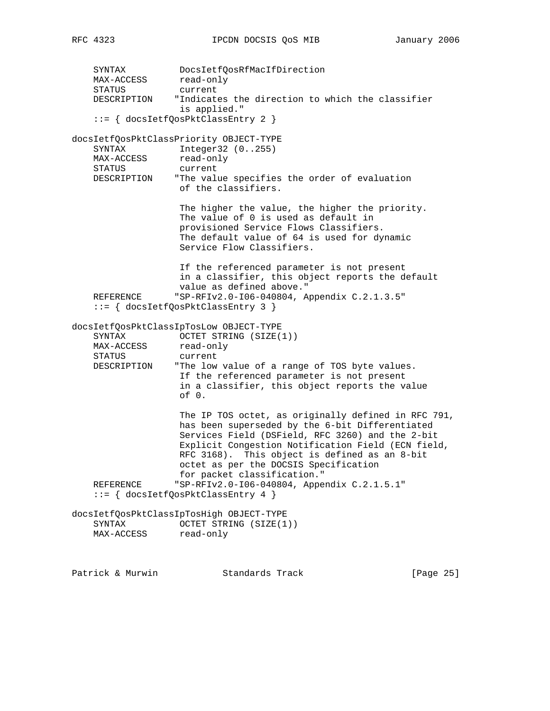SYNTAX DocsIetfQosRfMacIfDirection MAX-ACCESS read-only STATUS current DESCRIPTION "Indicates the direction to which the classifier is applied." ::= { docsIetfQosPktClassEntry 2 } docsIetfQosPktClassPriority OBJECT-TYPE SYNTAX Integer32 (0..255) MAX-ACCESS read-only STATUS current DESCRIPTION "The value specifies the order of evaluation of the classifiers. The higher the value, the higher the priority. The value of 0 is used as default in provisioned Service Flows Classifiers. The default value of 64 is used for dynamic Service Flow Classifiers. If the referenced parameter is not present in a classifier, this object reports the default value as defined above." REFERENCE "SP-RFIv2.0-I06-040804, Appendix C.2.1.3.5" ::= { docsIetfQosPktClassEntry 3 } docsIetfQosPktClassIpTosLow OBJECT-TYPE SYNTAX OCTET STRING (SIZE(1)) MAX-ACCESS read-only STATUS current DESCRIPTION "The low value of a range of TOS byte values. If the referenced parameter is not present in a classifier, this object reports the value of 0. The IP TOS octet, as originally defined in RFC 791, has been superseded by the 6-bit Differentiated Services Field (DSField, RFC 3260) and the 2-bit Explicit Congestion Notification Field (ECN field, RFC 3168). This object is defined as an 8-bit octet as per the DOCSIS Specification for packet classification." REFERENCE "SP-RFIv2.0-I06-040804, Appendix C.2.1.5.1" ::= { docsIetfQosPktClassEntry 4 } docsIetfQosPktClassIpTosHigh OBJECT-TYPE SYNTAX OCTET STRING (SIZE(1)) MAX-ACCESS read-only

Patrick & Murwin  $\begin{array}{ccc} \text{Standards} & \text{Track} & \text{Simpler} & \text{[Page 25]} \end{array}$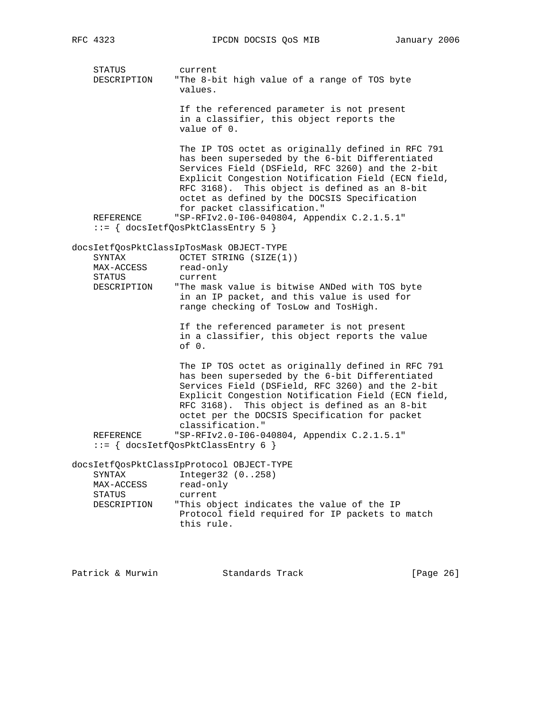STATUS current DESCRIPTION "The 8-bit high value of a range of TOS byte values. If the referenced parameter is not present in a classifier, this object reports the value of 0. The IP TOS octet as originally defined in RFC 791 has been superseded by the 6-bit Differentiated Services Field (DSField, RFC 3260) and the 2-bit Explicit Congestion Notification Field (ECN field, RFC 3168). This object is defined as an 8-bit octet as defined by the DOCSIS Specification for packet classification." REFERENCE "SP-RFIv2.0-I06-040804, Appendix C.2.1.5.1" ::= { docsIetfQosPktClassEntry 5 } docsIetfQosPktClassIpTosMask OBJECT-TYPE SYNTAX OCTET STRING (SIZE(1)) MAX-ACCESS read-only STATUS current DESCRIPTION "The mask value is bitwise ANDed with TOS byte in an IP packet, and this value is used for range checking of TosLow and TosHigh. If the referenced parameter is not present in a classifier, this object reports the value of 0. The IP TOS octet as originally defined in RFC 791 has been superseded by the 6-bit Differentiated Services Field (DSField, RFC 3260) and the 2-bit Explicit Congestion Notification Field (ECN field, RFC 3168). This object is defined as an 8-bit octet per the DOCSIS Specification for packet classification." REFERENCE "SP-RFIv2.0-I06-040804, Appendix C.2.1.5.1" ::= { docsIetfQosPktClassEntry 6 } docsIetfQosPktClassIpProtocol OBJECT-TYPE SYNTAX Integer32 (0..258) MAX-ACCESS read-only STATUS current DESCRIPTION "This object indicates the value of the IP Protocol field required for IP packets to match this rule.

Patrick & Murwin  $\begin{array}{ccc} \text{Standards} & \text{Track} & \text{Simpler} & \end{array}$  [Page 26]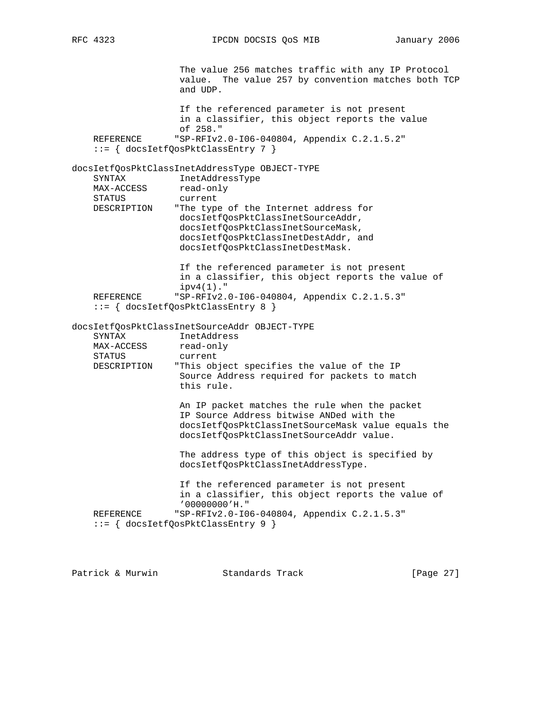RFC 4323 **IPCDN DOCSIS QOS MIB** January 2006

 The value 256 matches traffic with any IP Protocol value. The value 257 by convention matches both TCP and UDP. If the referenced parameter is not present in a classifier, this object reports the value of 258." REFERENCE "SP-RFIv2.0-I06-040804, Appendix C.2.1.5.2" ::= { docsIetfQosPktClassEntry 7 } docsIetfQosPktClassInetAddressType OBJECT-TYPE SYNTAX InetAddressType<br>MAX-ACCESS read-only SINIAM<br>MAX-ACCESS STATUS current DESCRIPTION "The type of the Internet address for docsIetfQosPktClassInetSourceAddr, docsIetfQosPktClassInetSourceMask, docsIetfQosPktClassInetDestAddr, and docsIetfQosPktClassInetDestMask. If the referenced parameter is not present in a classifier, this object reports the value of ipv4(1)." REFERENCE "SP-RFIv2.0-I06-040804, Appendix C.2.1.5.3" ::= { docsIetfQosPktClassEntry 8 } docsIetfQosPktClassInetSourceAddr OBJECT-TYPE SYNTAX InetAddress MAX-ACCESS read-only STATUS current DESCRIPTION "This object specifies the value of the IP Source Address required for packets to match this rule. An IP packet matches the rule when the packet IP Source Address bitwise ANDed with the docsIetfQosPktClassInetSourceMask value equals the docsIetfQosPktClassInetSourceAddr value. The address type of this object is specified by docsIetfQosPktClassInetAddressType. If the referenced parameter is not present in a classifier, this object reports the value of '00000000'H." REFERENCE "SP-RFIv2.0-I06-040804, Appendix C.2.1.5.3" ::= { docsIetfQosPktClassEntry 9 }

Patrick & Murwin  $\qquad \qquad$  Standards Track [Page 27]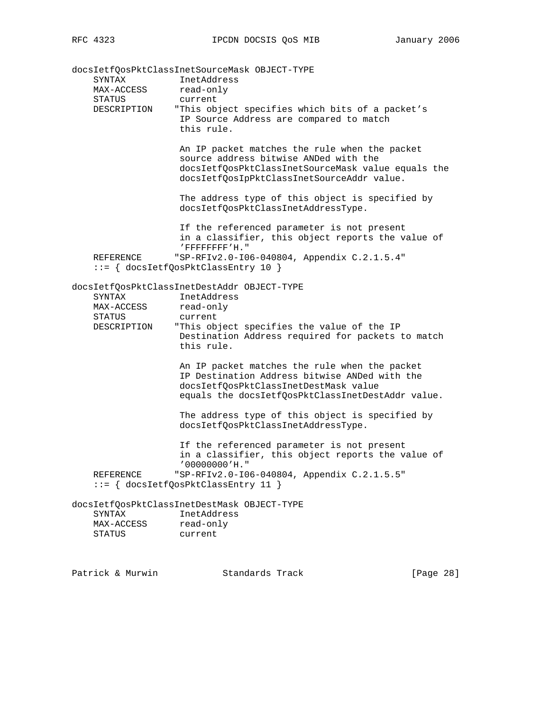docsIetfQosPktClassInetSourceMask OBJECT-TYPE SYNTAX InetAddress MAX-ACCESS read-only STATUS current DESCRIPTION "This object specifies which bits of a packet's IP Source Address are compared to match this rule. An IP packet matches the rule when the packet source address bitwise ANDed with the docsIetfQosPktClassInetSourceMask value equals the docsIetfQosIpPktClassInetSourceAddr value. The address type of this object is specified by docsIetfQosPktClassInetAddressType. If the referenced parameter is not present in a classifier, this object reports the value of 'FFFFFFFF'H." REFERENCE "SP-RFIv2.0-I06-040804, Appendix C.2.1.5.4" ::= { docsIetfQosPktClassEntry 10 } docsIetfQosPktClassInetDestAddr OBJECT-TYPE SYNTAX InetAddress MAX-ACCESS read-only STATUS current DESCRIPTION "This object specifies the value of the IP Destination Address required for packets to match this rule. An IP packet matches the rule when the packet IP Destination Address bitwise ANDed with the docsIetfQosPktClassInetDestMask value equals the docsIetfQosPktClassInetDestAddr value. The address type of this object is specified by docsIetfQosPktClassInetAddressType. If the referenced parameter is not present in a classifier, this object reports the value of '00000000'H." REFERENCE "SP-RFIv2.0-I06-040804, Appendix C.2.1.5.5" ::= { docsIetfQosPktClassEntry 11 } docsIetfQosPktClassInetDestMask OBJECT-TYPE SYNTAX InetAddress MAX-ACCESS read-only STATUS current

Patrick & Murwin  $\begin{array}{ccc} \text{Standards} & \text{Track} & \text{Simpler} & \text{[Page 28]} \end{array}$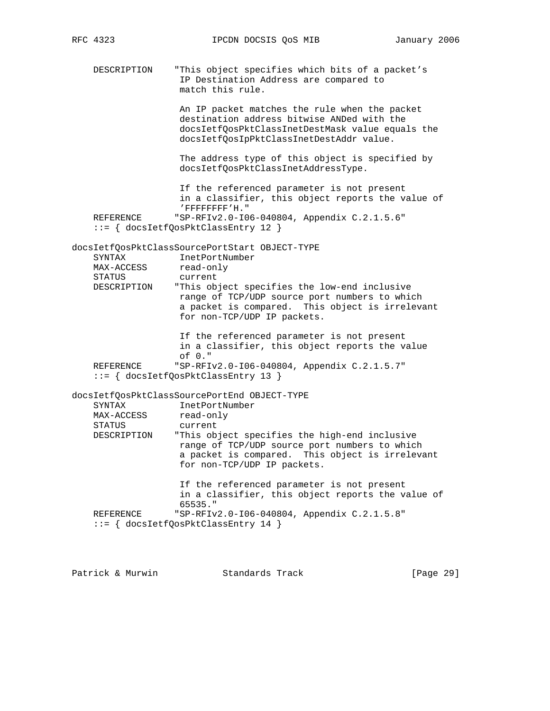RFC 4323 **IPCDN DOCSIS QOS MIB** January 2006

 DESCRIPTION "This object specifies which bits of a packet's IP Destination Address are compared to match this rule.

> An IP packet matches the rule when the packet destination address bitwise ANDed with the docsIetfQosPktClassInetDestMask value equals the docsIetfQosIpPktClassInetDestAddr value.

 The address type of this object is specified by docsIetfQosPktClassInetAddressType.

 If the referenced parameter is not present in a classifier, this object reports the value of 'FFFFFFFF'H." REFERENCE "SP-RFIv2.0-I06-040804, Appendix C.2.1.5.6" ::= { docsIetfQosPktClassEntry 12 }

docsIetfQosPktClassSourcePortStart OBJECT-TYPE SYNTAX InetPortNumber MAX-ACCESS read-only STATUS current DESCRIPTION "This object specifies the low-end inclusive range of TCP/UDP source port numbers to which

 a packet is compared. This object is irrelevant for non-TCP/UDP IP packets.

 If the referenced parameter is not present in a classifier, this object reports the value of 0." REFERENCE "SP-RFIv2.0-I06-040804, Appendix C.2.1.5.7" ::= { docsIetfQosPktClassEntry 13 }

docsIetfQosPktClassSourcePortEnd OBJECT-TYPE

| SYNTAX        | InetPortNumber                                                                                                                                                                   |
|---------------|----------------------------------------------------------------------------------------------------------------------------------------------------------------------------------|
| MAX-ACCESS    | read-only                                                                                                                                                                        |
| <b>STATUS</b> | current                                                                                                                                                                          |
| DESCRIPTION   | "This object specifies the high-end inclusive<br>range of TCP/UDP source port numbers to which<br>a packet is compared. This object is irrelevant<br>for non-TCP/UDP IP packets. |
|               | If the referenced parameter is not present<br>in a classifier, this object reports the value of<br>$65535.$ "                                                                    |
| REFERENCE     | "SP-RFIv2.0-106-040804, Appendix C.2.1.5.8"                                                                                                                                      |

::= { docsIetfQosPktClassEntry 14 }

Patrick & Murwin  $\begin{array}{ccc} \text{Standards} & \text{Track} & \text{Simpler} \end{array}$  [Page 29]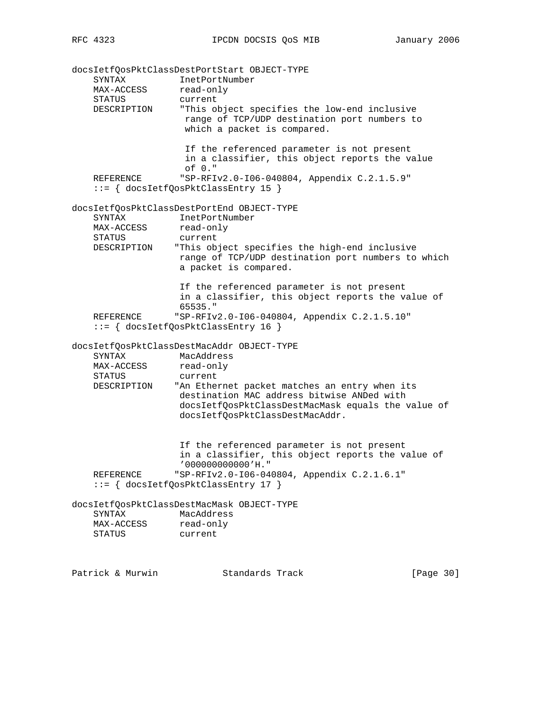docsIetfQosPktClassDestPortStart OBJECT-TYPE SYNTAX InetPortNumber MAX-ACCESS read-only STATUS current DESCRIPTION "This object specifies the low-end inclusive range of TCP/UDP destination port numbers to which a packet is compared. If the referenced parameter is not present in a classifier, this object reports the value of 0." REFERENCE "SP-RFIv2.0-I06-040804, Appendix C.2.1.5.9" ::= { docsIetfQosPktClassEntry 15 } docsIetfQosPktClassDestPortEnd OBJECT-TYPE SYNTAX InetPortNumber MAX-ACCESS read-only STATUS current DESCRIPTION "This object specifies the high-end inclusive range of TCP/UDP destination port numbers to which a packet is compared. If the referenced parameter is not present in a classifier, this object reports the value of 65535." REFERENCE "SP-RFIv2.0-I06-040804, Appendix C.2.1.5.10" ::= { docsIetfQosPktClassEntry 16 } docsIetfQosPktClassDestMacAddr OBJECT-TYPE SYNTAX MacAddress MAX-ACCESS read-only STATUS current DESCRIPTION "An Ethernet packet matches an entry when its destination MAC address bitwise ANDed with docsIetfQosPktClassDestMacMask equals the value of docsIetfQosPktClassDestMacAddr. If the referenced parameter is not present in a classifier, this object reports the value of '000000000000'H." REFERENCE "SP-RFIv2.0-I06-040804, Appendix C.2.1.6.1" ::= { docsIetfQosPktClassEntry 17 } docsIetfQosPktClassDestMacMask OBJECT-TYPE SYNTAX MacAddress MAX-ACCESS read-only STATUS current

Patrick & Murwin Standards Track [Page 30]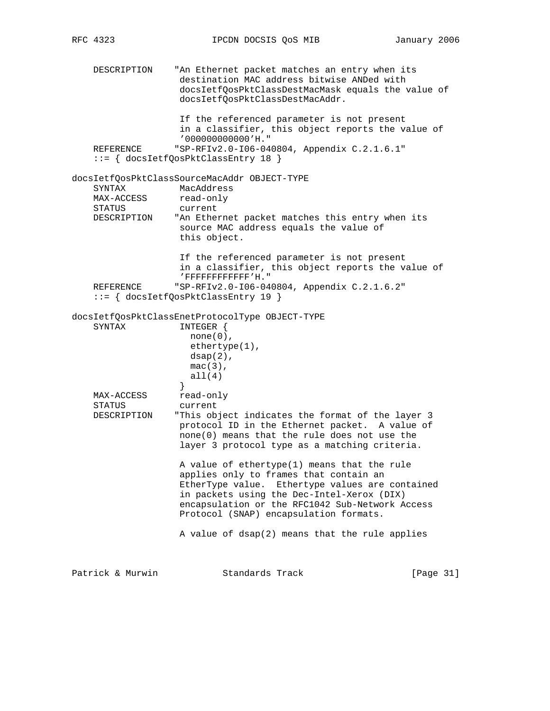DESCRIPTION "An Ethernet packet matches an entry when its destination MAC address bitwise ANDed with docsIetfQosPktClassDestMacMask equals the value of docsIetfQosPktClassDestMacAddr. If the referenced parameter is not present in a classifier, this object reports the value of '000000000000'H." REFERENCE "SP-RFIv2.0-I06-040804, Appendix C.2.1.6.1" ::= { docsIetfQosPktClassEntry 18 } docsIetfQosPktClassSourceMacAddr OBJECT-TYPE SYNTAX MacAddress MAX-ACCESS read-only STATUS current DESCRIPTION "An Ethernet packet matches this entry when its source MAC address equals the value of this object. If the referenced parameter is not present in a classifier, this object reports the value of 'FFFFFFFFFFFF'H." REFERENCE "SP-RFIv2.0-I06-040804, Appendix C.2.1.6.2" ::= { docsIetfQosPktClassEntry 19 } docsIetfQosPktClassEnetProtocolType OBJECT-TYPE SYNTAX INTEGER {  $none(0)$ , ethertype(1),  $dsap(2)$ , mac(3), all(4)<br>} } MAX-ACCESS read-only STATUS current DESCRIPTION "This object indicates the format of the layer 3 protocol ID in the Ethernet packet. A value of none(0) means that the rule does not use the layer 3 protocol type as a matching criteria. A value of ethertype(1) means that the rule applies only to frames that contain an EtherType value. Ethertype values are contained in packets using the Dec-Intel-Xerox (DIX) encapsulation or the RFC1042 Sub-Network Access Protocol (SNAP) encapsulation formats. A value of dsap(2) means that the rule applies Patrick & Murwin Standards Track [Page 31]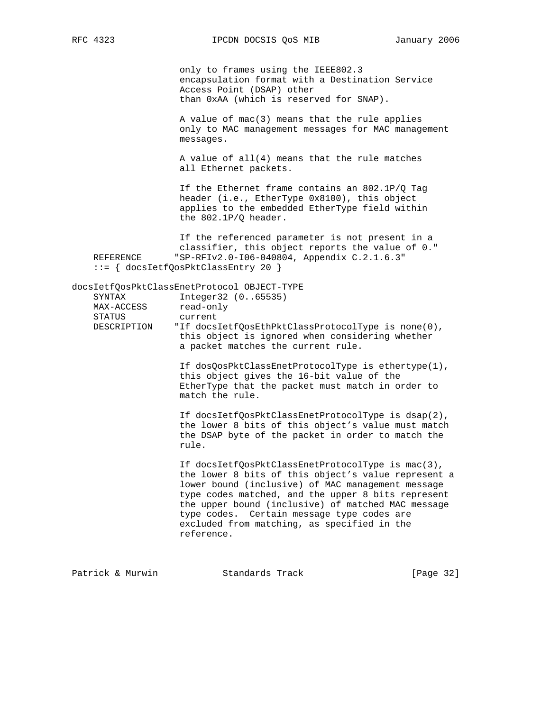only to frames using the IEEE802.3 encapsulation format with a Destination Service Access Point (DSAP) other than 0xAA (which is reserved for SNAP).

 A value of mac(3) means that the rule applies only to MAC management messages for MAC management messages.

 A value of all(4) means that the rule matches all Ethernet packets.

 If the Ethernet frame contains an 802.1P/Q Tag header (i.e., EtherType 0x8100), this object applies to the embedded EtherType field within the 802.1P/Q header.

 If the referenced parameter is not present in a classifier, this object reports the value of 0." REFERENCE "SP-RFIv2.0-I06-040804, Appendix C.2.1.6.3" ::= { docsIetfQosPktClassEntry 20 }

docsIetfQosPktClassEnetProtocol OBJECT-TYPE SYNTAX Integer32 (0..65535) MAX-ACCESS read-only STATUS current DESCRIPTION "If docsIetfQosEthPktClassProtocolType is none(0), this object is ignored when considering whether a packet matches the current rule.

> If dosQosPktClassEnetProtocolType is ethertype(1), this object gives the 16-bit value of the EtherType that the packet must match in order to match the rule.

> If docsIetfQosPktClassEnetProtocolType is dsap(2), the lower 8 bits of this object's value must match the DSAP byte of the packet in order to match the rule.

 If docsIetfQosPktClassEnetProtocolType is mac(3), the lower 8 bits of this object's value represent a lower bound (inclusive) of MAC management message type codes matched, and the upper 8 bits represent the upper bound (inclusive) of matched MAC message type codes. Certain message type codes are excluded from matching, as specified in the reference.

Patrick & Murwin Standards Track [Page 32]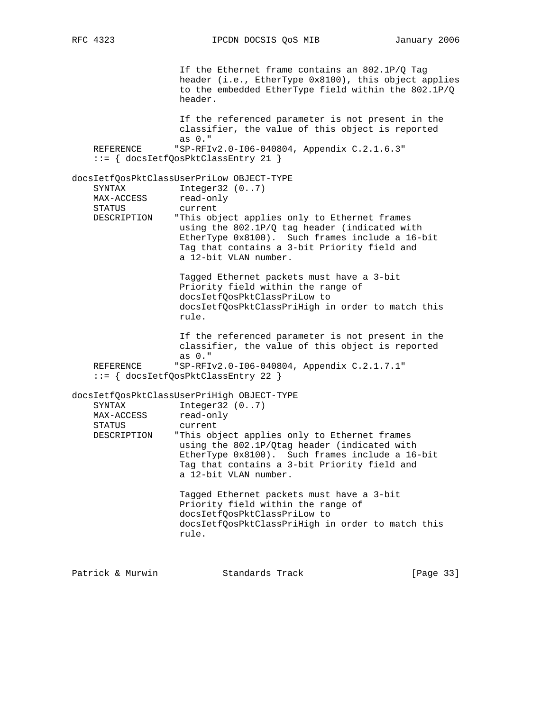If the Ethernet frame contains an 802.1P/Q Tag header (i.e., EtherType 0x8100), this object applies to the embedded EtherType field within the 802.1P/Q header. If the referenced parameter is not present in the classifier, the value of this object is reported as 0." REFERENCE "SP-RFIv2.0-I06-040804, Appendix C.2.1.6.3" ::= { docsIetfQosPktClassEntry 21 } docsIetfQosPktClassUserPriLow OBJECT-TYPE SYNTAX Integer32 (0..7)<br>MAX-ACCESS read-only MAX-ACCESS STATUS current DESCRIPTION "This object applies only to Ethernet frames using the 802.1P/Q tag header (indicated with EtherType 0x8100). Such frames include a 16-bit Tag that contains a 3-bit Priority field and a 12-bit VLAN number. Tagged Ethernet packets must have a 3-bit Priority field within the range of docsIetfQosPktClassPriLow to docsIetfQosPktClassPriHigh in order to match this rule. If the referenced parameter is not present in the classifier, the value of this object is reported as 0." REFERENCE "SP-RFIv2.0-I06-040804, Appendix C.2.1.7.1" ::= { docsIetfQosPktClassEntry 22 } docsIetfQosPktClassUserPriHigh OBJECT-TYPE SYNTAX Integer32 (0..7) MAX-ACCESS read-only STATUS current DESCRIPTION "This object applies only to Ethernet frames using the 802.1P/Qtag header (indicated with EtherType 0x8100). Such frames include a 16-bit Tag that contains a 3-bit Priority field and a 12-bit VLAN number. Tagged Ethernet packets must have a 3-bit Priority field within the range of docsIetfQosPktClassPriLow to docsIetfQosPktClassPriHigh in order to match this rule.

Patrick & Murwin Standards Track [Page 33]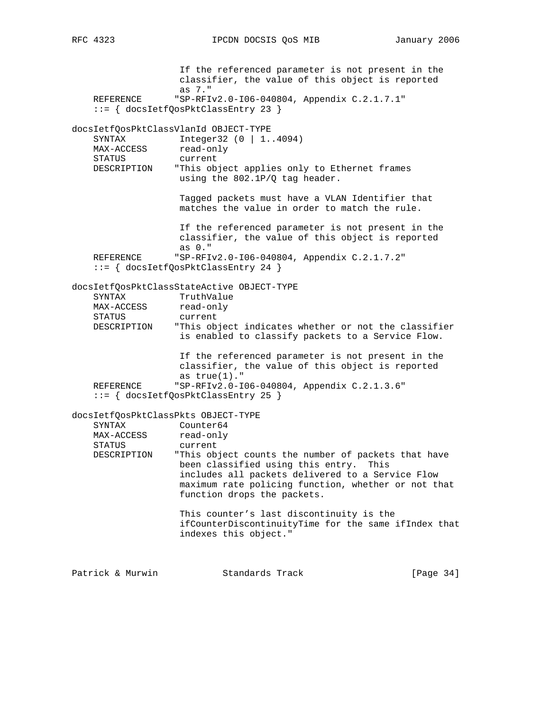If the referenced parameter is not present in the classifier, the value of this object is reported as 7." REFERENCE "SP-RFIv2.0-I06-040804, Appendix C.2.1.7.1" ::= { docsIetfQosPktClassEntry 23 } docsIetfQosPktClassVlanId OBJECT-TYPE SYNTAX Integer32 (0 | 1..4094) MAX-ACCESS read-only STATUS current DESCRIPTION "This object applies only to Ethernet frames using the 802.1P/Q tag header. Tagged packets must have a VLAN Identifier that matches the value in order to match the rule. If the referenced parameter is not present in the classifier, the value of this object is reported as 0."<br>REFERENCE "SP-RFI "SP-RFIv2.0-I06-040804, Appendix C.2.1.7.2" ::= { docsIetfQosPktClassEntry 24 } docsIetfQosPktClassStateActive OBJECT-TYPE SYNTAX TruthValue<br>MAX-ACCESS read-only MAX-ACCESS STATUS current DESCRIPTION "This object indicates whether or not the classifier is enabled to classify packets to a Service Flow. If the referenced parameter is not present in the classifier, the value of this object is reported as true(1)." REFERENCE "SP-RFIv2.0-I06-040804, Appendix C.2.1.3.6" ::= { docsIetfQosPktClassEntry 25 } docsIetfQosPktClassPkts OBJECT-TYPE SYNTAX Counter64 MAX-ACCESS read-only STATUS current<br>DESCRIPTION "This ob "This object counts the number of packets that have been classified using this entry. This includes all packets delivered to a Service Flow maximum rate policing function, whether or not that function drops the packets. This counter's last discontinuity is the ifCounterDiscontinuityTime for the same ifIndex that indexes this object." Patrick & Murwin Standards Track [Page 34]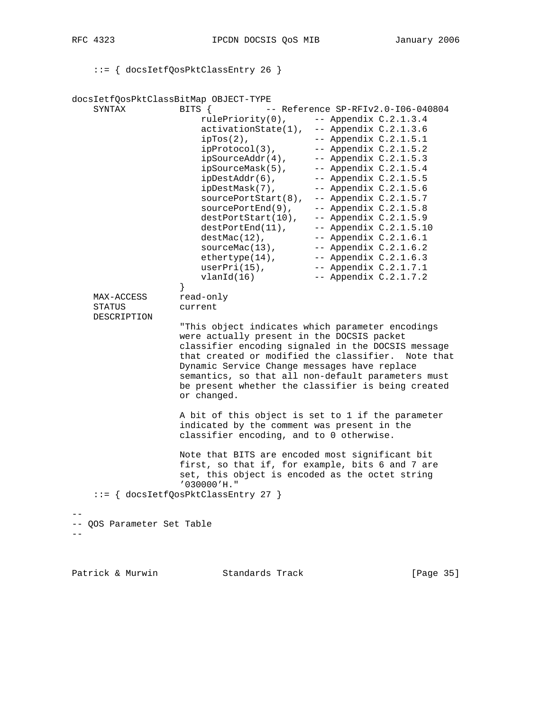::= { docsIetfQosPktClassEntry 26 }

docsIetfQosPktClassBitMap OBJECT-TYPE SYNTAX BITS {  $-$  Reference SP-RFIv2.0-I06-040804 rulePriority(0), -- Appendix C.2.1.3.4 activationState(1), -- Appendix C.2.1.3.6  $ipTos(2)$ ,  $-2.11.5.1$  $ipProtocol(3)$ ,  $-- Appendix C.2.1.5.2$  $ipSourceAddr(4)$ ,  $-- Appendix C.2.1.5.3$  $ipSourceMask(5)$ ,  $-- Appendix C.2.1.5.4$  $ipDestAddr(6)$ ,  $-- Appendix C.2.1.5.5$  $ip{\texttt{DestMask}}(7)$ ,  $--$  Appendix  $C.2.1.5.6$  $sourcePortStart(8), -- Appendix C.2.1.5.7$ sourcePortEnd(9), -- Appendix C.2.1.5.8  $destPortStart(10)$ , -- Appendix  $C.2.1.5.9$  $destPortEnd(11)$ ,  $--$  Appendix  $C.2.1.5.10$  $destMac(12)$ ,  $-- Appendix C.2.1.6.1$  $sourceMac(13)$ ,  $--- Appendix C.2.1.6.2$  $\text{ethertype}(14)$ ,  $\qquad \qquad \text{- Appendix C.2.1.6.3}$  userPri(15), -- Appendix C.2.1.7.1 vlanId(16) -- Appendix C.2.1.7.2 } MAX-ACCESS read-only STATUS current DESCRIPTION "This object indicates which parameter encodings were actually present in the DOCSIS packet classifier encoding signaled in the DOCSIS message that created or modified the classifier. Note that Dynamic Service Change messages have replace semantics, so that all non-default parameters must be present whether the classifier is being created or changed. A bit of this object is set to 1 if the parameter indicated by the comment was present in the classifier encoding, and to 0 otherwise. Note that BITS are encoded most significant bit first, so that if, for example, bits 6 and 7 are set, this object is encoded as the octet string '030000'H." ::= { docsIetfQosPktClassEntry 27 } -- -- QOS Parameter Set Table  $-$ 

Patrick & Murwin Standards Track [Page 35]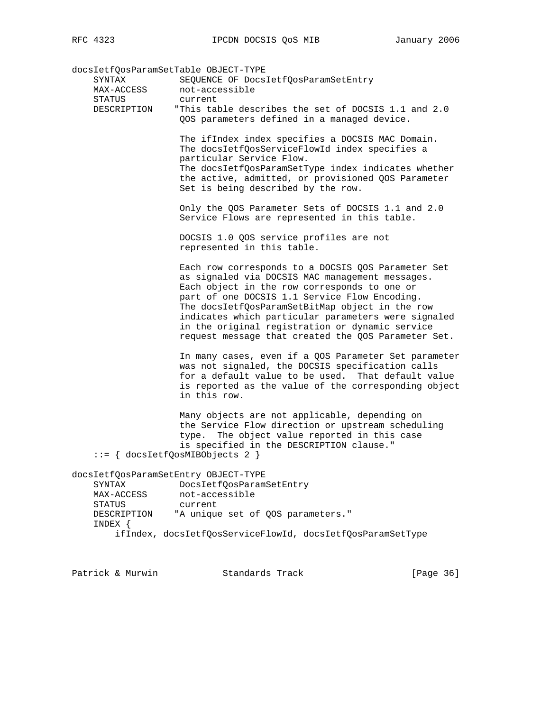docsIetfQosParamSetTable OBJECT-TYPE

| SYNTAX<br>MAX-ACCESS                          | SEQUENCE OF DocsIetfQosParamSetEntry<br>not-accessible                                                                                                                                                                                                                                                                                                                                                                     |
|-----------------------------------------------|----------------------------------------------------------------------------------------------------------------------------------------------------------------------------------------------------------------------------------------------------------------------------------------------------------------------------------------------------------------------------------------------------------------------------|
| STATUS<br>DESCRIPTION                         | current<br>"This table describes the set of DOCSIS 1.1 and 2.0<br>QOS parameters defined in a managed device.                                                                                                                                                                                                                                                                                                              |
|                                               | The ifIndex index specifies a DOCSIS MAC Domain.<br>The docsIetfQosServiceFlowId index specifies a<br>particular Service Flow.<br>The docsIetfQosParamSetType index indicates whether<br>the active, admitted, or provisioned QOS Parameter<br>Set is being described by the row.                                                                                                                                          |
|                                               | Only the QOS Parameter Sets of DOCSIS 1.1 and 2.0<br>Service Flows are represented in this table.                                                                                                                                                                                                                                                                                                                          |
|                                               | DOCSIS 1.0 QOS service profiles are not<br>represented in this table.                                                                                                                                                                                                                                                                                                                                                      |
|                                               | Each row corresponds to a DOCSIS QOS Parameter Set<br>as signaled via DOCSIS MAC management messages.<br>Each object in the row corresponds to one or<br>part of one DOCSIS 1.1 Service Flow Encoding.<br>The docsIetfQosParamSetBitMap object in the row<br>indicates which particular parameters were signaled<br>in the original registration or dynamic service<br>request message that created the QOS Parameter Set. |
|                                               | In many cases, even if a QOS Parameter Set parameter<br>was not signaled, the DOCSIS specification calls<br>for a default value to be used. That default value<br>is reported as the value of the corresponding object<br>in this row.                                                                                                                                                                                     |
|                                               | Many objects are not applicable, depending on<br>the Service Flow direction or upstream scheduling<br>The object value reported in this case<br>type.<br>is specified in the DESCRIPTION clause."<br>$ ::= \{$ docsIetfQosMIBObjects 2 $\}$                                                                                                                                                                                |
| SYNTAX<br>MAX-ACCESS<br>STATUS<br>DESCRIPTION | docsIetfQosParamSetEntry OBJECT-TYPE<br>DocsIetfQosParamSetEntry<br>not-accessible<br>current<br>"A unique set of QOS parameters."                                                                                                                                                                                                                                                                                         |
| INDEX {                                       | ifIndex, docsIetfQosServiceFlowId, docsIetfQosParamSetType                                                                                                                                                                                                                                                                                                                                                                 |

Patrick & Murwin Standards Track [Page 36]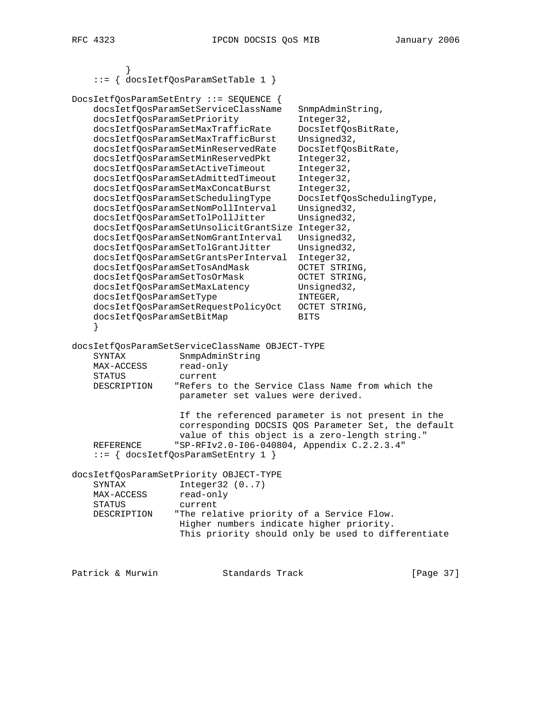|                                                                                                                                                                                       | $::= \{$ docsIetfQosParamSetTable 1 $\}$                                                                                                                                                                                                                                                                                                                                                                                                                                                                                                                                                                                                                                          |                                                                                                                                                                                                                                                                                                                                                   |
|---------------------------------------------------------------------------------------------------------------------------------------------------------------------------------------|-----------------------------------------------------------------------------------------------------------------------------------------------------------------------------------------------------------------------------------------------------------------------------------------------------------------------------------------------------------------------------------------------------------------------------------------------------------------------------------------------------------------------------------------------------------------------------------------------------------------------------------------------------------------------------------|---------------------------------------------------------------------------------------------------------------------------------------------------------------------------------------------------------------------------------------------------------------------------------------------------------------------------------------------------|
| docsIetfQosParamSetPriority<br>docsIetfQosParamSetTosAndMask<br>docsIetfQosParamSetTosOrMask<br>docsIetfQosParamSetMaxLatency<br>docsIetfQosParamSetType<br>docsIetfQosParamSetBitMap | DocsIetfQosParamSetEntry ::= SEQUENCE {<br>docsIetfQosParamSetServiceClassName<br>docsIetfQosParamSetMaxTrafficRate<br>docsIetfQosParamSetMaxTrafficBurst<br>docsIetfQosParamSetMinReservedRate<br>docsIetfQosParamSetMinReservedPkt<br>docsIetfQosParamSetActiveTimeout<br>docsIetfQosParamSetAdmittedTimeout<br>docsIetfQosParamSetMaxConcatBurst<br>docsIetfQosParamSetSchedulingType<br>docsIetfQosParamSetNomPollInterval<br>docsIetfQosParamSetTolPollJitter<br>docsIetfQosParamSetUnsolicitGrantSize Integer32,<br>docsIetfQosParamSetNomGrantInterval<br>docsIetfQosParamSetTolGrantJitter<br>docsIetfQosParamSetGrantsPerInterval<br>docsIetfQosParamSetRequestPolicyOct | SnmpAdminString,<br>Integer32,<br>DocsIetfQosBitRate,<br>Unsigned32,<br>DocsIetfQosBitRate,<br>Integer32,<br>Integer32,<br>Integer32,<br>Integer32,<br>DocsIetfQosSchedulingType,<br>Unsigned32,<br>Unsigned32,<br>Unsigned32,<br>Unsigned32,<br>Integer32,<br>OCTET STRING,<br>OCTET STRING,<br>Unsigned32,<br>INTEGER,<br>OCTET STRING,<br>BITS |
| SYNTAX<br>MAX-ACCESS<br>STATUS<br>DESCRIPTION<br>REFERENCE<br>SYNTAX<br>MAX-ACCESS<br><b>STATUS</b><br>DESCRIPTION                                                                    | SnmpAdminString<br>read-only<br>current<br>parameter set values were derived.<br>"SP-RFIv2.0-106-040804, Appendix C.2.2.3.4"<br>{ docsIetfQosParamSetEntry 1 }<br>docsIetfQosParamSetPriority OBJECT-TYPE<br>Integer32 (07)<br>read-only<br>current<br>"The relative priority of a Service Flow.<br>Higher numbers indicate higher priority.                                                                                                                                                                                                                                                                                                                                      | "Refers to the Service Class Name from which the<br>If the referenced parameter is not present in the<br>corresponding DOCSIS QOS Parameter Set, the default<br>value of this object is a zero-length string."<br>This priority should only be used to differentiate                                                                              |
|                                                                                                                                                                                       |                                                                                                                                                                                                                                                                                                                                                                                                                                                                                                                                                                                                                                                                                   |                                                                                                                                                                                                                                                                                                                                                   |

Patrick & Murwin Standards Track [Page 37]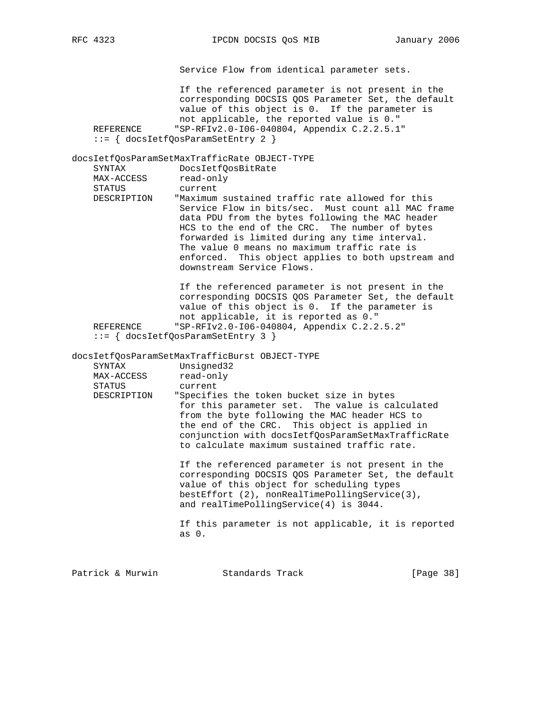Service Flow from identical parameter sets. If the referenced parameter is not present in the corresponding DOCSIS QOS Parameter Set, the default value of this object is 0. If the parameter is not applicable, the reported value is 0."<br>REFERENCE "SP-RFIv2.0-I06-040804, Appendix C.2.2.5.1 "SP-RFIv2.0-106-040804, Appendix C.2.2.5.1" ::= { docsIetfQosParamSetEntry 2 } docsIetfQosParamSetMaxTrafficRate OBJECT-TYPE SYNTAX DocsIetfQosBitRate MAX-ACCESS read-only STATUS current DESCRIPTION "Maximum sustained traffic rate allowed for this Service Flow in bits/sec. Must count all MAC frame data PDU from the bytes following the MAC header HCS to the end of the CRC. The number of bytes forwarded is limited during any time interval. The value 0 means no maximum traffic rate is enforced. This object applies to both upstream and downstream Service Flows. If the referenced parameter is not present in the corresponding DOCSIS QOS Parameter Set, the default value of this object is 0. If the parameter is not applicable, it is reported as 0." REFERENCE "SP-RFIv2.0-I06-040804, Appendix C.2.2.5.2" ::= { docsIetfQosParamSetEntry 3 } docsIetfQosParamSetMaxTrafficBurst OBJECT-TYPE SYNTAX Unsigned32 MAX-ACCESS read-only STATUS current DESCRIPTION "Specifies the token bucket size in bytes for this parameter set. The value is calculated from the byte following the MAC header HCS to the end of the CRC. This object is applied in conjunction with docsIetfQosParamSetMaxTrafficRate to calculate maximum sustained traffic rate. If the referenced parameter is not present in the corresponding DOCSIS QOS Parameter Set, the default value of this object for scheduling types bestEffort (2), nonRealTimePollingService(3), and realTimePollingService(4) is 3044. If this parameter is not applicable, it is reported as 0. Patrick & Murwin Standards Track [Page 38]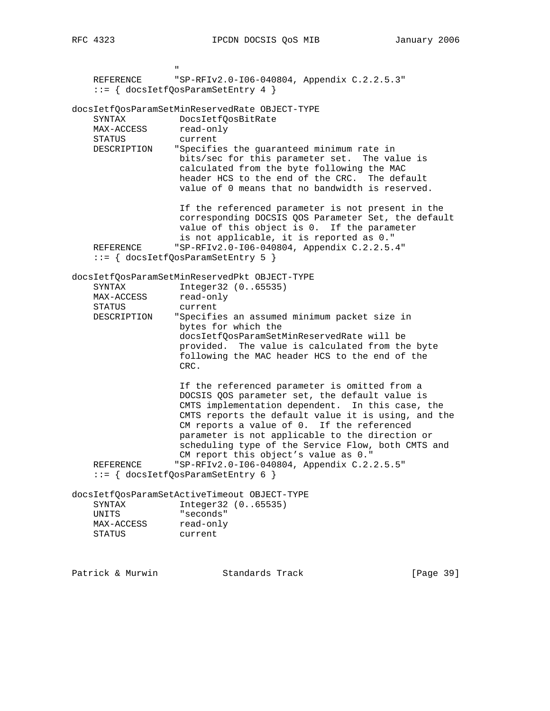" "The contract of the contract of the contract of the contract of the contract of the contract of the contract of the contract of the contract of the contract of the contract of the contract of the contract of the contrac REFERENCE "SP-RFIv2.0-I06-040804, Appendix C.2.2.5.3" ::= { docsIetfQosParamSetEntry 4 } docsIetfQosParamSetMinReservedRate OBJECT-TYPE SYNTAX DocsIetfQosBitRate MAX-ACCESS read-only STATUS current DESCRIPTION "Specifies the guaranteed minimum rate in bits/sec for this parameter set. The value is calculated from the byte following the MAC header HCS to the end of the CRC. The default value of 0 means that no bandwidth is reserved. If the referenced parameter is not present in the corresponding DOCSIS QOS Parameter Set, the default value of this object is 0. If the parameter is not applicable, it is reported as 0." REFERENCE "SP-RFIv2.0-I06-040804, Appendix C.2.2.5.4" ::= { docsIetfQosParamSetEntry 5 } docsIetfQosParamSetMinReservedPkt OBJECT-TYPE SYNTAX Integer32 (0..65535) MAX-ACCESS read-only STATUS current DESCRIPTION "Specifies an assumed minimum packet size in bytes for which the docsIetfQosParamSetMinReservedRate will be provided. The value is calculated from the byte following the MAC header HCS to the end of the CRC. If the referenced parameter is omitted from a DOCSIS QOS parameter set, the default value is CMTS implementation dependent. In this case, the CMTS reports the default value it is using, and the CM reports a value of 0. If the referenced parameter is not applicable to the direction or scheduling type of the Service Flow, both CMTS and CM report this object's value as 0." REFERENCE "SP-RFIv2.0-I06-040804, Appendix C.2.2.5.5" ::= { docsIetfQosParamSetEntry 6 } docsIetfQosParamSetActiveTimeout OBJECT-TYPE SYNTAX Integer32 (0..65535) UNITS "seconds" MAX-ACCESS read-only STATUS current

Patrick & Murwin Standards Track [Page 39]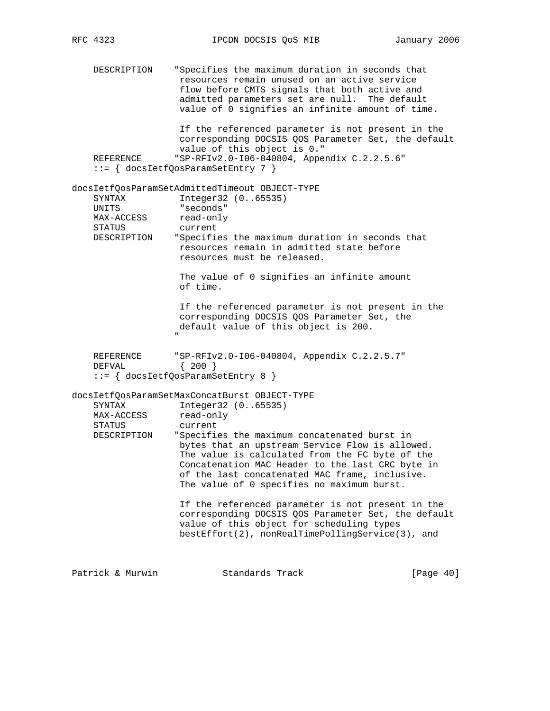DESCRIPTION "Specifies the maximum duration in seconds that resources remain unused on an active service flow before CMTS signals that both active and admitted parameters set are null. The default value of 0 signifies an infinite amount of time. If the referenced parameter is not present in the corresponding DOCSIS QOS Parameter Set, the default value of this object is 0." REFERENCE "SP-RFIv2.0-I06-040804, Appendix C.2.2.5.6" ::= { docsIetfQosParamSetEntry 7 } docsIetfQosParamSetAdmittedTimeout OBJECT-TYPE SYNTAX Integer32 (0..65535) UNITS "seconds" MAX-ACCESS read-only STATUS current DESCRIPTION "Specifies the maximum duration in seconds that resources remain in admitted state before resources must be released. The value of 0 signifies an infinite amount of time. If the referenced parameter is not present in the corresponding DOCSIS QOS Parameter Set, the default value of this object is 200. " "The contract of the contract of the contract of the contract of the contract of the contract of the contract of the contract of the contract of the contract of the contract of the contract of the contract of the contrac REFERENCE "SP-RFIv2.0-I06-040804, Appendix  $C.2.2.5.7"$ <br>DEFVAL  $\{200\}$  $DEFVAL$  ::= { docsIetfQosParamSetEntry 8 } docsIetfQosParamSetMaxConcatBurst OBJECT-TYPE SYNTAX Integer32 (0..65535) MAX-ACCESS read-only STATUS current DESCRIPTION "Specifies the maximum concatenated burst in bytes that an upstream Service Flow is allowed. The value is calculated from the FC byte of the Concatenation MAC Header to the last CRC byte in of the last concatenated MAC frame, inclusive. The value of 0 specifies no maximum burst. If the referenced parameter is not present in the corresponding DOCSIS QOS Parameter Set, the default value of this object for scheduling types bestEffort(2), nonRealTimePollingService(3), and

Patrick & Murwin Standards Track [Page 40]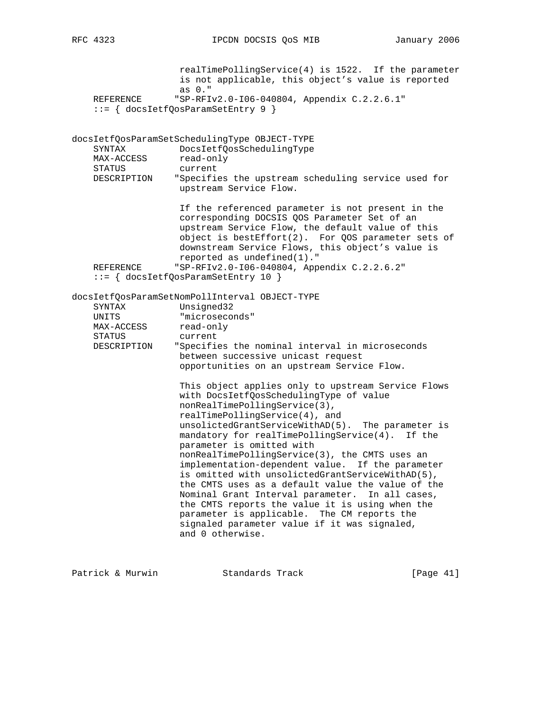realTimePollingService(4) is 1522. If the parameter is not applicable, this object's value is reported as 0." REFERENCE "SP-RFIv2.0-I06-040804, Appendix C.2.2.6.1" ::= { docsIetfQosParamSetEntry 9 } docsIetfQosParamSetSchedulingType OBJECT-TYPE SYNTAX DocsIetfQosSchedulingType MAX-ACCESS read-only STATUS current DESCRIPTION "Specifies the upstream scheduling service used for upstream Service Flow. If the referenced parameter is not present in the corresponding DOCSIS QOS Parameter Set of an upstream Service Flow, the default value of this object is bestEffort(2). For QOS parameter sets of downstream Service Flows, this object's value is reported as undefined(1)." REFERENCE "SP-RFIv2.0-I06-040804, Appendix C.2.2.6.2" ::= { docsIetfQosParamSetEntry 10 } docsIetfQosParamSetNomPollInterval OBJECT-TYPE SYNTAX Unsigned32 UNITS "microseconds"  $\begin{array}{ccc}\n & -\sim & & \text{interosec}\n\\ \n\text{MAX-ACCESS} & & \text{read-only}\n\end{array}$  STATUS current DESCRIPTION "Specifies the nominal interval in microseconds between successive unicast request opportunities on an upstream Service Flow. This object applies only to upstream Service Flows with DocsIetfQosSchedulingType of value nonRealTimePollingService(3), realTimePollingService(4), and unsolictedGrantServiceWithAD(5). The parameter is mandatory for realTimePollingService(4). If the parameter is omitted with nonRealTimePollingService(3), the CMTS uses an implementation-dependent value. If the parameter is omitted with unsolictedGrantServiceWithAD(5), the CMTS uses as a default value the value of the Nominal Grant Interval parameter. In all cases, the CMTS reports the value it is using when the parameter is applicable. The CM reports the signaled parameter value if it was signaled, and 0 otherwise.

Patrick & Murwin Standards Track [Page 41]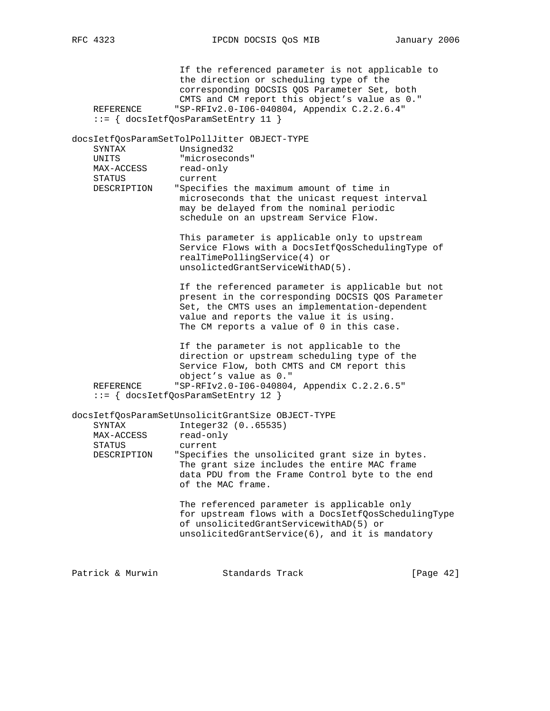If the referenced parameter is not applicable to the direction or scheduling type of the corresponding DOCSIS QOS Parameter Set, both CMTS and CM report this object's value as 0." REFERENCE "SP-RFIv2.0-I06-040804, Appendix C.2.2.6.4" ::= { docsIetfQosParamSetEntry 11 } docsIetfQosParamSetTolPollJitter OBJECT-TYPE SYNTAX Unsigned32 UNITS "microseconds" MAX-ACCESS read-only STATUS current DESCRIPTION "Specifies the maximum amount of time in microseconds that the unicast request interval may be delayed from the nominal periodic schedule on an upstream Service Flow. This parameter is applicable only to upstream Service Flows with a DocsIetfQosSchedulingType of realTimePollingService(4) or unsolictedGrantServiceWithAD(5). If the referenced parameter is applicable but not present in the corresponding DOCSIS QOS Parameter Set, the CMTS uses an implementation-dependent value and reports the value it is using. The CM reports a value of 0 in this case. If the parameter is not applicable to the direction or upstream scheduling type of the Service Flow, both CMTS and CM report this object's value as 0." REFERENCE "SP-RFIv2.0-I06-040804, Appendix C.2.2.6.5" ::= { docsIetfQosParamSetEntry 12 } docsIetfQosParamSetUnsolicitGrantSize OBJECT-TYPE SYNTAX Integer32 (0..65535)<br>MAX-ACCESS read-only MAX-ACCESS STATUS current<br>DESCRIPTION "Specifie "Specifies the unsolicited grant size in bytes. The grant size includes the entire MAC frame data PDU from the Frame Control byte to the end of the MAC frame. The referenced parameter is applicable only for upstream flows with a DocsIetfQosSchedulingType of unsolicitedGrantServicewithAD(5) or unsolicitedGrantService(6), and it is mandatory Patrick & Murwin Standards Track [Page 42]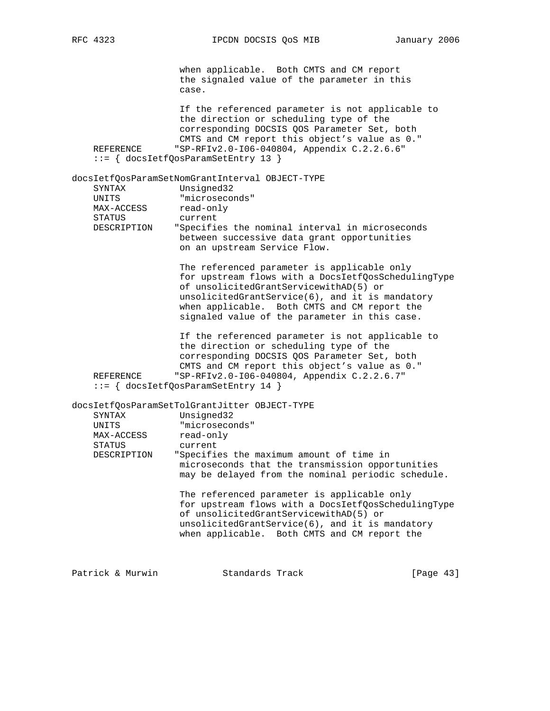RFC 4323 **IPCDN DOCSIS QOS MIB** January 2006

 when applicable. Both CMTS and CM report the signaled value of the parameter in this case. If the referenced parameter is not applicable to the direction or scheduling type of the corresponding DOCSIS QOS Parameter Set, both CMTS and CM report this object's value as 0." REFERENCE "SP-RFIv2.0-I06-040804, Appendix C.2.2.6.6" ::= { docsIetfQosParamSetEntry 13 } docsIetfQosParamSetNomGrantInterval OBJECT-TYPE Unsigned32 UNITS "microseconds" MAX-ACCESS read-only STATUS current DESCRIPTION "Specifies the nominal interval in microseconds between successive data grant opportunities on an upstream Service Flow. The referenced parameter is applicable only for upstream flows with a DocsIetfQosSchedulingType of unsolicitedGrantServicewithAD(5) or unsolicitedGrantService(6), and it is mandatory when applicable. Both CMTS and CM report the signaled value of the parameter in this case. If the referenced parameter is not applicable to the direction or scheduling type of the corresponding DOCSIS QOS Parameter Set, both CMTS and CM report this object's value as 0." REFERENCE "SP-RFIv2.0-I06-040804, Appendix C.2.2.6.7" ::= { docsIetfQosParamSetEntry 14 } docsIetfQosParamSetTolGrantJitter OBJECT-TYPE SYNTAX Unsigned32 UNITS "microseconds" MAX-ACCESS read-only STATUS current DESCRIPTION "Specifies the maximum amount of time in microseconds that the transmission opportunities may be delayed from the nominal periodic schedule. The referenced parameter is applicable only for upstream flows with a DocsIetfQosSchedulingType of unsolicitedGrantServicewithAD(5) or unsolicitedGrantService(6), and it is mandatory when applicable. Both CMTS and CM report the Patrick & Murwin Standards Track [Page 43]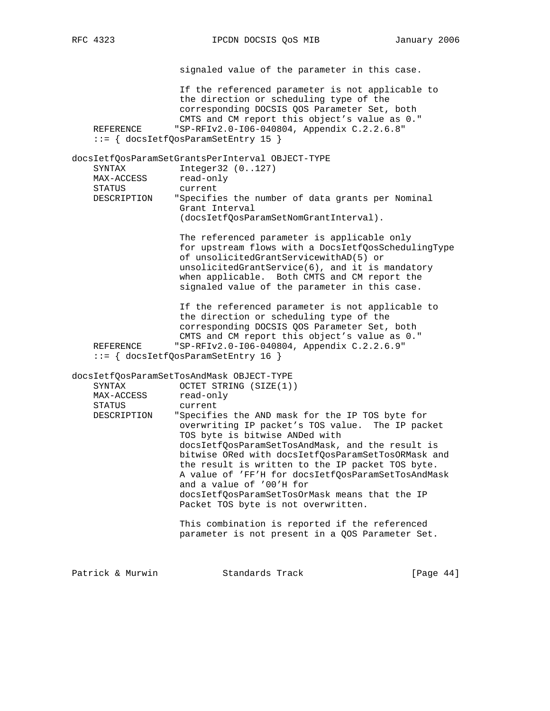signaled value of the parameter in this case. If the referenced parameter is not applicable to the direction or scheduling type of the corresponding DOCSIS QOS Parameter Set, both CMTS and CM report this object's value as 0."<br>REFERENCE "SP-RFIv2.0-I06-040804, Appendix C.2.2.6.8" "SP-RFIv2.0-106-040804, Appendix C.2.2.6.8" ::= { docsIetfQosParamSetEntry 15 } docsIetfQosParamSetGrantsPerInterval OBJECT-TYPE SYNTAX Integer32 (0..127) MAX-ACCESS read-only STATUS current DESCRIPTION "Specifies the number of data grants per Nominal Grant Interval (docsIetfQosParamSetNomGrantInterval). The referenced parameter is applicable only for upstream flows with a DocsIetfQosSchedulingType of unsolicitedGrantServicewithAD(5) or unsolicitedGrantService(6), and it is mandatory when applicable. Both CMTS and CM report the signaled value of the parameter in this case. If the referenced parameter is not applicable to the direction or scheduling type of the corresponding DOCSIS QOS Parameter Set, both CMTS and CM report this object's value as 0."<br>REFERENCE "SP-RFIv2.0-I06-040804, Appendix C.2.2.6.9" "SP-RFIv2.0-I06-040804, Appendix C.2.2.6.9" ::= { docsIetfQosParamSetEntry 16 } docsIetfQosParamSetTosAndMask OBJECT-TYPE SYNTAX OCTET STRING (SIZE(1)) MAX-ACCESS read-only STATUS current DESCRIPTION "Specifies the AND mask for the IP TOS byte for overwriting IP packet's TOS value. The IP packet TOS byte is bitwise ANDed with docsIetfQosParamSetTosAndMask, and the result is bitwise ORed with docsIetfQosParamSetTosORMask and the result is written to the IP packet TOS byte. A value of 'FF'H for docsIetfQosParamSetTosAndMask and a value of '00'H for docsIetfQosParamSetTosOrMask means that the IP Packet TOS byte is not overwritten. This combination is reported if the referenced parameter is not present in a QOS Parameter Set. Patrick & Murwin  $\begin{array}{ccc} \text{Standards} & \text{Track} & \text{Simpler} & \text{[Page 44]} \end{array}$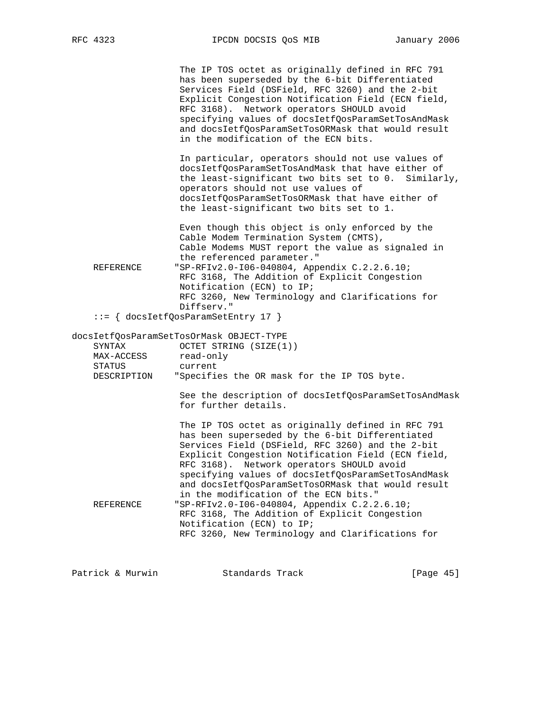The IP TOS octet as originally defined in RFC 791 has been superseded by the 6-bit Differentiated Services Field (DSField, RFC 3260) and the 2-bit Explicit Congestion Notification Field (ECN field, RFC 3168). Network operators SHOULD avoid specifying values of docsIetfQosParamSetTosAndMask and docsIetfQosParamSetTosORMask that would result in the modification of the ECN bits.

 In particular, operators should not use values of docsIetfQosParamSetTosAndMask that have either of the least-significant two bits set to 0. Similarly, operators should not use values of docsIetfQosParamSetTosORMask that have either of the least-significant two bits set to 1.

 Even though this object is only enforced by the Cable Modem Termination System (CMTS), Cable Modems MUST report the value as signaled in the referenced parameter." REFERENCE "SP-RFIv2.0-I06-040804, Appendix C.2.2.6.10; RFC 3168, The Addition of Explicit Congestion Notification (ECN) to IP; RFC 3260, New Terminology and Clarifications for Diffserv."

::= { docsIetfQosParamSetEntry 17 }

docsIetfQosParamSetTosOrMask OBJECT-TYPE

| SYNTAX<br>MAX-ACCESS<br>STATUS<br>DESCRIPTION | OCTET STRING (SIZE(1))<br>read-only<br>current<br>"Specifies the OR mask for the IP TOS byte.                                                                                                                                                                                                                                                                                                                    |
|-----------------------------------------------|------------------------------------------------------------------------------------------------------------------------------------------------------------------------------------------------------------------------------------------------------------------------------------------------------------------------------------------------------------------------------------------------------------------|
|                                               | See the description of docsIetfQosParamSetTosAndMask<br>for further details.                                                                                                                                                                                                                                                                                                                                     |
|                                               | The IP TOS octet as originally defined in RFC 791<br>has been superseded by the 6-bit Differentiated<br>Services Field (DSField, RFC 3260) and the 2-bit<br>Explicit Congestion Notification Field (ECN field,<br>RFC 3168). Network operators SHOULD avoid<br>specifying values of docsIetfOosParamSetTosAndMask<br>and docsIetfOosParamSetTosORMask that would result<br>in the modification of the ECN bits." |
| REFERENCE                                     | "SP-RFIv2.0-106-040804, Appendix C.2.2.6.10;<br>RFC 3168, The Addition of Explicit Congestion<br>Notification (ECN) to IP;<br>RFC 3260, New Terminology and Clarifications for                                                                                                                                                                                                                                   |
|                                               |                                                                                                                                                                                                                                                                                                                                                                                                                  |

Patrick & Murwin Standards Track [Page 45]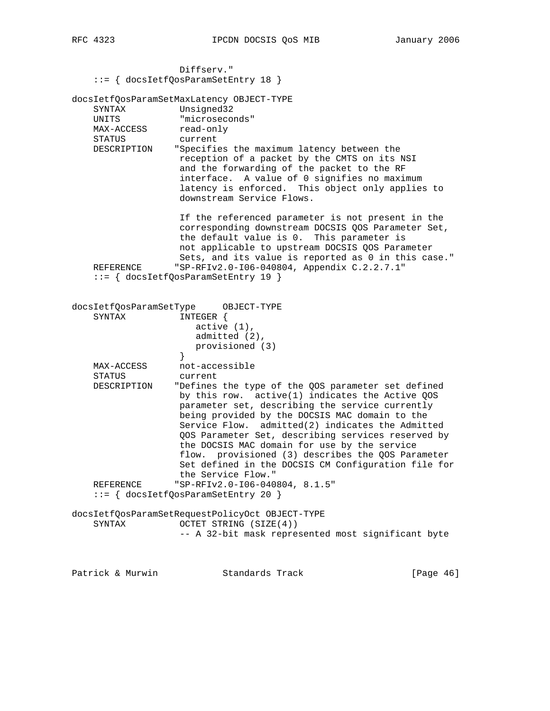| RFC |  |
|-----|--|
|     |  |

 Diffserv." ::= { docsIetfQosParamSetEntry 18 } docsIetfQosParamSetMaxLatency OBJECT-TYPE SYNTAX Unsigned32 UNITS "microseconds" MAX-ACCESS read-only STATUS current DESCRIPTION "Specifies the maximum latency between the reception of a packet by the CMTS on its NSI and the forwarding of the packet to the RF interface. A value of 0 signifies no maximum latency is enforced. This object only applies to downstream Service Flows. If the referenced parameter is not present in the corresponding downstream DOCSIS QOS Parameter Set, the default value is 0. This parameter is not applicable to upstream DOCSIS QOS Parameter Sets, and its value is reported as 0 in this case." REFERENCE "SP-RFIv2.0-106-040804, Appendix C.2.2.7.1" ::= { docsIetfQosParamSetEntry 19 } docsIetfQosParamSetType OBJECT-TYPE SYNTAX INTEGER { active (1), admitted (2), provisioned (3)<br>} } MAX-ACCESS not-accessible STATUS current DESCRIPTION "Defines the type of the QOS parameter set defined by this row. active(1) indicates the Active QOS parameter set, describing the service currently being provided by the DOCSIS MAC domain to the Service Flow. admitted(2) indicates the Admitted QOS Parameter Set, describing services reserved by the DOCSIS MAC domain for use by the service flow. provisioned (3) describes the QOS Parameter Set defined in the DOCSIS CM Configuration file for the Service Flow." REFERENCE "SP-RFIv2.0-I06-040804, 8.1.5" ::= { docsIetfQosParamSetEntry 20 } docsIetfQosParamSetRequestPolicyOct OBJECT-TYPE SYNTAX OCTET STRING (SIZE(4)) -- A 32-bit mask represented most significant byte

Patrick & Murwin **Standards Track** [Page 46]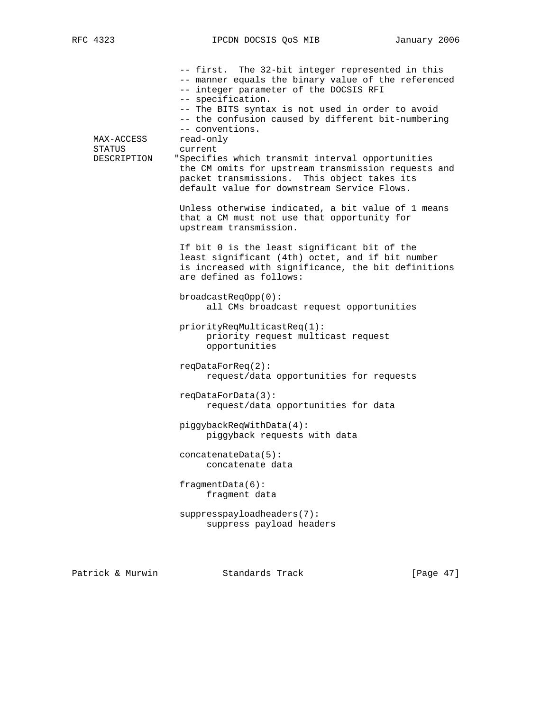-- first. The 32-bit integer represented in this -- manner equals the binary value of the referenced -- integer parameter of the DOCSIS RFI -- specification. -- The BITS syntax is not used in order to avoid -- the confusion caused by different bit-numbering -- conventions. MAX-ACCESS read-only STATUS current DESCRIPTION "Specifies which transmit interval opportunities the CM omits for upstream transmission requests and packet transmissions. This object takes its default value for downstream Service Flows. Unless otherwise indicated, a bit value of 1 means that a CM must not use that opportunity for upstream transmission. If bit 0 is the least significant bit of the least significant (4th) octet, and if bit number is increased with significance, the bit definitions are defined as follows: broadcastReqOpp(0): all CMs broadcast request opportunities priorityReqMulticastReq(1): priority request multicast request opportunities reqDataForReq(2): request/data opportunities for requests reqDataForData(3): request/data opportunities for data piggybackReqWithData(4): piggyback requests with data concatenateData(5): concatenate data fragmentData(6): fragment data suppresspayloadheaders(7): suppress payload headers

Patrick & Murwin Standards Track [Page 47]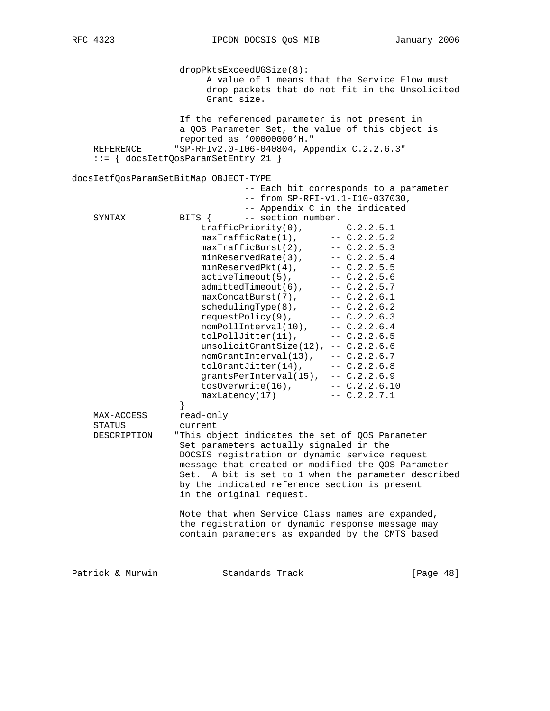dropPktsExceedUGSize(8): A value of 1 means that the Service Flow must drop packets that do not fit in the Unsolicited Grant size. If the referenced parameter is not present in a QOS Parameter Set, the value of this object is reported as '00000000'H." REFERENCE "SP-RFIv2.0-I06-040804, Appendix C.2.2.6.3" ::= { docsIetfQosParamSetEntry 21 } docsIetfQosParamSetBitMap OBJECT-TYPE -- Each bit corresponds to a parameter -- from SP-RFI-v1.1-I10-037030, -- Appendix C in the indicated<br>BITS { -- section number. SYNTAX BITS { -- section number. trafficPriority(0), -- C.2.2.5.1  $maxTrafticRate(1)$ ,  $-- C.2.2.5.2$  $maxTrafficBurst(2)$ ,  $-- C.2.2.5.3$ minReservedRate(3), -- C.2.2.5.4  $minReservedPkt(4)$ ,  $--- C.2.2.5.5$  activeTimeout(5), -- C.2.2.5.6  $admittedTimeout(6)$ ,  $-- C.2.2.5.7$  $maxConcatBurst(7)$ ,  $-- C.2.2.6.1$  schedulingType(8), -- C.2.2.6.2 requestPolicy(9), -- C.2.2.6.3  $\n **nomPollinterval(10)**,\n **---C.2.2.6.4**\n$  tolPollJitter(11), -- C.2.2.6.5 unsolicitGrantSize(12), -- C.2.2.6.6  $\n **nomGrantInterval(13)**, \n -- C.2.2.6.7\n$  $nomGrantInterval(13), -- C.2.2.6.7  
tolGrantJitter(14), -- C.2.2.6.8$  grantsPerInterval(15), -- C.2.2.6.9 tosOverwrite(16), -- C.2.2.6.10  $maxLatency(17)$  --  $C.2.2.7.1$  } MAX-ACCESS read-only STATUS current DESCRIPTION "This object indicates the set of QOS Parameter Set parameters actually signaled in the DOCSIS registration or dynamic service request message that created or modified the QOS Parameter Set. A bit is set to 1 when the parameter described by the indicated reference section is present in the original request. Note that when Service Class names are expanded, the registration or dynamic response message may contain parameters as expanded by the CMTS based Patrick & Murwin Standards Track [Page 48]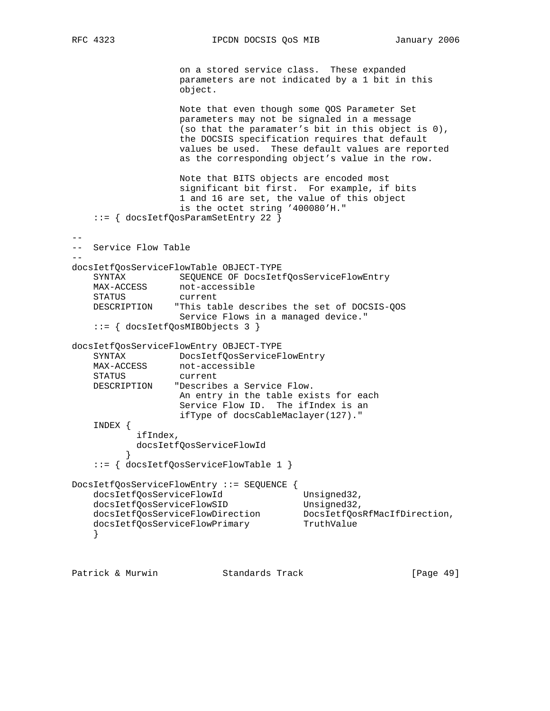RFC 4323 **IPCDN DOCSIS QOS MIB** January 2006

 on a stored service class. These expanded parameters are not indicated by a 1 bit in this object.

 Note that even though some QOS Parameter Set parameters may not be signaled in a message (so that the paramater's bit in this object is 0), the DOCSIS specification requires that default values be used. These default values are reported as the corresponding object's value in the row.

```
 Note that BITS objects are encoded most
 significant bit first. For example, if bits
 1 and 16 are set, the value of this object
 is the octet string '400080'H."
```

```
 ::= { docsIetfQosParamSetEntry 22 }
```

```
- --- Service Flow Table
- -docsIetfQosServiceFlowTable OBJECT-TYPE
    SYNTAX SEQUENCE OF DocsIetfQosServiceFlowEntry
    MAX-ACCESS not-accessible
    STATUS current
    DESCRIPTION "This table describes the set of DOCSIS-QOS
                   Service Flows in a managed device."
     ::= { docsIetfQosMIBObjects 3 }
docsIetfQosServiceFlowEntry OBJECT-TYPE
   SYNTAX DocsIetfQosServiceFlowEntry<br>MAX-ACCESS not-accessible
                 not-accessible
    STATUS current
    DESCRIPTION "Describes a Service Flow.
                  An entry in the table exists for each
                   Service Flow ID. The ifIndex is an
                   ifType of docsCableMaclayer(127)."
    INDEX {
            ifIndex,
            docsIetfQosServiceFlowId
 }
     ::= { docsIetfQosServiceFlowTable 1 }
DocsIetfQosServiceFlowEntry ::= SEQUENCE {
   docsIetfQosServiceFlowId Unsigned32,
docsIetfQosServiceFlowSID Unsigned32,
 docsIetfQosServiceFlowDirection DocsIetfQosRfMacIfDirection,
docsIetfQosServiceFlowPrimary TruthValue
     }
```
Patrick & Murwin Standards Track [Page 49]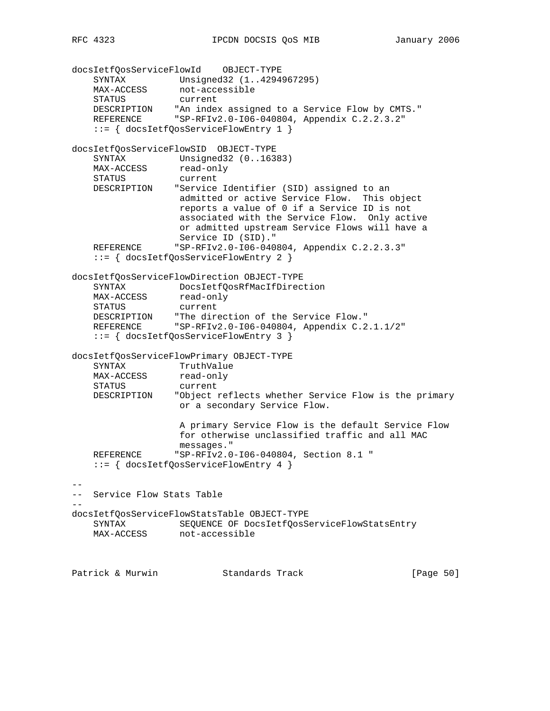docsIetfQosServiceFlowId OBJECT-TYPE SYNTAX Unsigned32 (1..4294967295) MAX-ACCESS not-accessible STATUS current DESCRIPTION "An index assigned to a Service Flow by CMTS." REFERENCE "SP-RFIv2.0-I06-040804, Appendix C.2.2.3.2" ::= { docsIetfQosServiceFlowEntry 1 } docsIetfQosServiceFlowSID OBJECT-TYPE SYNTAX Unsigned32 (0..16383) MAX-ACCESS read-only STATUS current DESCRIPTION "Service Identifier (SID) assigned to an admitted or active Service Flow. This object reports a value of 0 if a Service ID is not associated with the Service Flow. Only active or admitted upstream Service Flows will have a Service ID (SID)." "SP-RFIv2.0-I06-040804, Appendix C.2.2.3.3" ::= { docsIetfQosServiceFlowEntry 2 } docsIetfQosServiceFlowDirection OBJECT-TYPE SYNTAX DocsIetfQosRfMacIfDirection MAX-ACCESS read-only STATUS current DESCRIPTION "The direction of the Service Flow." REFERENCE "SP-RFIv2.0-I06-040804, Appendix C.2.1.1/2" ::= { docsIetfQosServiceFlowEntry 3 } docsIetfQosServiceFlowPrimary OBJECT-TYPE SYNTAX TruthValue MAX-ACCESS read-only STATUS current DESCRIPTION "Object reflects whether Service Flow is the primary or a secondary Service Flow. A primary Service Flow is the default Service Flow for otherwise unclassified traffic and all MAC messages." REFERENCE "SP-RFIv2.0-I06-040804, Section 8.1 " ::= { docsIetfQosServiceFlowEntry 4 } -- -- Service Flow Stats Table  $-$ docsIetfQosServiceFlowStatsTable OBJECT-TYPE SYNTAX SEQUENCE OF DocsIetfQosServiceFlowStatsEntry MAX-ACCESS not-accessible Patrick & Murwin Standards Track [Page 50]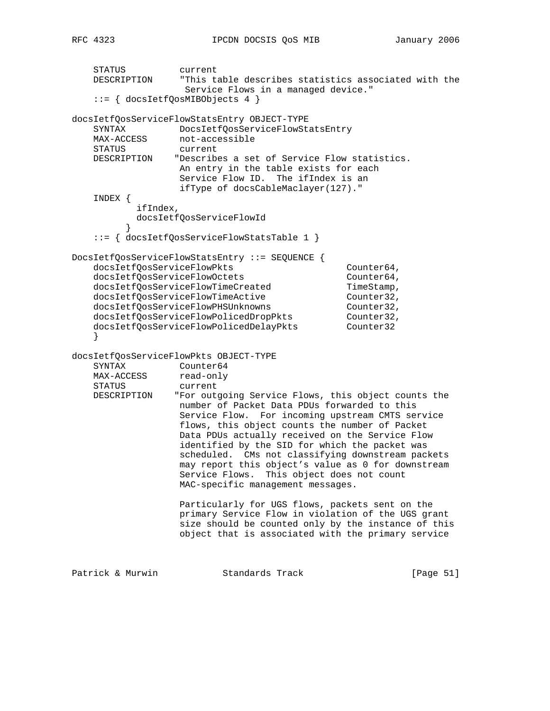```
 STATUS current
    DESCRIPTION "This table describes statistics associated with the
                    Service Flows in a managed device."
    ::= { docsIetfQosMIBObjects 4 }
docsIetfQosServiceFlowStatsEntry OBJECT-TYPE
   SYNTAX DocsIetfQosServiceFlowStatsEntry
   MAX-ACCESS not-accessible
    STATUS current
    DESCRIPTION "Describes a set of Service Flow statistics.
                  An entry in the table exists for each
                   Service Flow ID. The ifIndex is an
                   ifType of docsCableMaclayer(127)."
    INDEX {
            ifIndex,
            docsIetfQosServiceFlowId
 }
    ::= { docsIetfQosServiceFlowStatsTable 1 }
DocsIetfQosServiceFlowStatsEntry ::= SEQUENCE {
   docsIetfQosServiceFlowPkts Counter64,
   docsIetfQosServiceFlowOctets Counter64,
   docsIetfQosServiceFlowTimeCreated TimeStamp,
   docsIetfQosServiceFlowTimeActive Counter32,<br>docsIetfQosServiceFlowPHSUnknowns Counter32,
docsIetfQosServiceFlowPHSUnknowns Counter32,
 docsIetfQosServiceFlowPolicedDropPkts Counter32,
 docsIetfQosServiceFlowPolicedDelayPkts Counter32
 }
docsIetfQosServiceFlowPkts OBJECT-TYPE
    SYNTAX Counter64
   MAX-ACCESS read-only
    STATUS current
    DESCRIPTION "For outgoing Service Flows, this object counts the
                  number of Packet Data PDUs forwarded to this
                   Service Flow. For incoming upstream CMTS service
                   flows, this object counts the number of Packet
                   Data PDUs actually received on the Service Flow
                   identified by the SID for which the packet was
                   scheduled. CMs not classifying downstream packets
                   may report this object's value as 0 for downstream
                   Service Flows. This object does not count
                   MAC-specific management messages.
                   Particularly for UGS flows, packets sent on the
                   primary Service Flow in violation of the UGS grant
                   size should be counted only by the instance of this
                   object that is associated with the primary service
Patrick & Murwin Standards Track [Page 51]
```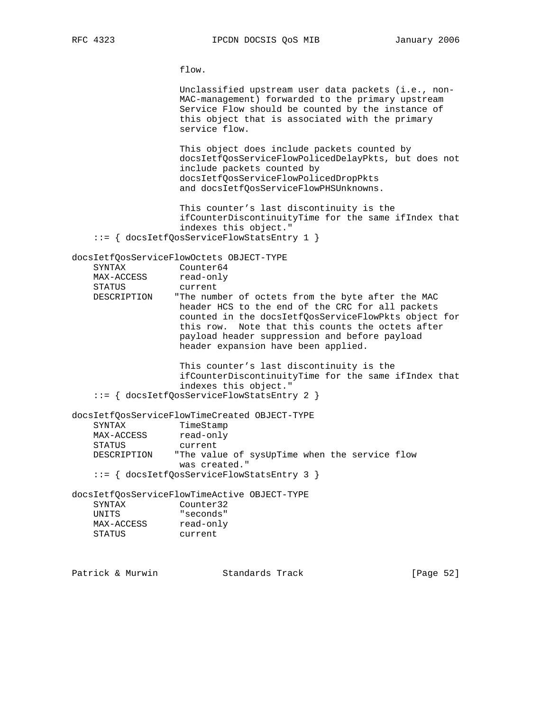flow.

 Unclassified upstream user data packets (i.e., non- MAC-management) forwarded to the primary upstream Service Flow should be counted by the instance of this object that is associated with the primary service flow.

 This object does include packets counted by docsIetfQosServiceFlowPolicedDelayPkts, but does not include packets counted by docsIetfQosServiceFlowPolicedDropPkts and docsIetfQosServiceFlowPHSUnknowns.

 This counter's last discontinuity is the ifCounterDiscontinuityTime for the same ifIndex that indexes this object."

::= { docsIetfQosServiceFlowStatsEntry 1 }

docsIetfQosServiceFlowOctets OBJECT-TYPE

| SYNTAX      | Counter64                                            |
|-------------|------------------------------------------------------|
| MAX-ACCESS  | read-only                                            |
| STATUS      | current                                              |
| DESCRIPTION | "The number of octets from the byte after the MAC    |
|             | header HCS to the end of the CRC for all packets     |
|             | counted in the docsIetfOosServiceFlowPkts object for |
|             | this row. Note that this counts the octets after     |
|             | payload header suppression and before payload        |
|             | header expansion have been applied.                  |
|             |                                                      |
|             | This counter's last discontinuity is the             |
|             | ifCounterDiscontinuityTime for the same ifIndex that |

 ifCounterDiscontinuityTime for the same ifIndex that indexes this object." ::= { docsIetfQosServiceFlowStatsEntry 2 }

docsIetfQosServiceFlowTimeCreated OBJECT-TYPE SYNTAX TimeStamp MAX-ACCESS read-only STATUS current DESCRIPTION "The value of sysUpTime when the service flow was created." ::= { docsIetfQosServiceFlowStatsEntry 3 }

docsIetfQosServiceFlowTimeActive OBJECT-TYPE SYNTAX Counter32 UNITS "seconds" MAX-ACCESS read-only STATUS current

Patrick & Murwin Standards Track [Page 52]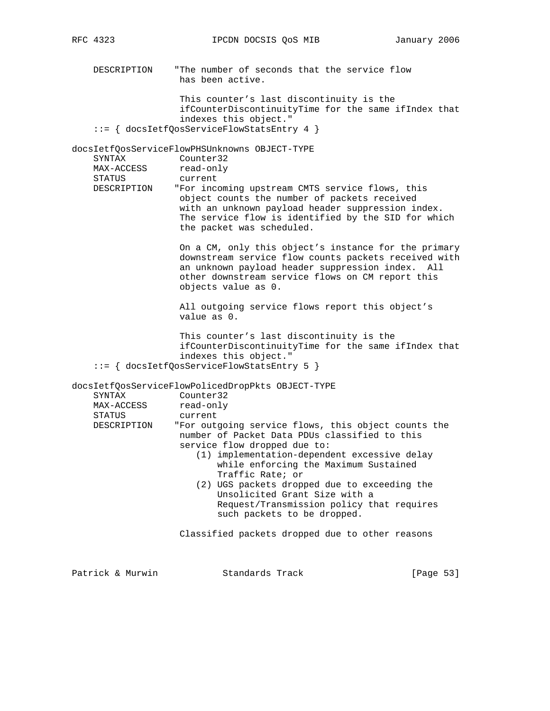DESCRIPTION "The number of seconds that the service flow has been active.

 This counter's last discontinuity is the ifCounterDiscontinuityTime for the same ifIndex that indexes this object." ::= { docsIetfQosServiceFlowStatsEntry 4 }

docsIetfQosServiceFlowPHSUnknowns OBJECT-TYPE

| SYNTAX      | Counter32                                           |
|-------------|-----------------------------------------------------|
| MAX-ACCESS  | read-only                                           |
| STATUS      | current                                             |
| DESCRIPTION | "For incoming upstream CMTS service flows, this     |
|             | object counts the number of packets received        |
|             | with an unknown payload header suppression index.   |
|             | The service flow is identified by the SID for which |
|             | the packet was scheduled.                           |

 On a CM, only this object's instance for the primary downstream service flow counts packets received with an unknown payload header suppression index. All other downstream service flows on CM report this objects value as 0.

 All outgoing service flows report this object's value as 0.

 This counter's last discontinuity is the ifCounterDiscontinuityTime for the same ifIndex that indexes this object." ::= { docsIetfQosServiceFlowStatsEntry 5 }

docsIetfQosServiceFlowPolicedDropPkts OBJECT-TYPE

| SYNTAX      | Counter32                                                                                                                                                                                                                                                                                                                                                                                                      |
|-------------|----------------------------------------------------------------------------------------------------------------------------------------------------------------------------------------------------------------------------------------------------------------------------------------------------------------------------------------------------------------------------------------------------------------|
| MAX-ACCESS  | read-only                                                                                                                                                                                                                                                                                                                                                                                                      |
| STATUS      | current                                                                                                                                                                                                                                                                                                                                                                                                        |
| DESCRIPTION | "For outgoing service flows, this object counts the<br>number of Packet Data PDUs classified to this<br>service flow dropped due to:<br>(1) implementation-dependent excessive delay<br>while enforcing the Maximum Sustained<br>Traffic Rate; or<br>(2) UGS packets dropped due to exceeding the<br>Unsolicited Grant Size with a<br>Request/Transmission policy that requires<br>such packets to be dropped. |
|             |                                                                                                                                                                                                                                                                                                                                                                                                                |
|             | Classified packets dropped due to other reasons                                                                                                                                                                                                                                                                                                                                                                |

| Patrick & Murwin<br>Standards Track | [Page 53] |
|-------------------------------------|-----------|
|-------------------------------------|-----------|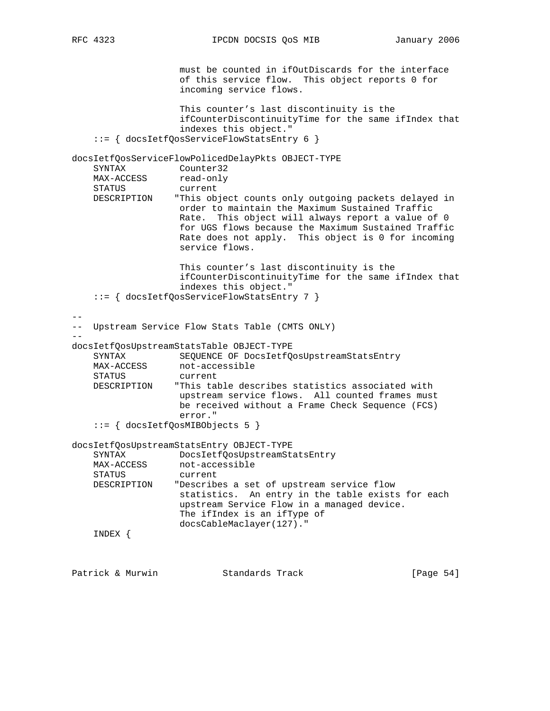must be counted in ifOutDiscards for the interface of this service flow. This object reports 0 for incoming service flows. This counter's last discontinuity is the ifCounterDiscontinuityTime for the same ifIndex that indexes this object." ::= { docsIetfQosServiceFlowStatsEntry 6 } docsIetfQosServiceFlowPolicedDelayPkts OBJECT-TYPE SYNTAX Counter32 MAX-ACCESS read-only STATUS current DESCRIPTION "This object counts only outgoing packets delayed in order to maintain the Maximum Sustained Traffic Rate. This object will always report a value of 0 for UGS flows because the Maximum Sustained Traffic Rate does not apply. This object is 0 for incoming service flows. This counter's last discontinuity is the ifCounterDiscontinuityTime for the same ifIndex that indexes this object." ::= { docsIetfQosServiceFlowStatsEntry 7 } -- -- Upstream Service Flow Stats Table (CMTS ONLY) - docsIetfQosUpstreamStatsTable OBJECT-TYPE SYNTAX SEQUENCE OF DocsIetfQosUpstreamStatsEntry<br>MAX-ACCESS not-accessible not-accessible STATUS current DESCRIPTION "This table describes statistics associated with upstream service flows. All counted frames must be received without a Frame Check Sequence (FCS) error." ::= { docsIetfQosMIBObjects 5 } docsIetfQosUpstreamStatsEntry OBJECT-TYPE SYNTAX DocsIetfQosUpstreamStatsEntry MAX-ACCESS not-accessible STATUS current DESCRIPTION "Describes a set of upstream service flow statistics. An entry in the table exists for each upstream Service Flow in a managed device. The ifIndex is an ifType of docsCableMaclayer(127)." INDEX { Patrick & Murwin Standards Track [Page 54]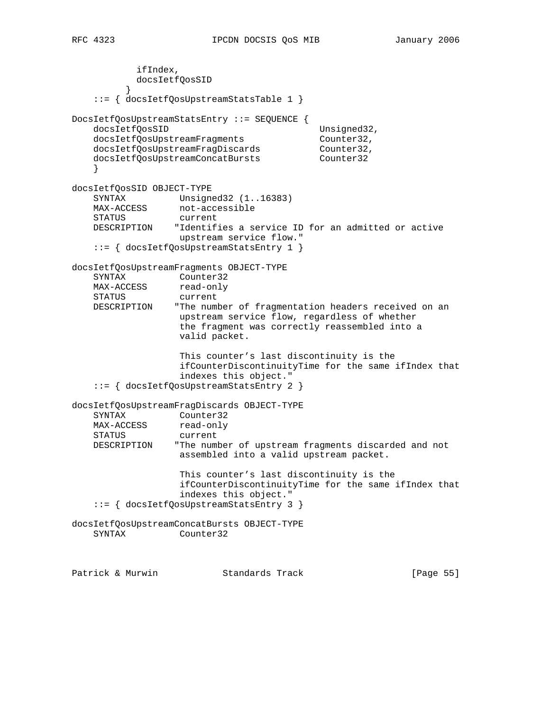ifIndex, docsIetfQosSID } ::= { docsIetfQosUpstreamStatsTable 1 } DocsIetfQosUpstreamStatsEntry ::= SEQUENCE { docsIetfQosSID Unsigned32, docsIetfQosUpstreamFragments Counter32, docsIetfQosUpstreamFragDiscards Counter32, docsIetfQosUpstreamConcatBursts Counter32 } docsIetfQosSID OBJECT-TYPE SYNTAX Unsigned32 (1..16383)<br>MAX-ACCESS not-accessible not-accessible STATUS current DESCRIPTION "Identifies a service ID for an admitted or active upstream service flow." ::= { docsIetfQosUpstreamStatsEntry 1 } docsIetfQosUpstreamFragments OBJECT-TYPE SYNTAX Counter32

MAX-ACCESS read-only STATUS current DESCRIPTION "The number of fragmentation headers received on an upstream service flow, regardless of whether the fragment was correctly reassembled into a valid packet.

 This counter's last discontinuity is the ifCounterDiscontinuityTime for the same ifIndex that indexes this object." ::= { docsIetfQosUpstreamStatsEntry 2 }

docsIetfQosUpstreamFragDiscards OBJECT-TYPE SYNTAX Counter32 SYNTAA<br>MAX-ACCESS read-only STATUS current DESCRIPTION "The number of upstream fragments discarded and not assembled into a valid upstream packet. This counter's last discontinuity is the ifCounterDiscontinuityTime for the same ifIndex that indexes this object."

::= { docsIetfQosUpstreamStatsEntry 3 }

docsIetfQosUpstreamConcatBursts OBJECT-TYPE SYNTAX Counter32

Patrick & Murwin Standards Track [Page 55]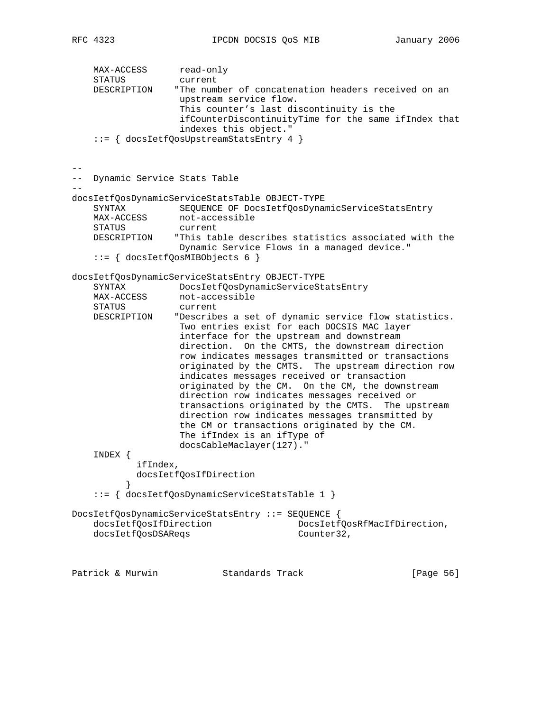MAX-ACCESS read-only STATUS current DESCRIPTION "The number of concatenation headers received on an upstream service flow. This counter's last discontinuity is the ifCounterDiscontinuityTime for the same ifIndex that indexes this object." ::= { docsIetfQosUpstreamStatsEntry 4 } -- -- Dynamic Service Stats Table - docsIetfQosDynamicServiceStatsTable OBJECT-TYPE SYNTAX SEQUENCE OF DocsIetfQosDynamicServiceStatsEntry MAX-ACCESS not-accessible STATUS current<br>DESCRIPTION "This tal "This table describes statistics associated with the Dynamic Service Flows in a managed device." ::= { docsIetfQosMIBObjects 6 } docsIetfQosDynamicServiceStatsEntry OBJECT-TYPE SYNTAX DocsIetfQosDynamicServiceStatsEntry MAX-ACCESS not-accessible STATUS current DESCRIPTION "Describes a set of dynamic service flow statistics. Two entries exist for each DOCSIS MAC layer interface for the upstream and downstream direction. On the CMTS, the downstream direction row indicates messages transmitted or transactions originated by the CMTS. The upstream direction row indicates messages received or transaction originated by the CM. On the CM, the downstream direction row indicates messages received or transactions originated by the CMTS. The upstream direction row indicates messages transmitted by the CM or transactions originated by the CM. The ifIndex is an ifType of docsCableMaclayer(127)." INDEX { ifIndex, docsIetfQosIfDirection } ::= { docsIetfQosDynamicServiceStatsTable 1 } DocsIetfQosDynamicServiceStatsEntry ::= SEQUENCE { docsIetfQosIfDirection DocsIetfQosRfMacIfDirection, docsIetfQosDSAReqs Counter32, Patrick & Murwin Standards Track [Page 56]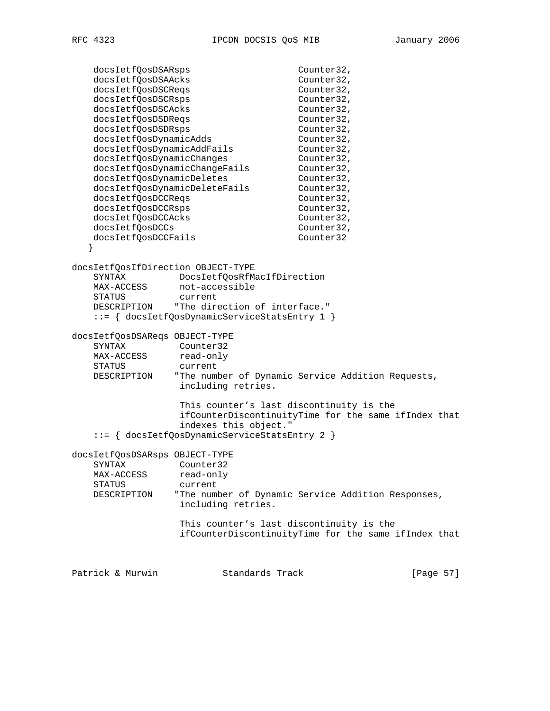docsIetfQosDSARsps Counter32, docsIetfQosDSAAcks Counter32, docsIetfQosDSCReqs<br>docsIetfQosDSCRsps<br>Counter32, docsIetfQosDSCRsps<br>docsIetfQosDSCAcks Counter32, docsIetfQosDSCAcks Counter32,<br>docsIetfQosDSDReqs Counter32, docsIetfQosDSDReqs
and Counter32, docsIetfQosDSDRsps counter32, docsIetfQosDynamicAdds Counter32, docsIetfQosDynamicAddFails Counter32, docsIetfQosDynamicChanges Counter32, docsIetfQosDynamicChangeFails Counter32, docsIetfQosDynamicDeletes Counter32, docsIetfQosDynamicDeleteFails Counter32, docsIetfQosDCCReqs
and Counter32, docsIetfQosDCCRsps counter32, docsIetfQosDCCAcks Counter32, docsIetfQosDCCs counter32, docsIetfQosDCCFails Counter32 } docsIetfQosIfDirection OBJECT-TYPE SYNTAX DocsIetfQosRfMacIfDirection MAX-ACCESS not-accessible STATUS current DESCRIPTION "The direction of interface." ::= { docsIetfQosDynamicServiceStatsEntry 1 } docsIetfQosDSAReqs OBJECT-TYPE SYNTAX Counter32 MAX-ACCESS read-only STATUS current DESCRIPTION "The number of Dynamic Service Addition Requests, including retries. This counter's last discontinuity is the ifCounterDiscontinuityTime for the same ifIndex that indexes this object." ::= { docsIetfQosDynamicServiceStatsEntry 2 } docsIetfQosDSARsps OBJECT-TYPE SYNTAX Counter32 MAX-ACCESS read-only STATUS current DESCRIPTION "The number of Dynamic Service Addition Responses, including retries. This counter's last discontinuity is the ifCounterDiscontinuityTime for the same ifIndex that Patrick & Murwin  $\begin{array}{ccc} \text{Standards} & \text{Track} & \text{Simpler} & \text{[Page 57]} \end{array}$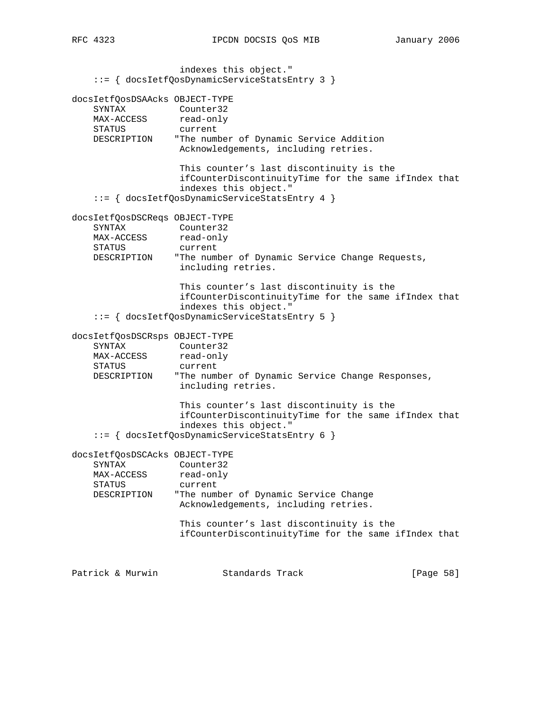indexes this object." ::= { docsIetfQosDynamicServiceStatsEntry 3 } docsIetfQosDSAAcks OBJECT-TYPE SYNTAX Counter32 MAX-ACCESS read-only STATUS current DESCRIPTION "The number of Dynamic Service Addition Acknowledgements, including retries. This counter's last discontinuity is the ifCounterDiscontinuityTime for the same ifIndex that indexes this object." ::= { docsIetfQosDynamicServiceStatsEntry 4 } docsIetfQosDSCReqs OBJECT-TYPE SYNTAX Counter32 MAX-ACCESS read-only STATUS current DESCRIPTION "The number of Dynamic Service Change Requests, including retries. This counter's last discontinuity is the ifCounterDiscontinuityTime for the same ifIndex that indexes this object." ::= { docsIetfQosDynamicServiceStatsEntry 5 } docsIetfQosDSCRsps OBJECT-TYPE SYNTAX Counter32 MAX-ACCESS read-only STATUS current DESCRIPTION "The number of Dynamic Service Change Responses, including retries. This counter's last discontinuity is the ifCounterDiscontinuityTime for the same ifIndex that indexes this object." ::= { docsIetfQosDynamicServiceStatsEntry 6 } docsIetfQosDSCAcks OBJECT-TYPE SYNTAX Counter32 MAX-ACCESS read-only STATUS current DESCRIPTION "The number of Dynamic Service Change Acknowledgements, including retries. This counter's last discontinuity is the ifCounterDiscontinuityTime for the same ifIndex that Patrick & Murwin  $\begin{array}{ccc} \text{Standards} & \text{Track} & \text{Simpler} & \text{[Page 58]} \end{array}$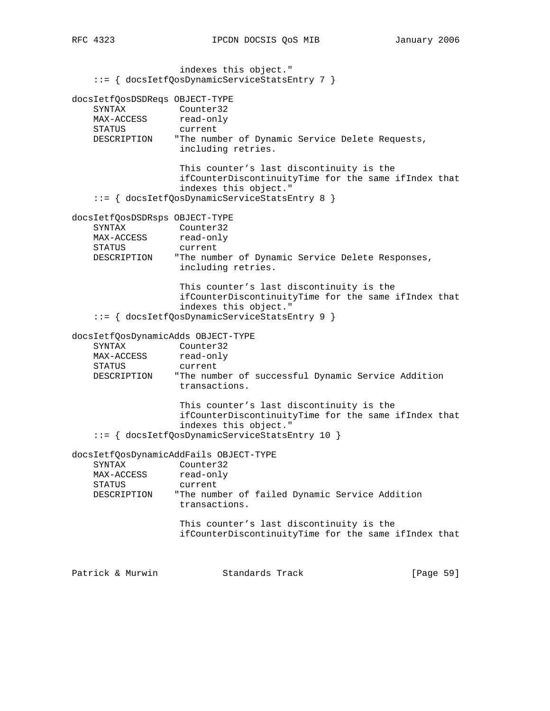indexes this object." ::= { docsIetfQosDynamicServiceStatsEntry 7 } docsIetfQosDSDReqs OBJECT-TYPE SYNTAX Counter32 MAX-ACCESS read-only STATUS current DESCRIPTION "The number of Dynamic Service Delete Requests, including retries. This counter's last discontinuity is the ifCounterDiscontinuityTime for the same ifIndex that indexes this object." ::= { docsIetfQosDynamicServiceStatsEntry 8 } docsIetfQosDSDRsps OBJECT-TYPE SYNTAX Counter32 MAX-ACCESS read-only STATUS current DESCRIPTION "The number of Dynamic Service Delete Responses, including retries. This counter's last discontinuity is the ifCounterDiscontinuityTime for the same ifIndex that indexes this object." ::= { docsIetfQosDynamicServiceStatsEntry 9 } docsIetfQosDynamicAdds OBJECT-TYPE SYNTAX Counter32 MAX-ACCESS read-only STATUS current DESCRIPTION "The number of successful Dynamic Service Addition transactions. This counter's last discontinuity is the ifCounterDiscontinuityTime for the same ifIndex that indexes this object." ::= { docsIetfQosDynamicServiceStatsEntry 10 } docsIetfQosDynamicAddFails OBJECT-TYPE SYNTAX Counter32<br>MAX-ACCESS read-only MAX-ACCESS STATUS current DESCRIPTION "The number of failed Dynamic Service Addition transactions. This counter's last discontinuity is the ifCounterDiscontinuityTime for the same ifIndex that Patrick & Murwin Standards Track [Page 59]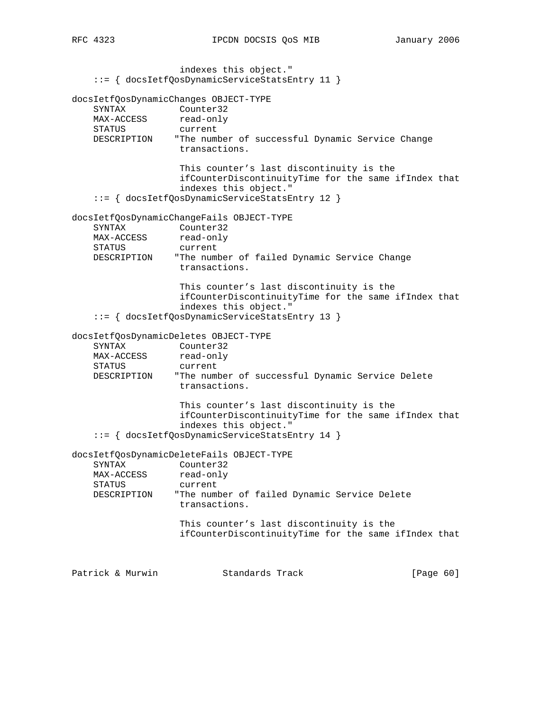indexes this object." ::= { docsIetfQosDynamicServiceStatsEntry 11 } docsIetfQosDynamicChanges OBJECT-TYPE SYNTAX Counter32 MAX-ACCESS read-only STATUS current DESCRIPTION "The number of successful Dynamic Service Change transactions. This counter's last discontinuity is the ifCounterDiscontinuityTime for the same ifIndex that indexes this object." ::= { docsIetfQosDynamicServiceStatsEntry 12 } docsIetfQosDynamicChangeFails OBJECT-TYPE SYNTAX Counter32 MAX-ACCESS read-only STATUS current DESCRIPTION "The number of failed Dynamic Service Change transactions. This counter's last discontinuity is the ifCounterDiscontinuityTime for the same ifIndex that indexes this object." ::= { docsIetfQosDynamicServiceStatsEntry 13 } docsIetfQosDynamicDeletes OBJECT-TYPE SYNTAX Counter32 MAX-ACCESS read-only STATUS current DESCRIPTION "The number of successful Dynamic Service Delete transactions. This counter's last discontinuity is the ifCounterDiscontinuityTime for the same ifIndex that indexes this object." ::= { docsIetfQosDynamicServiceStatsEntry 14 } docsIetfQosDynamicDeleteFails OBJECT-TYPE SYNTAX Counter32 MAX-ACCESS read-only STATUS current DESCRIPTION "The number of failed Dynamic Service Delete transactions. This counter's last discontinuity is the ifCounterDiscontinuityTime for the same ifIndex that Patrick & Murwin Standards Track [Page 60]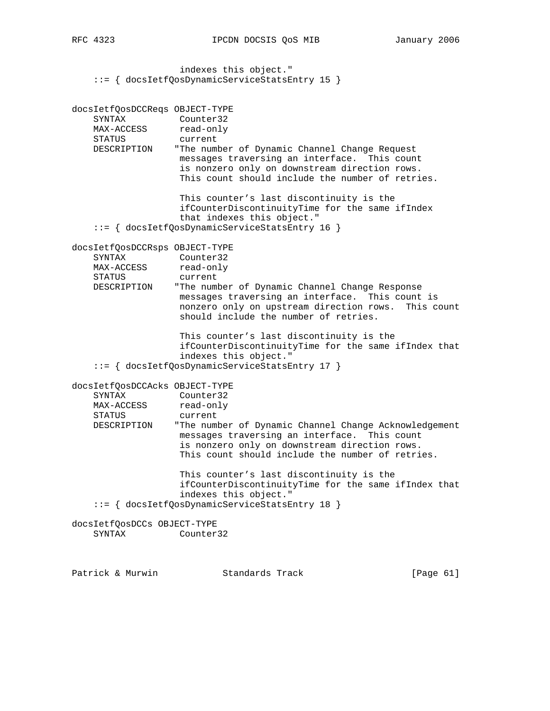```
 indexes this object."
 ::= { docsIetfQosDynamicServiceStatsEntry 15 }
```

```
docsIetfQosDCCReqs OBJECT-TYPE
 SYNTAX Counter32
MAX-ACCESS read-only
    STATUS current
    DESCRIPTION "The number of Dynamic Channel Change Request
                   messages traversing an interface. This count
                   is nonzero only on downstream direction rows.
                   This count should include the number of retries.
                    This counter's last discontinuity is the
                    ifCounterDiscontinuityTime for the same ifIndex
                    that indexes this object."
     ::= { docsIetfQosDynamicServiceStatsEntry 16 }
docsIetfQosDCCRsps OBJECT-TYPE
 SYNTAX Counter32
MAX-ACCESS read-only
 STATUS current
    DESCRIPTION "The number of Dynamic Channel Change Response
                   messages traversing an interface. This count is
                   nonzero only on upstream direction rows. This count
                   should include the number of retries.
                    This counter's last discontinuity is the
                    ifCounterDiscontinuityTime for the same ifIndex that
                    indexes this object."
     ::= { docsIetfQosDynamicServiceStatsEntry 17 }
docsIetfQosDCCAcks OBJECT-TYPE
    SYNTAX Counter32
MAX-ACCESS read-only
 STATUS current
    DESCRIPTION "The number of Dynamic Channel Change Acknowledgement
                   messages traversing an interface. This count
                    is nonzero only on downstream direction rows.
                   This count should include the number of retries.
                    This counter's last discontinuity is the
                    ifCounterDiscontinuityTime for the same ifIndex that
                    indexes this object."
     ::= { docsIetfQosDynamicServiceStatsEntry 18 }
docsIetfQosDCCs OBJECT-TYPE
    SYNTAX Counter32
```
Patrick & Murwin Standards Track [Page 61]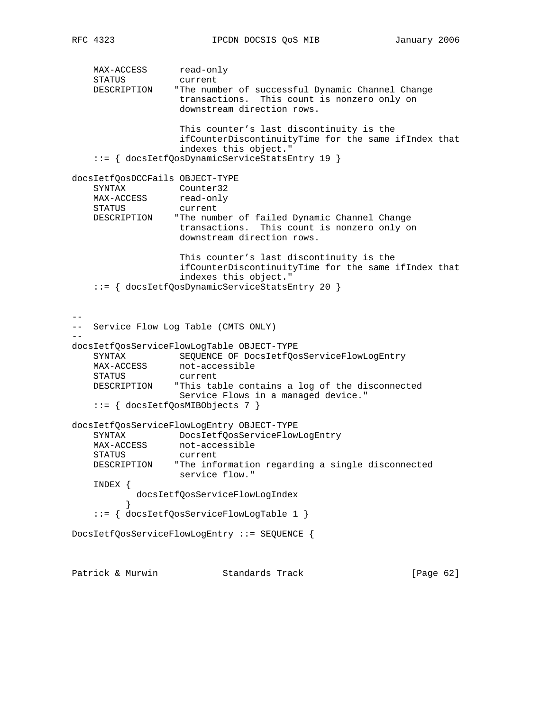MAX-ACCESS read-only STATUS current DESCRIPTION "The number of successful Dynamic Channel Change transactions. This count is nonzero only on downstream direction rows. This counter's last discontinuity is the ifCounterDiscontinuityTime for the same ifIndex that indexes this object." ::= { docsIetfQosDynamicServiceStatsEntry 19 } docsIetfQosDCCFails OBJECT-TYPE SYNTAX Counter32 MAX-ACCESS read-only STATUS current DESCRIPTION "The number of failed Dynamic Channel Change transactions. This count is nonzero only on downstream direction rows. This counter's last discontinuity is the ifCounterDiscontinuityTime for the same ifIndex that indexes this object." ::= { docsIetfQosDynamicServiceStatsEntry 20 } -- -- Service Flow Log Table (CMTS ONLY) - docsIetfQosServiceFlowLogTable OBJECT-TYPE SYNTAX SEQUENCE OF DocsIetfQosServiceFlowLogEntry<br>MAX-ACCESS not-accessible not-accessible STATUS current DESCRIPTION "This table contains a log of the disconnected Service Flows in a managed device." ::= { docsIetfQosMIBObjects 7 } docsIetfQosServiceFlowLogEntry OBJECT-TYPE SYNTAX DocsIetfQosServiceFlowLogEntry MAX-ACCESS not-accessible<br>STATUS SUFFORT STATUS current DESCRIPTION "The information regarding a single disconnected service flow." INDEX { docsIetfQosServiceFlowLogIndex } ::= { docsIetfQosServiceFlowLogTable 1 } DocsIetfQosServiceFlowLogEntry ::= SEQUENCE { Patrick & Murwin  $\begin{array}{ccc} \text{Standards} & \text{Track} & \text{Simpler} & \text{[Page 62]} \end{array}$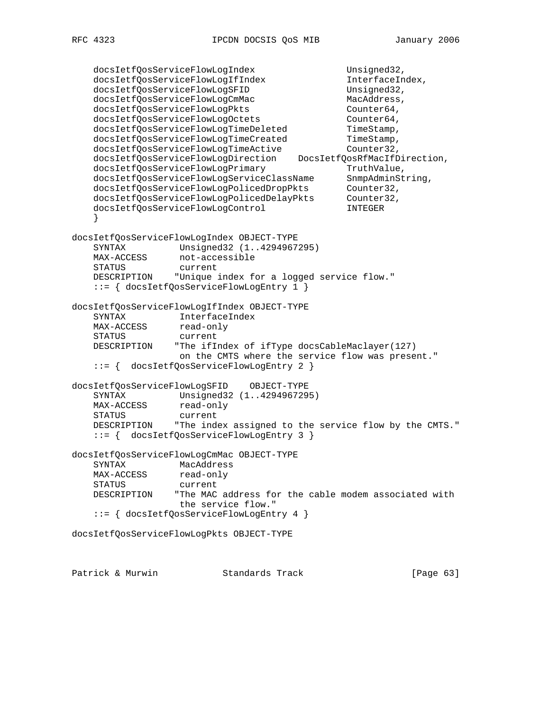```
docsIetfQosServiceFlowLogIndex Unsigned32,
   docsIetfQosServiceFlowLogIfIndex InterfaceIndex,<br>docsIetfOosServiceFlowLogSFID Unsigned32,
   docsIetfQosServiceFlowLogSFID<br>docsIetfQosServiceFlowLogSFID Unsigned32,<br>docsIetfQosServiceFlowLogCmMac MacAddress,
    docsIetfQosServiceFlowLogCmMac MacAddress,
docsIetfQosServiceFlowLogPkts Counter64,
docsIetfQosServiceFlowLogOctets Counter64,
docsIetfQosServiceFlowLogTimeDeleted TimeStamp,
docsIetfQosServiceFlowLogTimeCreated TimeStamp,
docsIetfQosServiceFlowLogTimeActive Counter32,
    docsIetfQosServiceFlowLogDirection DocsIetfQosRfMacIfDirection,
docsIetfQosServiceFlowLogPrimary TruthValue,
 docsIetfQosServiceFlowLogServiceClassName SnmpAdminString,
 docsIetfQosServiceFlowLogPolicedDropPkts Counter32,
 docsIetfQosServiceFlowLogPolicedDelayPkts Counter32,
 docsIetfQosServiceFlowLogControl INTEGER
 }
docsIetfQosServiceFlowLogIndex OBJECT-TYPE
    SYNTAX Unsigned32 (1..4294967295)
MAX-ACCESS not-accessible
 STATUS current
    DESCRIPTION "Unique index for a logged service flow."
    ::= { docsIetfQosServiceFlowLogEntry 1 }
docsIetfQosServiceFlowLogIfIndex OBJECT-TYPE
 SYNTAX InterfaceIndex
MAX-ACCESS read-only
    STATUS current
    DESCRIPTION "The ifIndex of ifType docsCableMaclayer(127)
                  on the CMTS where the service flow was present."
    ::= { docsIetfQosServiceFlowLogEntry 2 }
docsIetfQosServiceFlowLogSFID OBJECT-TYPE
    SYNTAX Unsigned32 (1..4294967295)
MAX-ACCESS read-only
 STATUS current
    DESCRIPTION "The index assigned to the service flow by the CMTS."
    ::= { docsIetfQosServiceFlowLogEntry 3 }
docsIetfQosServiceFlowLogCmMac OBJECT-TYPE
   SYNTAX MacAddress<br>MAX-ACCESS read-only
   MAX-ACCESS
    STATUS current
    DESCRIPTION "The MAC address for the cable modem associated with
                  the service flow."
    ::= { docsIetfQosServiceFlowLogEntry 4 }
docsIetfQosServiceFlowLogPkts OBJECT-TYPE
```
Patrick & Murwin Standards Track [Page 63]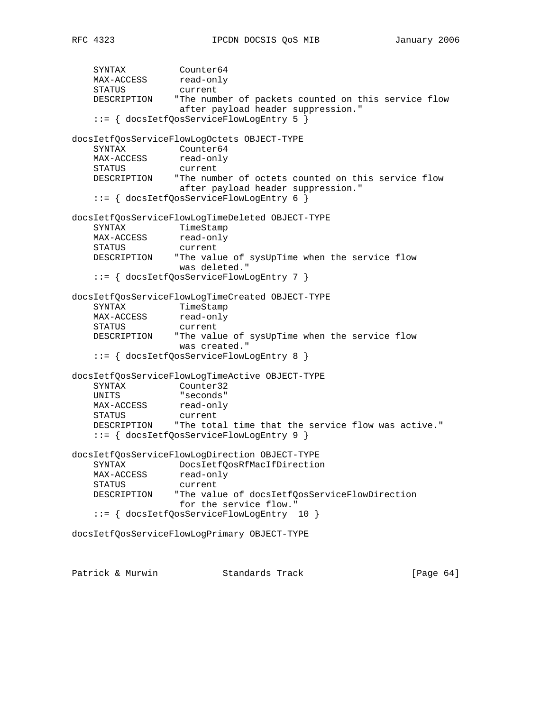```
SYNTAX Counter64
MAX-ACCESS read-only
 STATUS current
    DESCRIPTION "The number of packets counted on this service flow
                  after payload header suppression."
    ::= { docsIetfQosServiceFlowLogEntry 5 }
docsIetfQosServiceFlowLogOctets OBJECT-TYPE
 SYNTAX Counter64
MAX-ACCESS read-only
    STATUS current
    DESCRIPTION "The number of octets counted on this service flow
                  after payload header suppression."
    ::= { docsIetfQosServiceFlowLogEntry 6 }
docsIetfQosServiceFlowLogTimeDeleted OBJECT-TYPE
   SYNTAX TimeStamp
MAX-ACCESS read-only
 STATUS current
    DESCRIPTION "The value of sysUpTime when the service flow
                  was deleted."
    ::= { docsIetfQosServiceFlowLogEntry 7 }
docsIetfQosServiceFlowLogTimeCreated OBJECT-TYPE
SYNTAX TimeStamp
MAX-ACCESS read-only
    STATUS current
    DESCRIPTION "The value of sysUpTime when the service flow
                  was created."
    ::= { docsIetfQosServiceFlowLogEntry 8 }
docsIetfQosServiceFlowLogTimeActive OBJECT-TYPE
    SYNTAX Counter32
 UNITS "seconds"
MAX-ACCESS read-only
 STATUS current
    DESCRIPTION "The total time that the service flow was active."
    ::= { docsIetfQosServiceFlowLogEntry 9 }
docsIetfQosServiceFlowLogDirection OBJECT-TYPE
   SYNTAX DocsIetfQosRfMacIfDirection<br>MAX-ACCESS read-only
   MAX-ACCESS
    STATUS current
    DESCRIPTION "The value of docsIetfQosServiceFlowDirection
                  for the service flow."
    ::= { docsIetfQosServiceFlowLogEntry 10 }
docsIetfQosServiceFlowLogPrimary OBJECT-TYPE
```
Patrick & Murwin Standards Track [Page 64]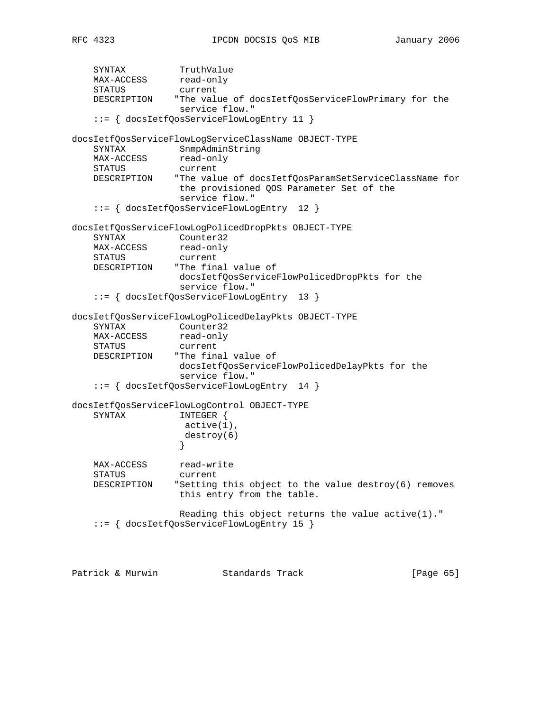SYNTAX TruthValue MAX-ACCESS read-only STATUS current DESCRIPTION "The value of docsIetfQosServiceFlowPrimary for the service flow." ::= { docsIetfQosServiceFlowLogEntry 11 } docsIetfQosServiceFlowLogServiceClassName OBJECT-TYPE SYNTAX SnmpAdminString MAX-ACCESS read-only STATUS current DESCRIPTION "The value of docsIetfQosParamSetServiceClassName for the provisioned QOS Parameter Set of the service flow." ::= { docsIetfQosServiceFlowLogEntry 12 } docsIetfQosServiceFlowLogPolicedDropPkts OBJECT-TYPE SYNTAX Counter32 MAX-ACCESS read-only STATUS current DESCRIPTION "The final value of docsIetfQosServiceFlowPolicedDropPkts for the service flow." ::= { docsIetfQosServiceFlowLogEntry 13 } docsIetfQosServiceFlowLogPolicedDelayPkts OBJECT-TYPE SYNTAX Counter32 MAX-ACCESS read-only STATUS current DESCRIPTION "The final value of docsIetfQosServiceFlowPolicedDelayPkts for the service flow." ::= { docsIetfQosServiceFlowLogEntry 14 } docsIetfQosServiceFlowLogControl OBJECT-TYPE SYNTAX INTEGER { active(1), destroy(6) } MAX-ACCESS read-write STATUS current DESCRIPTION "Setting this object to the value destroy(6) removes this entry from the table. Reading this object returns the value active(1)." ::= { docsIetfQosServiceFlowLogEntry 15 } Patrick & Murwin Standards Track [Page 65]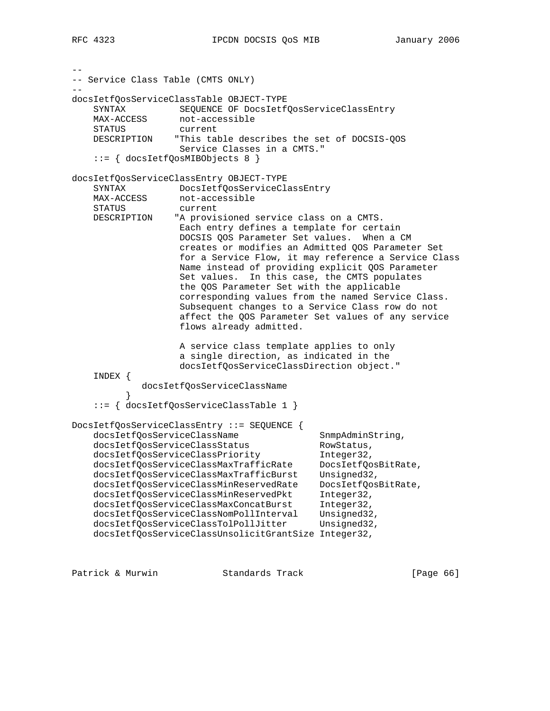-- -- Service Class Table (CMTS ONLY) - docsIetfQosServiceClassTable OBJECT-TYPE SYNTAX SEQUENCE OF DocsIetfQosServiceClassEntry MAX-ACCESS not-accessible STATUS current DESCRIPTION "This table describes the set of DOCSIS-QOS Service Classes in a CMTS." ::= { docsIetfQosMIBObjects 8 } docsIetfQosServiceClassEntry OBJECT-TYPE SYNTAX DocsIetfQosServiceClassEntry not-accessible SINIAA<br>MAX-ACCESS not-acce<br>STATUS current DESCRIPTION "A provisioned service class on a CMTS. Each entry defines a template for certain DOCSIS QOS Parameter Set values. When a CM creates or modifies an Admitted QOS Parameter Set for a Service Flow, it may reference a Service Class Name instead of providing explicit QOS Parameter Set values. In this case, the CMTS populates the QOS Parameter Set with the applicable corresponding values from the named Service Class. Subsequent changes to a Service Class row do not affect the QOS Parameter Set values of any service flows already admitted. A service class template applies to only a single direction, as indicated in the docsIetfQosServiceClassDirection object." INDEX { docsIetfQosServiceClassName } ::= { docsIetfQosServiceClassTable 1 } DocsIetfQosServiceClassEntry ::= SEQUENCE { docsIetfQosServiceClassName SnmpAdminString, docsIetfQosServiceClassStatus RowStatus, docsIetfQosServiceClassPriority Integer32, docsIetfQosServiceClassMaxTrafficRate DocsIetfQosBitRate, docsIetfQosServiceClassMaxTrafficBurst Unsigned32, docsIetfQosServiceClassMinReservedRate DocsIetfQosBitRate, docsIetfQosServiceClassMinReservedPkt Integer32, docsIetfQosServiceClassMaxConcatBurst Integer32, docsIetfQosServiceClassNomPollInterval Unsigned32, docsIetfQosServiceClassTolPollJitter Unsigned32, docsIetfQosServiceClassUnsolicitGrantSize Integer32,

Patrick & Murwin Standards Track [Page 66]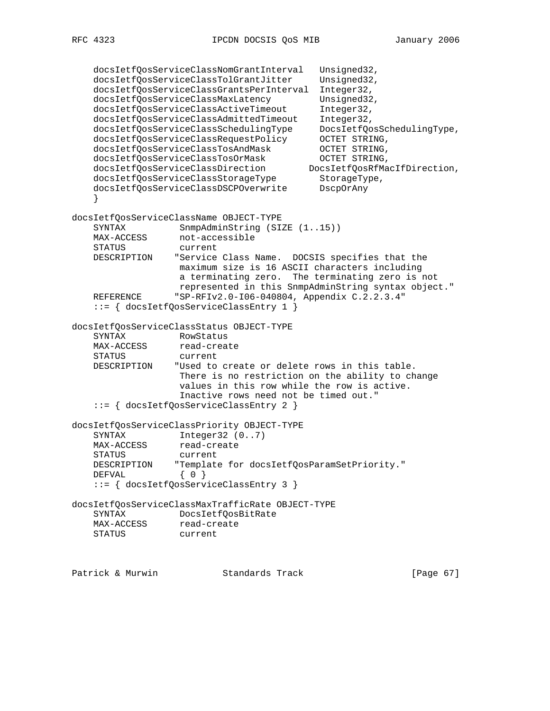docsIetfQosServiceClassNomGrantInterval Unsigned32, docsIetfQosServiceClassTolGrantJitter Unsigned32, docsIetfQosServiceClassGrantsPerInterval Integer32, docsIetfQosServiceClassMaxLatency Unsigned32, docsIetfQosServiceClassActiveTimeout Integer32, docsIetfQosServiceClassAdmittedTimeout Integer32, docsIetfQosServiceClassSchedulingType DocsIetfQosSchedulingType, docsIetfQosServiceClassRequestPolicy OCTET STRING, docsIetfQosServiceClassTosAndMask OCTET STRING, docsIetfQosServiceClassTosOrMask OCTET STRING, docsIetfQosServiceClassDirection DocsIetfQosRfMacIfDirection, docsIetfQosServiceClassStorageType StorageType, docsIetfQosServiceClassDSCPOverwrite DscpOrAny } docsIetfQosServiceClassName OBJECT-TYPE SYNTAX SnmpAdminString (SIZE (1..15)) MAX-ACCESS not-accessible STATUS current DESCRIPTION "Service Class Name. DOCSIS specifies that the maximum size is 16 ASCII characters including a terminating zero. The terminating zero is not represented in this SnmpAdminString syntax object." REFERENCE "SP-RFIv2.0-I06-040804, Appendix C.2.2.3.4" ::= { docsIetfQosServiceClassEntry 1 } docsIetfQosServiceClassStatus OBJECT-TYPE SYNTAX RowStatus<br>MAX-ACCESS read-creat read-create<br>current STATUS DESCRIPTION "Used to create or delete rows in this table. There is no restriction on the ability to change values in this row while the row is active. Inactive rows need not be timed out." ::= { docsIetfQosServiceClassEntry 2 } docsIetfQosServiceClassPriority OBJECT-TYPE SYNTAX Integer32 (0..7) MAX-ACCESS read-create STATUS current DESCRIPTION "Template for docsIetfQosParamSetPriority." DEFVAL { 0 } ::= { docsIetfQosServiceClassEntry 3 } docsIetfQosServiceClassMaxTrafficRate OBJECT-TYPE SYNTAX DocsIetfQosBitRate MAX-ACCESS read-create STATUS current

Patrick & Murwin **Standards Track** [Page 67]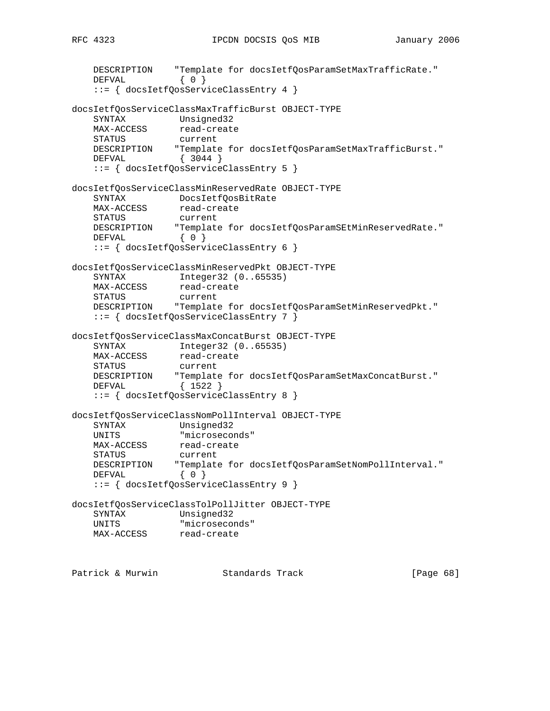```
 DESCRIPTION "Template for docsIetfQosParamSetMaxTrafficRate."
DEFVAL { 0 }
    ::= { docsIetfQosServiceClassEntry 4 }
docsIetfQosServiceClassMaxTrafficBurst OBJECT-TYPE
 SYNTAX Unsigned32
MAX-ACCESS read-create
    STATUS current
 DESCRIPTION "Template for docsIetfQosParamSetMaxTrafficBurst."
 DEFVAL { 3044 }
    ::= { docsIetfQosServiceClassEntry 5 }
docsIetfQosServiceClassMinReservedRate OBJECT-TYPE
 SYNTAX DocsIetfQosBitRate
MAX-ACCESS read-create
 STATUS current
 DESCRIPTION "Template for docsIetfQosParamSEtMinReservedRate."
DEFVAL { 0 }
    ::= { docsIetfQosServiceClassEntry 6 }
docsIetfQosServiceClassMinReservedPkt OBJECT-TYPE
    SYNTAX Integer32 (0..65535)
MAX-ACCESS read-create
 STATUS current
    DESCRIPTION "Template for docsIetfQosParamSetMinReservedPkt."
    ::= { docsIetfQosServiceClassEntry 7 }
docsIetfQosServiceClassMaxConcatBurst OBJECT-TYPE
 SYNTAX Integer32 (0..65535)
MAX-ACCESS read-create
    STATUS current
 DESCRIPTION "Template for docsIetfQosParamSetMaxConcatBurst."
 DEFVAL { 1522 }
    ::= { docsIetfQosServiceClassEntry 8 }
docsIetfQosServiceClassNomPollInterval OBJECT-TYPE
   SYNTAX Unsigned32<br>UNITS "microseconds"
 UNITS "microseconds"
MAX-ACCESS read-create
 STATUS current
 DESCRIPTION "Template for docsIetfQosParamSetNomPollInterval."
DEFVAL { 0 }
    ::= { docsIetfQosServiceClassEntry 9 }
docsIetfQosServiceClassTolPollJitter OBJECT-TYPE
    SYNTAX Unsigned32
    UNITS "microseconds"
    MAX-ACCESS read-create
Patrick & Murwin Standards Track [Page 68]
```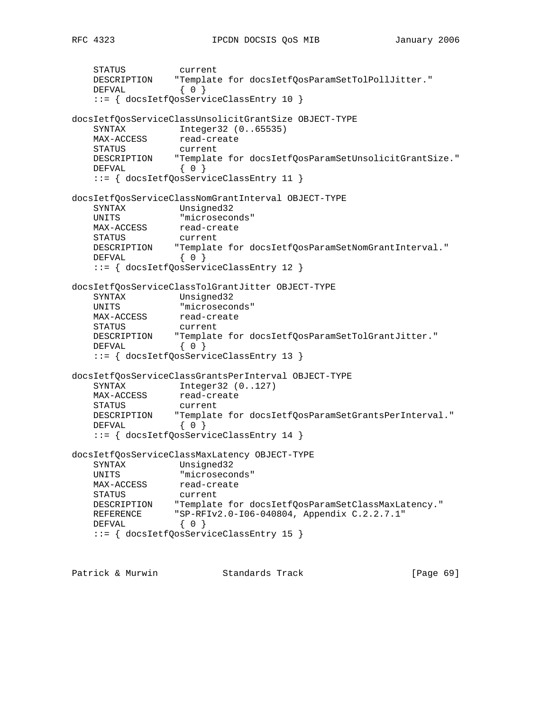```
 STATUS current
 DESCRIPTION "Template for docsIetfQosParamSetTolPollJitter."
DEFVAL { 0 }
    ::= { docsIetfQosServiceClassEntry 10 }
docsIetfQosServiceClassUnsolicitGrantSize OBJECT-TYPE
 SYNTAX Integer32 (0..65535)
MAX-ACCESS read-create
    STATUS current
 DESCRIPTION "Template for docsIetfQosParamSetUnsolicitGrantSize."
DEFVAL { 0 }
   DEFVAL { 0 }<br>::= { docsIetfQosServiceClassEntry 11 }
docsIetfQosServiceClassNomGrantInterval OBJECT-TYPE
    SYNTAX Unsigned32
 UNITS "microseconds"
MAX-ACCESS read-create
 STATUS current
 DESCRIPTION "Template for docsIetfQosParamSetNomGrantInterval."
DEFVAL { 0 }
    ::= { docsIetfQosServiceClassEntry 12 }
docsIetfQosServiceClassTolGrantJitter OBJECT-TYPE
 SYNTAX Unsigned32
 UNITS "microseconds"
MAX-ACCESS read-create
 STATUS current
 DESCRIPTION "Template for docsIetfQosParamSetTolGrantJitter."
DEFVAL { 0 }
    ::= { docsIetfQosServiceClassEntry 13 }
docsIetfQosServiceClassGrantsPerInterval OBJECT-TYPE
SYNTAX Integer32 (0..127)
MAX-ACCESS read-create
    STATUS current
 DESCRIPTION "Template for docsIetfQosParamSetGrantsPerInterval."
DEFVAL { 0 }
    ::= { docsIetfQosServiceClassEntry 14 }
docsIetfQosServiceClassMaxLatency OBJECT-TYPE
    SYNTAX Unsigned32
    UNITS "microseconds"
MAX-ACCESS read-create
 STATUS current
    DESCRIPTION "Template for docsIetfQosParamSetClassMaxLatency."
 REFERENCE "SP-RFIv2.0-I06-040804, Appendix C.2.2.7.1"
DEFVAL { 0 }
    ::= { docsIetfQosServiceClassEntry 15 }
```
Patrick & Murwin Standards Track [Page 69]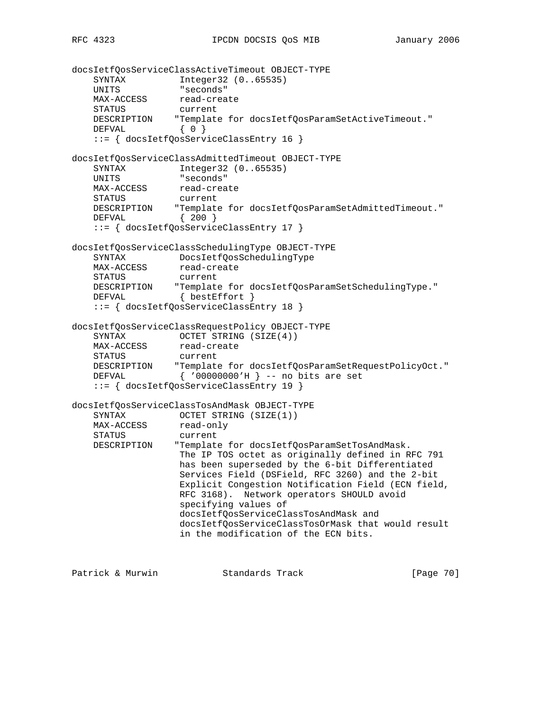```
docsIetfQosServiceClassActiveTimeout OBJECT-TYPE
 SYNTAX Integer32 (0..65535)
 UNITS "seconds"
MAX-ACCESS read-create
 STATUS current
 DESCRIPTION "Template for docsIetfQosParamSetActiveTimeout."
DEFVAL { 0 }
    ::= { docsIetfQosServiceClassEntry 16 }
docsIetfQosServiceClassAdmittedTimeout OBJECT-TYPE
    SYNTAX Integer32 (0..65535)
 UNITS "seconds"
MAX-ACCESS read-create
 STATUS current
 DESCRIPTION "Template for docsIetfQosParamSetAdmittedTimeout."
 DEFVAL { 200 }
    ::= { docsIetfQosServiceClassEntry 17 }
docsIetfQosServiceClassSchedulingType OBJECT-TYPE
    SYNTAX DocsIetfQosSchedulingType
   MAX-ACCESS read-create
    STATUS current
 DESCRIPTION "Template for docsIetfQosParamSetSchedulingType."
DEFVAL { bestEffort }
    ::= { docsIetfQosServiceClassEntry 18 }
docsIetfQosServiceClassRequestPolicy OBJECT-TYPE
   SYNTAX OCTET STRING (SIZE(4))<br>MAX-ACCESS read-create
                read-create<br>current
   STATUS
 DESCRIPTION "Template for docsIetfQosParamSetRequestPolicyOct."
 DEFVAL { '00000000'H } -- no bits are set
    ::= { docsIetfQosServiceClassEntry 19 }
docsIetfQosServiceClassTosAndMask OBJECT-TYPE
    SYNTAX OCTET STRING (SIZE(1))
   SYNIAA<br>MAX-ACCESS
    STATUS current
    DESCRIPTION "Template for docsIetfQosParamSetTosAndMask.
                  The IP TOS octet as originally defined in RFC 791
                   has been superseded by the 6-bit Differentiated
                   Services Field (DSField, RFC 3260) and the 2-bit
                   Explicit Congestion Notification Field (ECN field,
                   RFC 3168). Network operators SHOULD avoid
                   specifying values of
                   docsIetfQosServiceClassTosAndMask and
                   docsIetfQosServiceClassTosOrMask that would result
                   in the modification of the ECN bits.
Patrick & Murwin \qquad \qquad Standards Track [Page 70]
```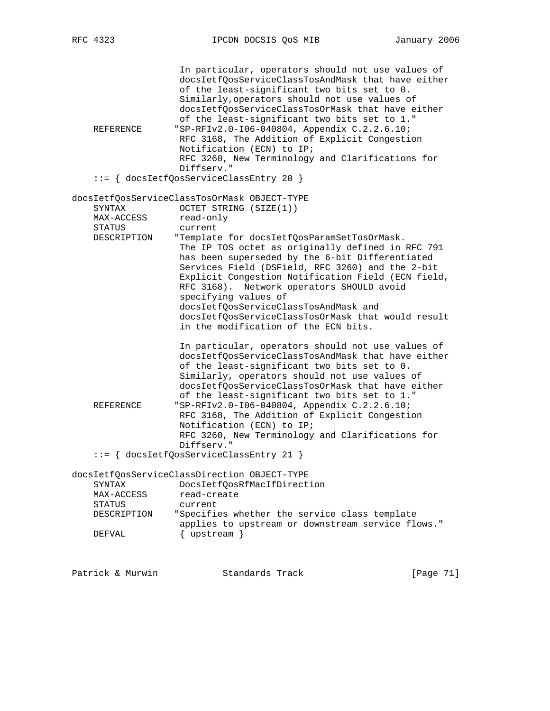| REFERENCE     | In particular, operators should not use values of<br>docsIetfQosServiceClassTosAndMask that have either<br>of the least-significant two bits set to 0.<br>Similarly, operators should not use values of<br>docsIetfQosServiceClassTosOrMask that have either<br>of the least-significant two bits set to 1."<br>"SP-RFIv2.0-106-040804, Appendix C.2.2.6.10;<br>RFC 3168, The Addition of Explicit Congestion<br>Notification (ECN) to IP;<br>RFC 3260, New Terminology and Clarifications for               |
|---------------|--------------------------------------------------------------------------------------------------------------------------------------------------------------------------------------------------------------------------------------------------------------------------------------------------------------------------------------------------------------------------------------------------------------------------------------------------------------------------------------------------------------|
|               | Diffserv."<br>::= { docsIetfQosServiceClassEntry 20 }                                                                                                                                                                                                                                                                                                                                                                                                                                                        |
|               | docsIetfQosServiceClassTosOrMask OBJECT-TYPE                                                                                                                                                                                                                                                                                                                                                                                                                                                                 |
| SYNTAX        | OCTET STRING (SIZE(1))                                                                                                                                                                                                                                                                                                                                                                                                                                                                                       |
| MAX-ACCESS    | read-only                                                                                                                                                                                                                                                                                                                                                                                                                                                                                                    |
| <b>STATUS</b> | current                                                                                                                                                                                                                                                                                                                                                                                                                                                                                                      |
| DESCRIPTION   | "Template for docsIetfQosParamSetTosOrMask.<br>The IP TOS octet as originally defined in RFC 791<br>has been superseded by the 6-bit Differentiated<br>Services Field (DSField, RFC 3260) and the 2-bit<br>Explicit Congestion Notification Field (ECN field,<br>Network operators SHOULD avoid<br>RFC 3168).<br>specifying values of<br>docsIetfQosServiceClassTosAndMask and<br>docsIetfQosServiceClassTosOrMask that would result<br>in the modification of the ECN bits.                                 |
| REFERENCE     | In particular, operators should not use values of<br>docsIetfQosServiceClassTosAndMask that have either<br>of the least-significant two bits set to 0.<br>Similarly, operators should not use values of<br>docsIetfQosServiceClassTosOrMask that have either<br>of the least-significant two bits set to 1."<br>"SP-RFIv2.0-106-040804, Appendix C.2.2.6.10;<br>RFC 3168, The Addition of Explicit Congestion<br>Notification (ECN) to IP;<br>RFC 3260, New Terminology and Clarifications for<br>Diffserv." |
|               | ::= { docsIetfQosServiceClassEntry 21 }                                                                                                                                                                                                                                                                                                                                                                                                                                                                      |
|               | docsIetfQosServiceClassDirection OBJECT-TYPE                                                                                                                                                                                                                                                                                                                                                                                                                                                                 |
| SYNTAX        | DocsIetfQosRfMacIfDirection                                                                                                                                                                                                                                                                                                                                                                                                                                                                                  |
| MAX-ACCESS    | read-create                                                                                                                                                                                                                                                                                                                                                                                                                                                                                                  |
| STATUS        | current                                                                                                                                                                                                                                                                                                                                                                                                                                                                                                      |
| DESCRIPTION   | "Specifies whether the service class template<br>applies to upstream or downstream service flows."                                                                                                                                                                                                                                                                                                                                                                                                           |
| DEFVAL        | $\{$ upstream $\}$                                                                                                                                                                                                                                                                                                                                                                                                                                                                                           |
|               |                                                                                                                                                                                                                                                                                                                                                                                                                                                                                                              |

Patrick & Murwin Standards Track [Page 71]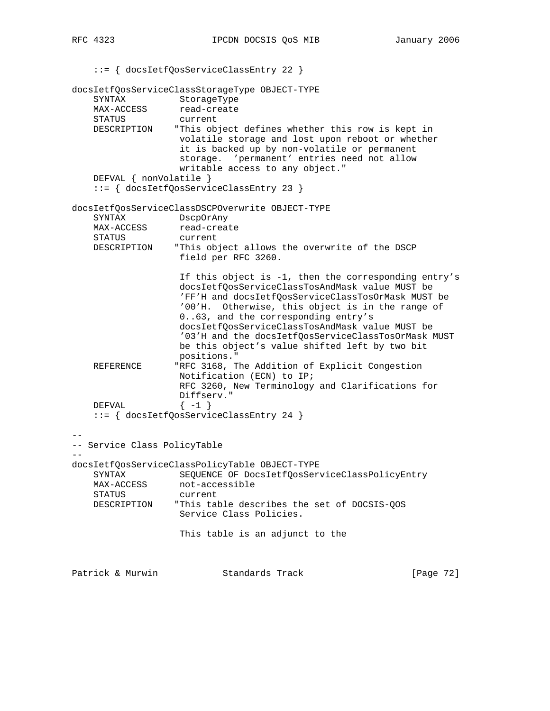::= { docsIetfQosServiceClassEntry 22 } docsIetfQosServiceClassStorageType OBJECT-TYPE SYNTAX StorageType MAX-ACCESS read-create STATUS current DESCRIPTION "This object defines whether this row is kept in volatile storage and lost upon reboot or whether it is backed up by non-volatile or permanent storage. 'permanent' entries need not allow writable access to any object." DEFVAL { nonVolatile } ::= { docsIetfQosServiceClassEntry 23 } docsIetfQosServiceClassDSCPOverwrite OBJECT-TYPE SYNTAX DscpOrAny MAX-ACCESS read-create STATUS current DESCRIPTION "This object allows the overwrite of the DSCP field per RFC 3260. If this object is -1, then the corresponding entry's docsIetfQosServiceClassTosAndMask value MUST be 'FF'H and docsIetfQosServiceClassTosOrMask MUST be '00'H. Otherwise, this object is in the range of 0..63, and the corresponding entry's docsIetfQosServiceClassTosAndMask value MUST be '03'H and the docsIetfQosServiceClassTosOrMask MUST be this object's value shifted left by two bit positions." REFERENCE "RFC 3168, The Addition of Explicit Congestion Notification (ECN) to IP; RFC 3260, New Terminology and Clarifications for Diffserv." DEFVAL  $\{-1\}$  ::= { docsIetfQosServiceClassEntry 24 } -- -- Service Class PolicyTable - docsIetfQosServiceClassPolicyTable OBJECT-TYPE SYNTAX SEQUENCE OF DocsIetfQosServiceClassPolicyEntry MAX-ACCESS not-accessible STATUS current DESCRIPTION "This table describes the set of DOCSIS-QOS Service Class Policies. This table is an adjunct to the Patrick & Murwin Standards Track [Page 72]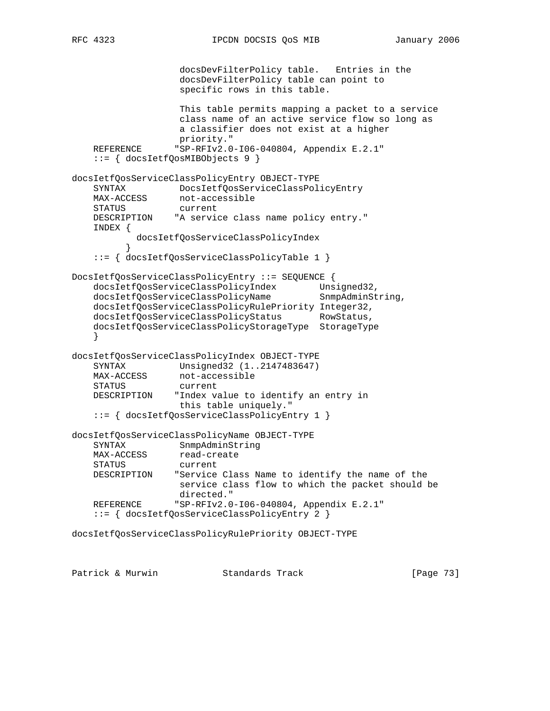```
 docsDevFilterPolicy table. Entries in the
                    docsDevFilterPolicy table can point to
                    specific rows in this table.
                    This table permits mapping a packet to a service
                    class name of an active service flow so long as
                    a classifier does not exist at a higher
    priority."<br>REFERENCE "SP-RFIv2.0
                  "SP-RFIv2.0-I06-040804, Appendix E.2.1"
     ::= { docsIetfQosMIBObjects 9 }
docsIetfQosServiceClassPolicyEntry OBJECT-TYPE
     SYNTAX DocsIetfQosServiceClassPolicyEntry
    MAX-ACCESS not-accessible
   STATUS current<br>DESCRIPTION "A servic
                 "A service class name policy entry."
     INDEX {
            docsIetfQosServiceClassPolicyIndex
 }
     ::= { docsIetfQosServiceClassPolicyTable 1 }
DocsIetfQosServiceClassPolicyEntry ::= SEQUENCE {
 docsIetfQosServiceClassPolicyIndex Unsigned32,
docsIetfQosServiceClassPolicyName SnmpAdminString,
    docsIetfQosServiceClassPolicyRulePriority Integer32,
     docsIetfQosServiceClassPolicyStatus RowStatus,
     docsIetfQosServiceClassPolicyStorageType StorageType
 }
docsIetfQosServiceClassPolicyIndex OBJECT-TYPE
 SYNTAX Unsigned32 (1..2147483647)
MAX-ACCESS not-accessible
    STATUS current
    DESCRIPTION "Index value to identify an entry in
                   this table uniquely."
     ::= { docsIetfQosServiceClassPolicyEntry 1 }
docsIetfQosServiceClassPolicyName OBJECT-TYPE
    SYNTAX SnmpAdminString
   MAX-ACCESS read-create<br>STATUS current
   STATUS
    DESCRIPTION "Service Class Name to identify the name of the
                   service class flow to which the packet should be
                    directed."
    REFERENCE "SP-RFIv2.0-I06-040804, Appendix E.2.1"
     ::= { docsIetfQosServiceClassPolicyEntry 2 }
docsIetfQosServiceClassPolicyRulePriority OBJECT-TYPE
```
Patrick & Murwin Standards Track [Page 73]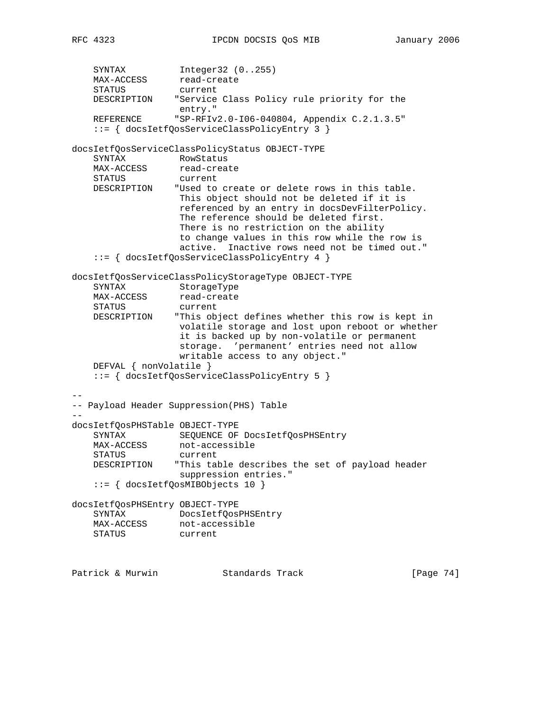```
SYNTAX Integer32 (0..255)
MAX-ACCESS read-create
 STATUS current
    DESCRIPTION "Service Class Policy rule priority for the
 entry."
 REFERENCE "SP-RFIv2.0-I06-040804, Appendix C.2.1.3.5"
    ::= { docsIetfQosServiceClassPolicyEntry 3 }
docsIetfQosServiceClassPolicyStatus OBJECT-TYPE
SYNTAX RowStatus
MAX-ACCESS read-create
 STATUS current
    DESCRIPTION "Used to create or delete rows in this table.
                  This object should not be deleted if it is
                  referenced by an entry in docsDevFilterPolicy.
                  The reference should be deleted first.
                  There is no restriction on the ability
                  to change values in this row while the row is
                  active. Inactive rows need not be timed out."
    ::= { docsIetfQosServiceClassPolicyEntry 4 }
docsIetfQosServiceClassPolicyStorageType OBJECT-TYPE
    SYNTAX StorageType
MAX-ACCESS read-create
 STATUS current
    DESCRIPTION "This object defines whether this row is kept in
                  volatile storage and lost upon reboot or whether
                  it is backed up by non-volatile or permanent
                  storage. 'permanent' entries need not allow
                  writable access to any object."
    DEFVAL { nonVolatile }
    ::= { docsIetfQosServiceClassPolicyEntry 5 }
--
-- Payload Header Suppression(PHS) Table
--
docsIetfQosPHSTable OBJECT-TYPE
    SYNTAX SEQUENCE OF DocsIetfQosPHSEntry
MAX-ACCESS not-accessible
 STATUS current
    DESCRIPTION "This table describes the set of payload header
                  suppression entries."
    ::= { docsIetfQosMIBObjects 10 }
docsIetfQosPHSEntry OBJECT-TYPE
 SYNTAX DocsIetfQosPHSEntry
MAX-ACCESS not-accessible
 STATUS current
Patrick & Murwin Standards Track [Page 74]
```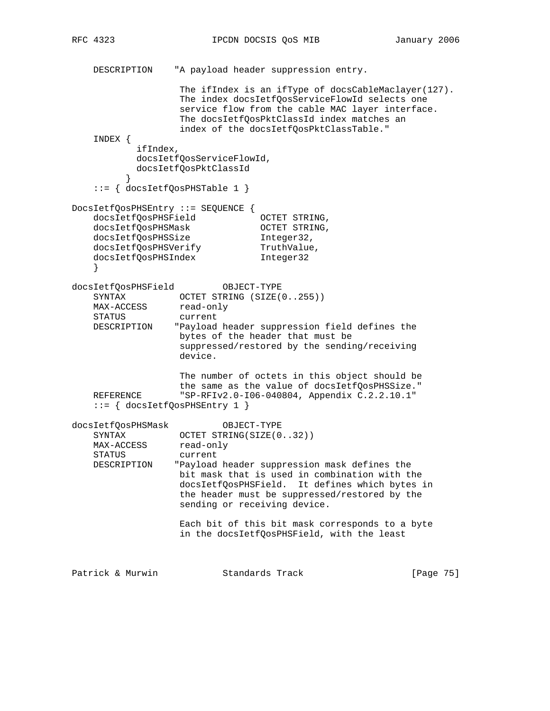```
 DESCRIPTION "A payload header suppression entry.
                  The ifIndex is an ifType of docsCableMaclayer(127).
                   The index docsIetfQosServiceFlowId selects one
                   service flow from the cable MAC layer interface.
                   The docsIetfQosPktClassId index matches an
                   index of the docsIetfQosPktClassTable."
    INDEX {
           ifIndex,
           docsIetfQosServiceFlowId,
           docsIetfQosPktClassId
 }
    ::= { docsIetfQosPHSTable 1 }
DocsIetfQosPHSEntry ::= SEQUENCE {
    docsIetfQosPHSField OCTET STRING,
 docsIetfQosPHSMask OCTET STRING,
 docsIetfQosPHSSize Integer32,
docsIetfQosPHSVerify TruthValue,
 docsIetfQosPHSIndex Integer32
    }
docsIetfQosPHSField OBJECT-TYPE
 SYNTAX OCTET STRING (SIZE(0..255))
MAX-ACCESS read-only
 STATUS current
    DESCRIPTION "Payload header suppression field defines the
                  bytes of the header that must be
                   suppressed/restored by the sending/receiving
                   device.
                   The number of octets in this object should be
                   the same as the value of docsIetfQosPHSSize."
    REFERENCE "SP-RFIv2.0-I06-040804, Appendix C.2.2.10.1"
    ::= { docsIetfQosPHSEntry 1 }
docsIetfQosPHSMask OBJECT-TYPE
   SYNTAX OCTET STRING(SIZE(0..32))
MAX-ACCESS read-only
 STATUS current
    DESCRIPTION "Payload header suppression mask defines the
                  bit mask that is used in combination with the
                   docsIetfQosPHSField. It defines which bytes in
                   the header must be suppressed/restored by the
                   sending or receiving device.
                   Each bit of this bit mask corresponds to a byte
                   in the docsIetfQosPHSField, with the least
Patrick & Murwin               Standards Track                     [Page 75]
```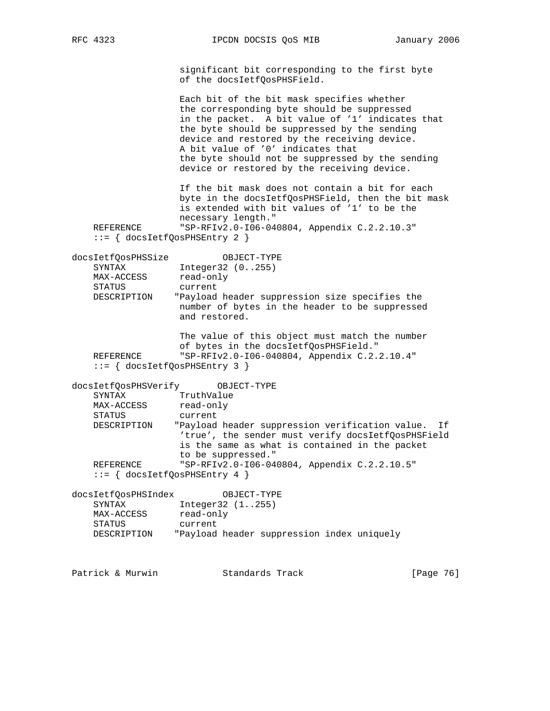RFC 4323 **IPCDN DOCSIS QOS MIB** January 2006

 significant bit corresponding to the first byte of the docsIetfQosPHSField.

 Each bit of the bit mask specifies whether the corresponding byte should be suppressed in the packet. A bit value of '1' indicates that the byte should be suppressed by the sending device and restored by the receiving device. A bit value of '0' indicates that the byte should not be suppressed by the sending device or restored by the receiving device.

 If the bit mask does not contain a bit for each byte in the docsIetfQosPHSField, then the bit mask is extended with bit values of '1' to be the necessary length." REFERENCE "SP-RFIv2.0-I06-040804, Appendix C.2.2.10.3"

::= { docsIetfQosPHSEntry 2 }

| docsIetfOosPHSSize | OBJECT-TYPE                                                                                      |
|--------------------|--------------------------------------------------------------------------------------------------|
| SYNTAX             | Integer32 (0255)                                                                                 |
| MAX-ACCESS         | read-only                                                                                        |
| STATUS             | current                                                                                          |
| DESCRIPTION        | "Payload header suppression size specifies the<br>number of bytes in the header to be suppressed |
|                    | and restored.                                                                                    |

 The value of this object must match the number of bytes in the docsIetfQosPHSField." REFERENCE "SP-RFIv2.0-I06-040804, Appendix C.2.2.10.4" ::= { docsIetfQosPHSEntry 3 }

docsIetfQosPHSVerify OBJECT-TYPE SYNTAX TruthValue MAX-ACCESS read-only STATUS current DESCRIPTION "Payload header suppression verification value. If 'true', the sender must verify docsIetfQosPHSField is the same as what is contained in the packet to be suppressed." REFERENCE "SP-RFIv2.0-I06-040804, Appendix C.2.2.10.5" ::= { docsIetfQosPHSEntry 4 }

docsIetfQosPHSIndex OBJECT-TYPE SYNTAX Integer32 (1..255) MAX-ACCESS read-only STATUS current DESCRIPTION "Payload header suppression index uniquely

Patrick & Murwin Standards Track [Page 76]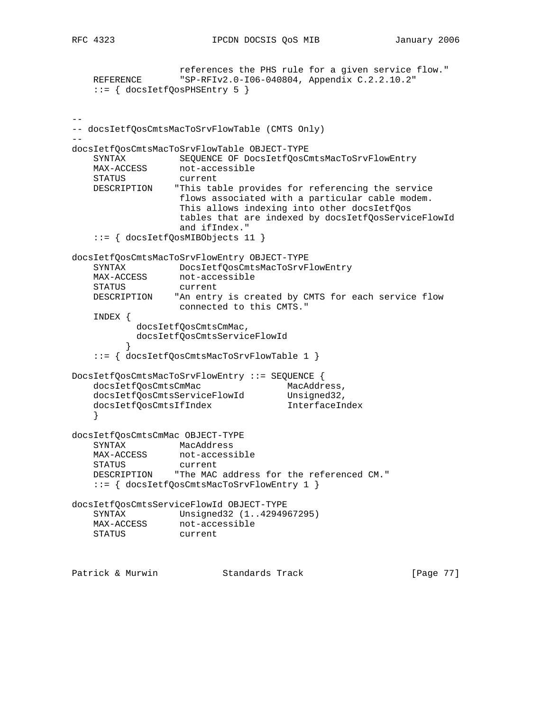```
 references the PHS rule for a given service flow."
   REFERENCE "SP-RFIv2.0-I06-040804, Appendix C.2.2.10.2"
    ::= { docsIetfQosPHSEntry 5 }
- --- docsIetfQosCmtsMacToSrvFlowTable (CMTS Only)
--
docsIetfQosCmtsMacToSrvFlowTable OBJECT-TYPE
 SYNTAX SEQUENCE OF DocsIetfQosCmtsMacToSrvFlowEntry
MAX-ACCESS not-accessible
 STATUS current
    DESCRIPTION "This table provides for referencing the service
                  flows associated with a particular cable modem.
                  This allows indexing into other docsIetfQos
                  tables that are indexed by docsIetfQosServiceFlowId
                  and ifIndex."
    ::= { docsIetfQosMIBObjects 11 }
docsIetfQosCmtsMacToSrvFlowEntry OBJECT-TYPE
    SYNTAX DocsIetfQosCmtsMacToSrvFlowEntry
MAX-ACCESS not-accessible
 STATUS current
    DESCRIPTION "An entry is created by CMTS for each service flow
                 connected to this CMTS."
    INDEX {
           docsIetfQosCmtsCmMac,
           docsIetfQosCmtsServiceFlowId
 }
    ::= { docsIetfQosCmtsMacToSrvFlowTable 1 }
DocsIetfQosCmtsMacToSrvFlowEntry ::= SEQUENCE {
docsIetfQosCmtsCmMac MacAddress,
 docsIetfQosCmtsServiceFlowId Unsigned32,
 docsIetfQosCmtsIfIndex InterfaceIndex
 }
docsIetfQosCmtsCmMac OBJECT-TYPE
    SYNTAX MacAddress
MAX-ACCESS not-accessible
 STATUS current
    DESCRIPTION "The MAC address for the referenced CM."
    ::= { docsIetfQosCmtsMacToSrvFlowEntry 1 }
docsIetfQosCmtsServiceFlowId OBJECT-TYPE
    SYNTAX Unsigned32 (1..4294967295)
MAX-ACCESS not-accessible
 STATUS current
Patrick & Murwin Standards Track [Page 77]
```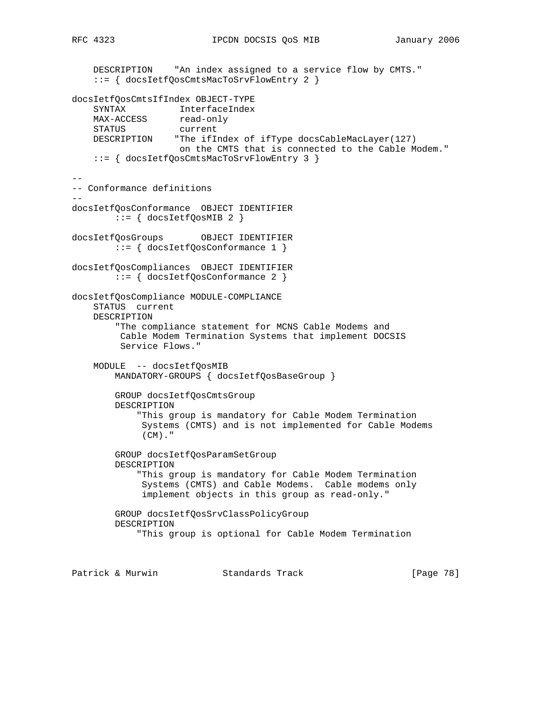DESCRIPTION "An index assigned to a service flow by CMTS." ::= { docsIetfQosCmtsMacToSrvFlowEntry 2 } docsIetfQosCmtsIfIndex OBJECT-TYPE SYNTAX InterfaceIndex MAX-ACCESS read-only STATUS current DESCRIPTION "The ifIndex of ifType docsCableMacLayer(127) on the CMTS that is connected to the Cable Modem." ::= { docsIetfQosCmtsMacToSrvFlowEntry 3 } -- -- Conformance definitions - docsIetfQosConformance OBJECT IDENTIFIER  $::=$   $\{$  docsIetfQosMIB 2  $\}$ docsIetfQosGroups OBJECT IDENTIFIER ::= { docsIetfQosConformance 1 } docsIetfQosCompliances OBJECT IDENTIFIER ::= { docsIetfQosConformance 2 } docsIetfQosCompliance MODULE-COMPLIANCE STATUS current DESCRIPTION "The compliance statement for MCNS Cable Modems and Cable Modem Termination Systems that implement DOCSIS Service Flows." MODULE -- docsIetfQosMIB MANDATORY-GROUPS { docsIetfQosBaseGroup } GROUP docsIetfQosCmtsGroup DESCRIPTION "This group is mandatory for Cable Modem Termination Systems (CMTS) and is not implemented for Cable Modems  $(CM)$ ." GROUP docsIetfQosParamSetGroup DESCRIPTION "This group is mandatory for Cable Modem Termination Systems (CMTS) and Cable Modems. Cable modems only implement objects in this group as read-only." GROUP docsIetfQosSrvClassPolicyGroup DESCRIPTION "This group is optional for Cable Modem Termination

Patrick & Murwin  $\begin{array}{ccc} \text{Standards} & \text{Track} & \text{Simpler} & \text{[Page 78]} \end{array}$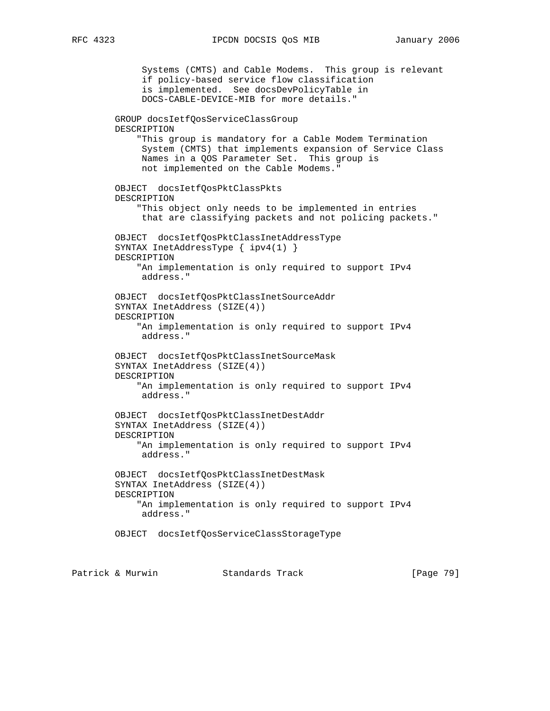Systems (CMTS) and Cable Modems. This group is relevant if policy-based service flow classification is implemented. See docsDevPolicyTable in DOCS-CABLE-DEVICE-MIB for more details." GROUP docsIetfQosServiceClassGroup DESCRIPTION "This group is mandatory for a Cable Modem Termination System (CMTS) that implements expansion of Service Class Names in a QOS Parameter Set. This group is not implemented on the Cable Modems." OBJECT docsIetfQosPktClassPkts DESCRIPTION "This object only needs to be implemented in entries that are classifying packets and not policing packets." OBJECT docsIetfQosPktClassInetAddressType SYNTAX InetAddressType { ipv4(1) } DESCRIPTION "An implementation is only required to support IPv4 address." OBJECT docsIetfQosPktClassInetSourceAddr SYNTAX InetAddress (SIZE(4)) DESCRIPTION "An implementation is only required to support IPv4 address." OBJECT docsIetfQosPktClassInetSourceMask SYNTAX InetAddress (SIZE(4)) DESCRIPTION "An implementation is only required to support IPv4 address." OBJECT docsIetfQosPktClassInetDestAddr SYNTAX InetAddress (SIZE(4)) DESCRIPTION "An implementation is only required to support IPv4 address." OBJECT docsIetfQosPktClassInetDestMask SYNTAX InetAddress (SIZE(4)) DESCRIPTION "An implementation is only required to support IPv4 address." OBJECT docsIetfQosServiceClassStorageType

Patrick & Murwin Standards Track [Page 79]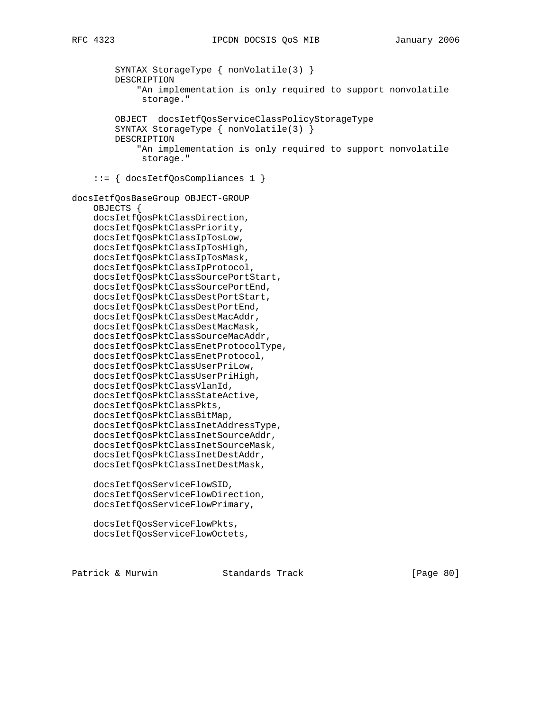```
 SYNTAX StorageType { nonVolatile(3) }
         DESCRIPTION
             "An implementation is only required to support nonvolatile
              storage."
         OBJECT docsIetfQosServiceClassPolicyStorageType
         SYNTAX StorageType { nonVolatile(3) }
         DESCRIPTION
             "An implementation is only required to support nonvolatile
              storage."
     ::= { docsIetfQosCompliances 1 }
docsIetfQosBaseGroup OBJECT-GROUP
     OBJECTS {
     docsIetfQosPktClassDirection,
     docsIetfQosPktClassPriority,
     docsIetfQosPktClassIpTosLow,
     docsIetfQosPktClassIpTosHigh,
     docsIetfQosPktClassIpTosMask,
     docsIetfQosPktClassIpProtocol,
     docsIetfQosPktClassSourcePortStart,
     docsIetfQosPktClassSourcePortEnd,
     docsIetfQosPktClassDestPortStart,
     docsIetfQosPktClassDestPortEnd,
     docsIetfQosPktClassDestMacAddr,
     docsIetfQosPktClassDestMacMask,
     docsIetfQosPktClassSourceMacAddr,
     docsIetfQosPktClassEnetProtocolType,
     docsIetfQosPktClassEnetProtocol,
     docsIetfQosPktClassUserPriLow,
     docsIetfQosPktClassUserPriHigh,
     docsIetfQosPktClassVlanId,
     docsIetfQosPktClassStateActive,
     docsIetfQosPktClassPkts,
     docsIetfQosPktClassBitMap,
     docsIetfQosPktClassInetAddressType,
     docsIetfQosPktClassInetSourceAddr,
     docsIetfQosPktClassInetSourceMask,
     docsIetfQosPktClassInetDestAddr,
     docsIetfQosPktClassInetDestMask,
     docsIetfQosServiceFlowSID,
     docsIetfQosServiceFlowDirection,
     docsIetfQosServiceFlowPrimary,
     docsIetfQosServiceFlowPkts,
     docsIetfQosServiceFlowOctets,
```
Patrick & Murwin Standards Track [Page 80]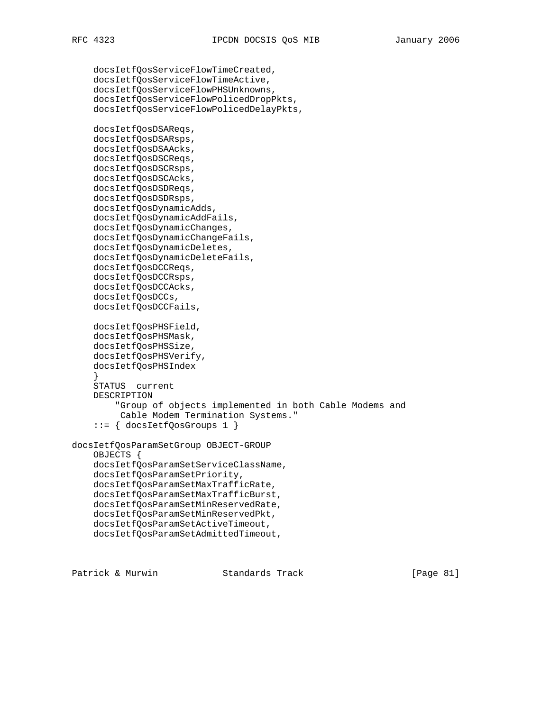docsIetfQosServiceFlowTimeCreated, docsIetfQosServiceFlowTimeActive, docsIetfQosServiceFlowPHSUnknowns, docsIetfQosServiceFlowPolicedDropPkts, docsIetfQosServiceFlowPolicedDelayPkts, docsIetfQosDSAReqs, docsIetfQosDSARsps, docsIetfQosDSAAcks, docsIetfQosDSCReqs, docsIetfQosDSCRsps, docsIetfQosDSCAcks, docsIetfQosDSDReqs, docsIetfQosDSDRsps, docsIetfQosDynamicAdds, docsIetfQosDynamicAddFails, docsIetfQosDynamicChanges, docsIetfQosDynamicChangeFails, docsIetfQosDynamicDeletes, docsIetfQosDynamicDeleteFails, docsIetfQosDCCReqs, docsIetfQosDCCRsps, docsIetfQosDCCAcks, docsIetfQosDCCs, docsIetfQosDCCFails, docsIetfQosPHSField, docsIetfQosPHSMask, docsIetfQosPHSSize, docsIetfQosPHSVerify, docsIetfQosPHSIndex } STATUS current DESCRIPTION "Group of objects implemented in both Cable Modems and Cable Modem Termination Systems." ::= { docsIetfQosGroups 1 } docsIetfQosParamSetGroup OBJECT-GROUP OBJECTS { docsIetfQosParamSetServiceClassName, docsIetfQosParamSetPriority, docsIetfQosParamSetMaxTrafficRate, docsIetfQosParamSetMaxTrafficBurst, docsIetfQosParamSetMinReservedRate, docsIetfQosParamSetMinReservedPkt, docsIetfQosParamSetActiveTimeout,

docsIetfQosParamSetAdmittedTimeout,

Patrick & Murwin Standards Track [Page 81]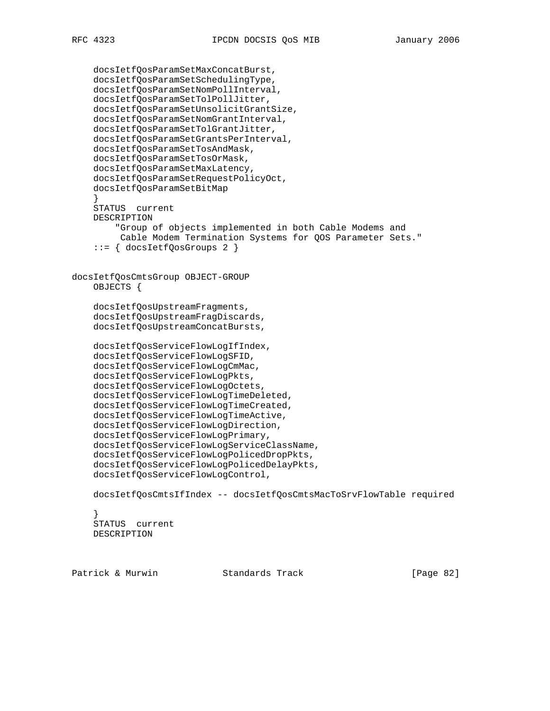docsIetfQosParamSetMaxConcatBurst, docsIetfQosParamSetSchedulingType, docsIetfQosParamSetNomPollInterval, docsIetfQosParamSetTolPollJitter, docsIetfQosParamSetUnsolicitGrantSize, docsIetfQosParamSetNomGrantInterval, docsIetfQosParamSetTolGrantJitter, docsIetfQosParamSetGrantsPerInterval, docsIetfQosParamSetTosAndMask, docsIetfQosParamSetTosOrMask, docsIetfQosParamSetMaxLatency, docsIetfQosParamSetRequestPolicyOct, docsIetfQosParamSetBitMap } STATUS current DESCRIPTION "Group of objects implemented in both Cable Modems and Cable Modem Termination Systems for QOS Parameter Sets." ::= { docsIetfQosGroups 2 } docsIetfQosCmtsGroup OBJECT-GROUP OBJECTS { docsIetfQosUpstreamFragments, docsIetfQosUpstreamFragDiscards, docsIetfQosUpstreamConcatBursts, docsIetfQosServiceFlowLogIfIndex, docsIetfQosServiceFlowLogSFID, docsIetfQosServiceFlowLogCmMac, docsIetfQosServiceFlowLogPkts, docsIetfQosServiceFlowLogOctets, docsIetfQosServiceFlowLogTimeDeleted, docsIetfQosServiceFlowLogTimeCreated, docsIetfQosServiceFlowLogTimeActive, docsIetfQosServiceFlowLogDirection, docsIetfQosServiceFlowLogPrimary, docsIetfQosServiceFlowLogServiceClassName, docsIetfQosServiceFlowLogPolicedDropPkts, docsIetfQosServiceFlowLogPolicedDelayPkts, docsIetfQosServiceFlowLogControl, docsIetfQosCmtsIfIndex -- docsIetfQosCmtsMacToSrvFlowTable required } STATUS current DESCRIPTION

Patrick & Murwin Standards Track [Page 82]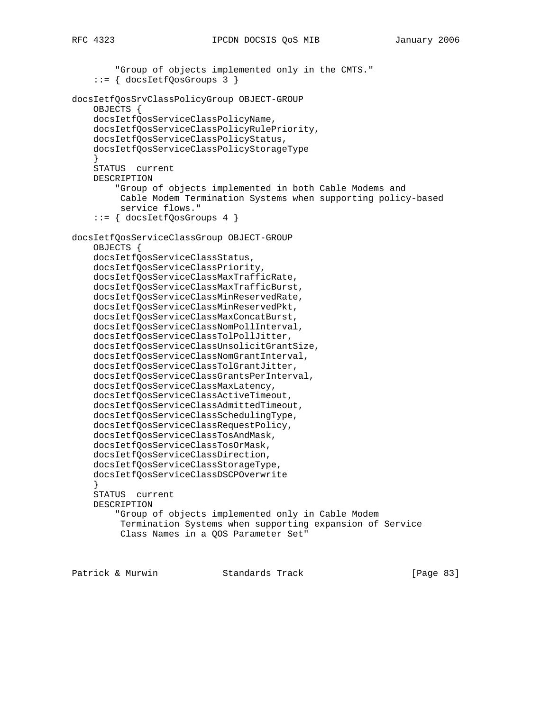```
 "Group of objects implemented only in the CMTS."
     ::= { docsIetfQosGroups 3 }
docsIetfQosSrvClassPolicyGroup OBJECT-GROUP
     OBJECTS {
     docsIetfQosServiceClassPolicyName,
     docsIetfQosServiceClassPolicyRulePriority,
     docsIetfQosServiceClassPolicyStatus,
     docsIetfQosServiceClassPolicyStorageType
 }
     STATUS current
     DESCRIPTION
         "Group of objects implemented in both Cable Modems and
          Cable Modem Termination Systems when supporting policy-based
          service flows."
     ::= { docsIetfQosGroups 4 }
docsIetfQosServiceClassGroup OBJECT-GROUP
     OBJECTS {
     docsIetfQosServiceClassStatus,
     docsIetfQosServiceClassPriority,
     docsIetfQosServiceClassMaxTrafficRate,
     docsIetfQosServiceClassMaxTrafficBurst,
     docsIetfQosServiceClassMinReservedRate,
     docsIetfQosServiceClassMinReservedPkt,
     docsIetfQosServiceClassMaxConcatBurst,
     docsIetfQosServiceClassNomPollInterval,
     docsIetfQosServiceClassTolPollJitter,
     docsIetfQosServiceClassUnsolicitGrantSize,
     docsIetfQosServiceClassNomGrantInterval,
     docsIetfQosServiceClassTolGrantJitter,
     docsIetfQosServiceClassGrantsPerInterval,
     docsIetfQosServiceClassMaxLatency,
     docsIetfQosServiceClassActiveTimeout,
     docsIetfQosServiceClassAdmittedTimeout,
     docsIetfQosServiceClassSchedulingType,
     docsIetfQosServiceClassRequestPolicy,
     docsIetfQosServiceClassTosAndMask,
     docsIetfQosServiceClassTosOrMask,
     docsIetfQosServiceClassDirection,
     docsIetfQosServiceClassStorageType,
     docsIetfQosServiceClassDSCPOverwrite
 }
     STATUS current
     DESCRIPTION
         "Group of objects implemented only in Cable Modem
          Termination Systems when supporting expansion of Service
          Class Names in a QOS Parameter Set"
```
Patrick & Murwin Standards Track [Page 83]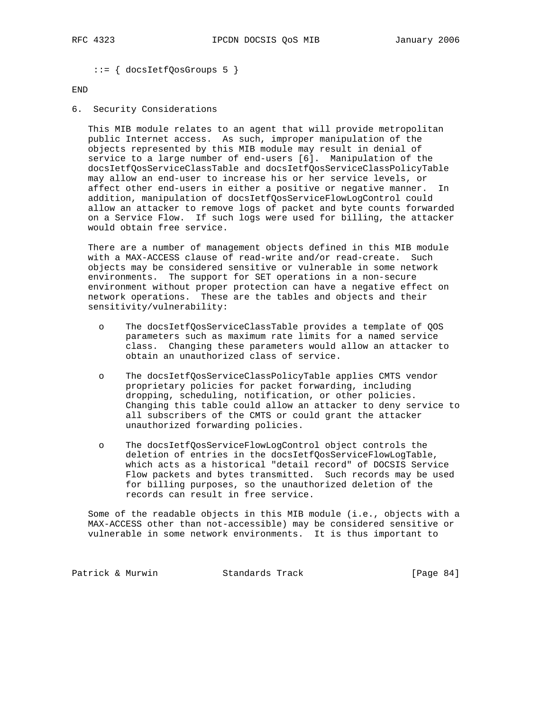```
 ::= { docsIetfQosGroups 5 }
```
## END

6. Security Considerations

 This MIB module relates to an agent that will provide metropolitan public Internet access. As such, improper manipulation of the objects represented by this MIB module may result in denial of service to a large number of end-users [6]. Manipulation of the docsIetfQosServiceClassTable and docsIetfQosServiceClassPolicyTable may allow an end-user to increase his or her service levels, or affect other end-users in either a positive or negative manner. In addition, manipulation of docsIetfQosServiceFlowLogControl could allow an attacker to remove logs of packet and byte counts forwarded on a Service Flow. If such logs were used for billing, the attacker would obtain free service.

 There are a number of management objects defined in this MIB module with a MAX-ACCESS clause of read-write and/or read-create. Such objects may be considered sensitive or vulnerable in some network environments. The support for SET operations in a non-secure environment without proper protection can have a negative effect on network operations. These are the tables and objects and their sensitivity/vulnerability:

- o The docsIetfQosServiceClassTable provides a template of QOS parameters such as maximum rate limits for a named service class. Changing these parameters would allow an attacker to obtain an unauthorized class of service.
- o The docsIetfQosServiceClassPolicyTable applies CMTS vendor proprietary policies for packet forwarding, including dropping, scheduling, notification, or other policies. Changing this table could allow an attacker to deny service to all subscribers of the CMTS or could grant the attacker unauthorized forwarding policies.
- o The docsIetfQosServiceFlowLogControl object controls the deletion of entries in the docsIetfQosServiceFlowLogTable, which acts as a historical "detail record" of DOCSIS Service Flow packets and bytes transmitted. Such records may be used for billing purposes, so the unauthorized deletion of the records can result in free service.

 Some of the readable objects in this MIB module (i.e., objects with a MAX-ACCESS other than not-accessible) may be considered sensitive or vulnerable in some network environments. It is thus important to

Patrick & Murwin Standards Track [Page 84]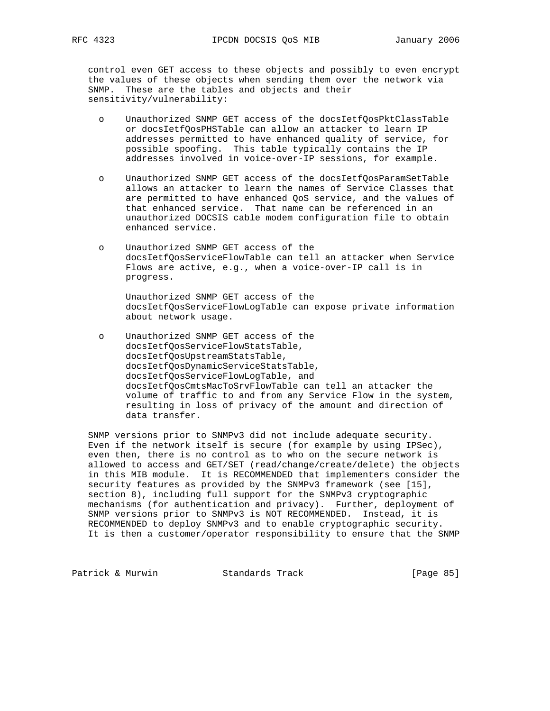control even GET access to these objects and possibly to even encrypt the values of these objects when sending them over the network via SNMP. These are the tables and objects and their sensitivity/vulnerability:

- o Unauthorized SNMP GET access of the docsIetfQosPktClassTable or docsIetfQosPHSTable can allow an attacker to learn IP addresses permitted to have enhanced quality of service, for possible spoofing. This table typically contains the IP addresses involved in voice-over-IP sessions, for example.
- o Unauthorized SNMP GET access of the docsIetfQosParamSetTable allows an attacker to learn the names of Service Classes that are permitted to have enhanced QoS service, and the values of that enhanced service. That name can be referenced in an unauthorized DOCSIS cable modem configuration file to obtain enhanced service.
- o Unauthorized SNMP GET access of the docsIetfQosServiceFlowTable can tell an attacker when Service Flows are active, e.g., when a voice-over-IP call is in progress.

 Unauthorized SNMP GET access of the docsIetfQosServiceFlowLogTable can expose private information about network usage.

 o Unauthorized SNMP GET access of the docsIetfQosServiceFlowStatsTable, docsIetfQosUpstreamStatsTable, docsIetfQosDynamicServiceStatsTable, docsIetfQosServiceFlowLogTable, and docsIetfQosCmtsMacToSrvFlowTable can tell an attacker the volume of traffic to and from any Service Flow in the system, resulting in loss of privacy of the amount and direction of data transfer.

 SNMP versions prior to SNMPv3 did not include adequate security. Even if the network itself is secure (for example by using IPSec), even then, there is no control as to who on the secure network is allowed to access and GET/SET (read/change/create/delete) the objects in this MIB module. It is RECOMMENDED that implementers consider the security features as provided by the SNMPv3 framework (see [15], section 8), including full support for the SNMPv3 cryptographic mechanisms (for authentication and privacy). Further, deployment of SNMP versions prior to SNMPv3 is NOT RECOMMENDED. Instead, it is RECOMMENDED to deploy SNMPv3 and to enable cryptographic security. It is then a customer/operator responsibility to ensure that the SNMP

Patrick & Murwin Standards Track [Page 85]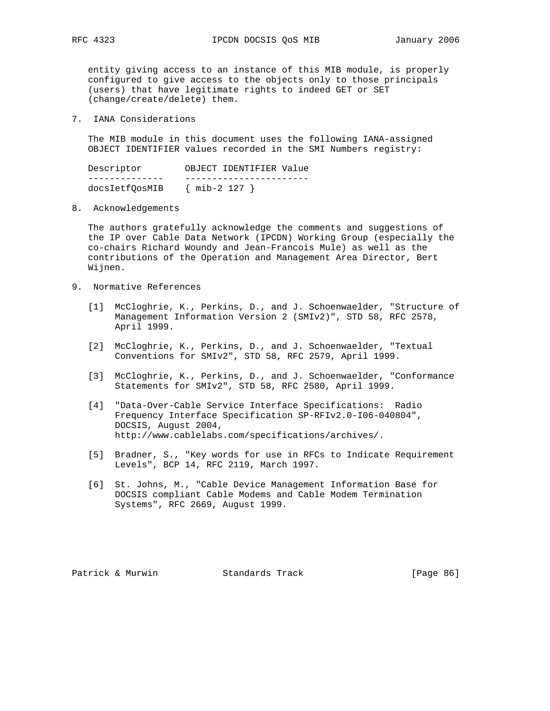entity giving access to an instance of this MIB module, is properly configured to give access to the objects only to those principals (users) that have legitimate rights to indeed GET or SET (change/create/delete) them.

7. IANA Considerations

 The MIB module in this document uses the following IANA-assigned OBJECT IDENTIFIER values recorded in the SMI Numbers registry:

| Descriptor     | OBJECT IDENTIFIER Value |
|----------------|-------------------------|
|                |                         |
| docsIetfOosMIB | $\{$ mib-2 127 $\}$     |

8. Acknowledgements

 The authors gratefully acknowledge the comments and suggestions of the IP over Cable Data Network (IPCDN) Working Group (especially the co-chairs Richard Woundy and Jean-Francois Mule) as well as the contributions of the Operation and Management Area Director, Bert Wijnen.

- 9. Normative References
	- [1] McCloghrie, K., Perkins, D., and J. Schoenwaelder, "Structure of Management Information Version 2 (SMIv2)", STD 58, RFC 2578, April 1999.
	- [2] McCloghrie, K., Perkins, D., and J. Schoenwaelder, "Textual Conventions for SMIv2", STD 58, RFC 2579, April 1999.
	- [3] McCloghrie, K., Perkins, D., and J. Schoenwaelder, "Conformance Statements for SMIv2", STD 58, RFC 2580, April 1999.
	- [4] "Data-Over-Cable Service Interface Specifications: Radio Frequency Interface Specification SP-RFIv2.0-I06-040804", DOCSIS, August 2004, http://www.cablelabs.com/specifications/archives/.
	- [5] Bradner, S., "Key words for use in RFCs to Indicate Requirement Levels", BCP 14, RFC 2119, March 1997.
	- [6] St. Johns, M., "Cable Device Management Information Base for DOCSIS compliant Cable Modems and Cable Modem Termination Systems", RFC 2669, August 1999.

Patrick & Murwin Standards Track [Page 86]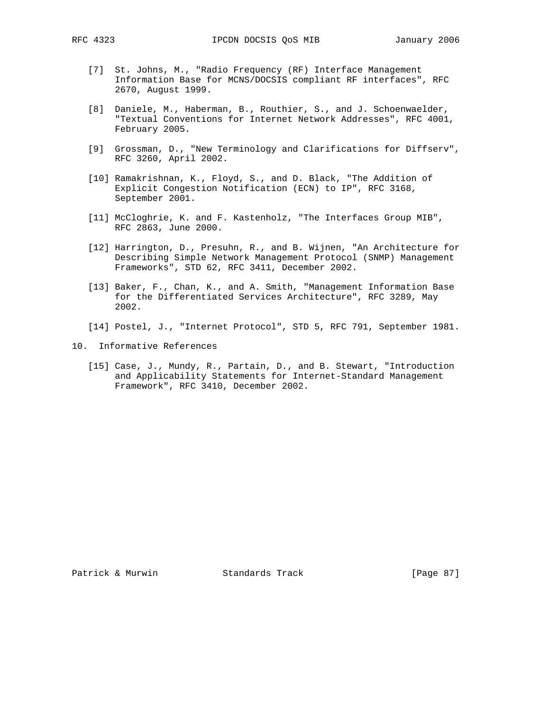- [7] St. Johns, M., "Radio Frequency (RF) Interface Management Information Base for MCNS/DOCSIS compliant RF interfaces", RFC 2670, August 1999.
- [8] Daniele, M., Haberman, B., Routhier, S., and J. Schoenwaelder, "Textual Conventions for Internet Network Addresses", RFC 4001, February 2005.
- [9] Grossman, D., "New Terminology and Clarifications for Diffserv", RFC 3260, April 2002.
- [10] Ramakrishnan, K., Floyd, S., and D. Black, "The Addition of Explicit Congestion Notification (ECN) to IP", RFC 3168, September 2001.
- [11] McCloghrie, K. and F. Kastenholz, "The Interfaces Group MIB", RFC 2863, June 2000.
- [12] Harrington, D., Presuhn, R., and B. Wijnen, "An Architecture for Describing Simple Network Management Protocol (SNMP) Management Frameworks", STD 62, RFC 3411, December 2002.
- [13] Baker, F., Chan, K., and A. Smith, "Management Information Base for the Differentiated Services Architecture", RFC 3289, May 2002.
- [14] Postel, J., "Internet Protocol", STD 5, RFC 791, September 1981.
- 10. Informative References
	- [15] Case, J., Mundy, R., Partain, D., and B. Stewart, "Introduction and Applicability Statements for Internet-Standard Management Framework", RFC 3410, December 2002.

Patrick & Murwin  $\begin{array}{ccc} \text{Standards} & \text{Track} & \text{Simpler} & \text{[Page 87]} \end{array}$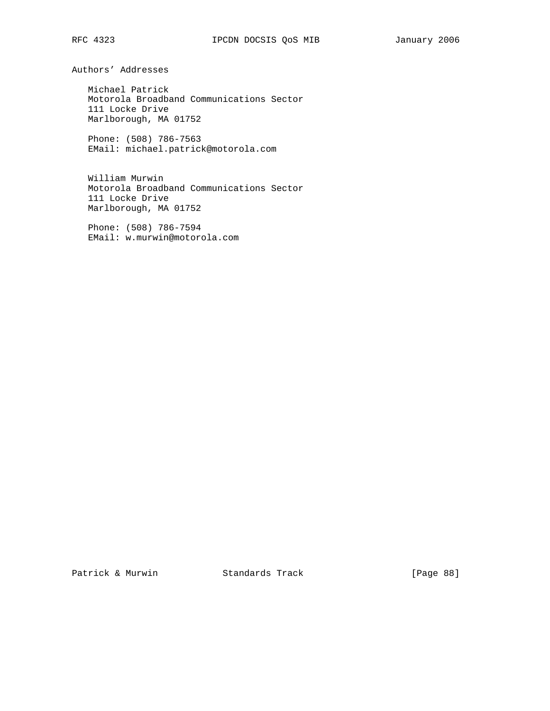Authors' Addresses

 Michael Patrick Motorola Broadband Communications Sector 111 Locke Drive Marlborough, MA 01752

 Phone: (508) 786-7563 EMail: michael.patrick@motorola.com

 William Murwin Motorola Broadband Communications Sector 111 Locke Drive Marlborough, MA 01752

 Phone: (508) 786-7594 EMail: w.murwin@motorola.com